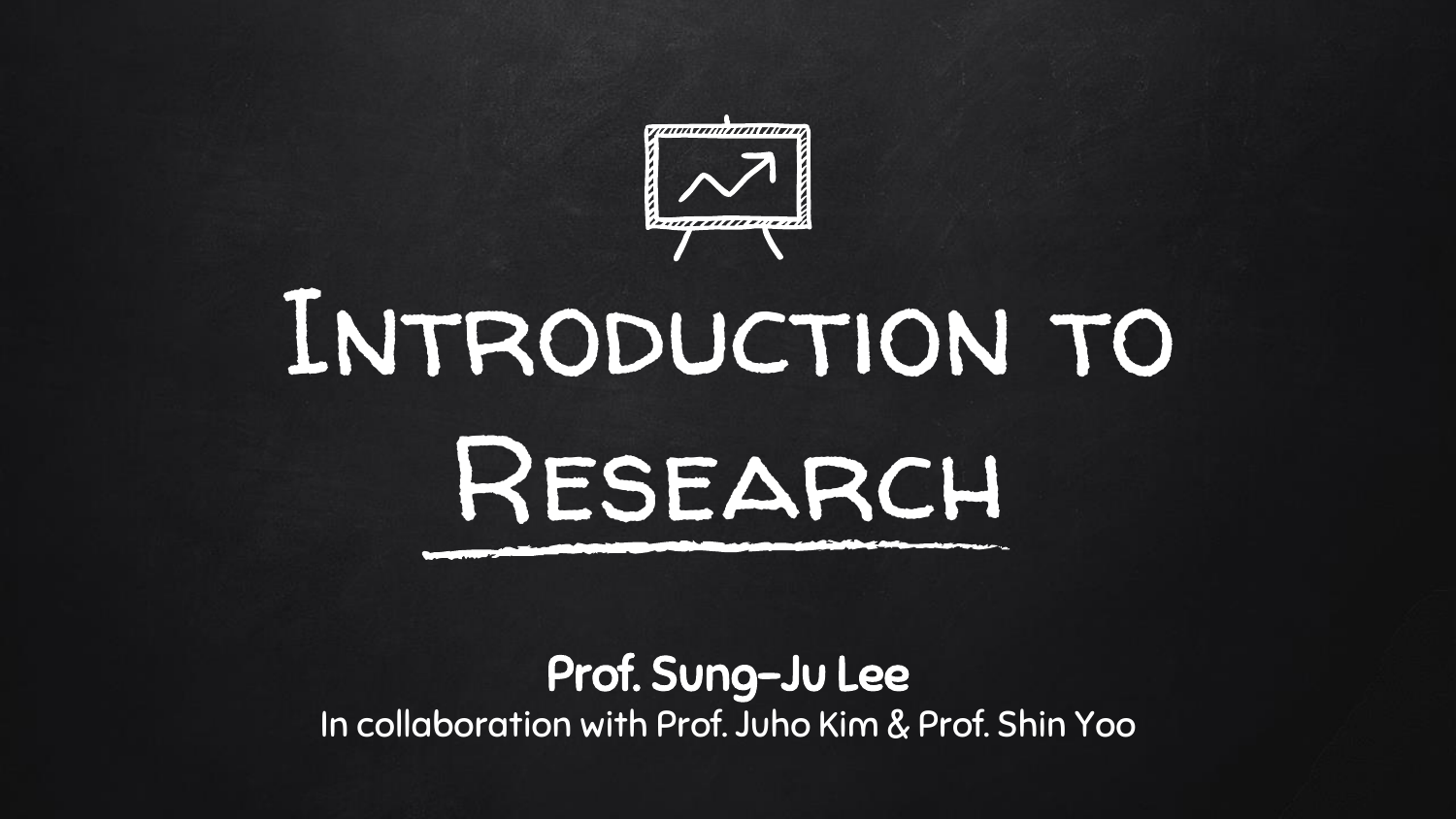

# Introduction to Research

#### Prof. Sung-Ju Lee In collaboration with Prof. Juho Kim & Prof. Shin Yoo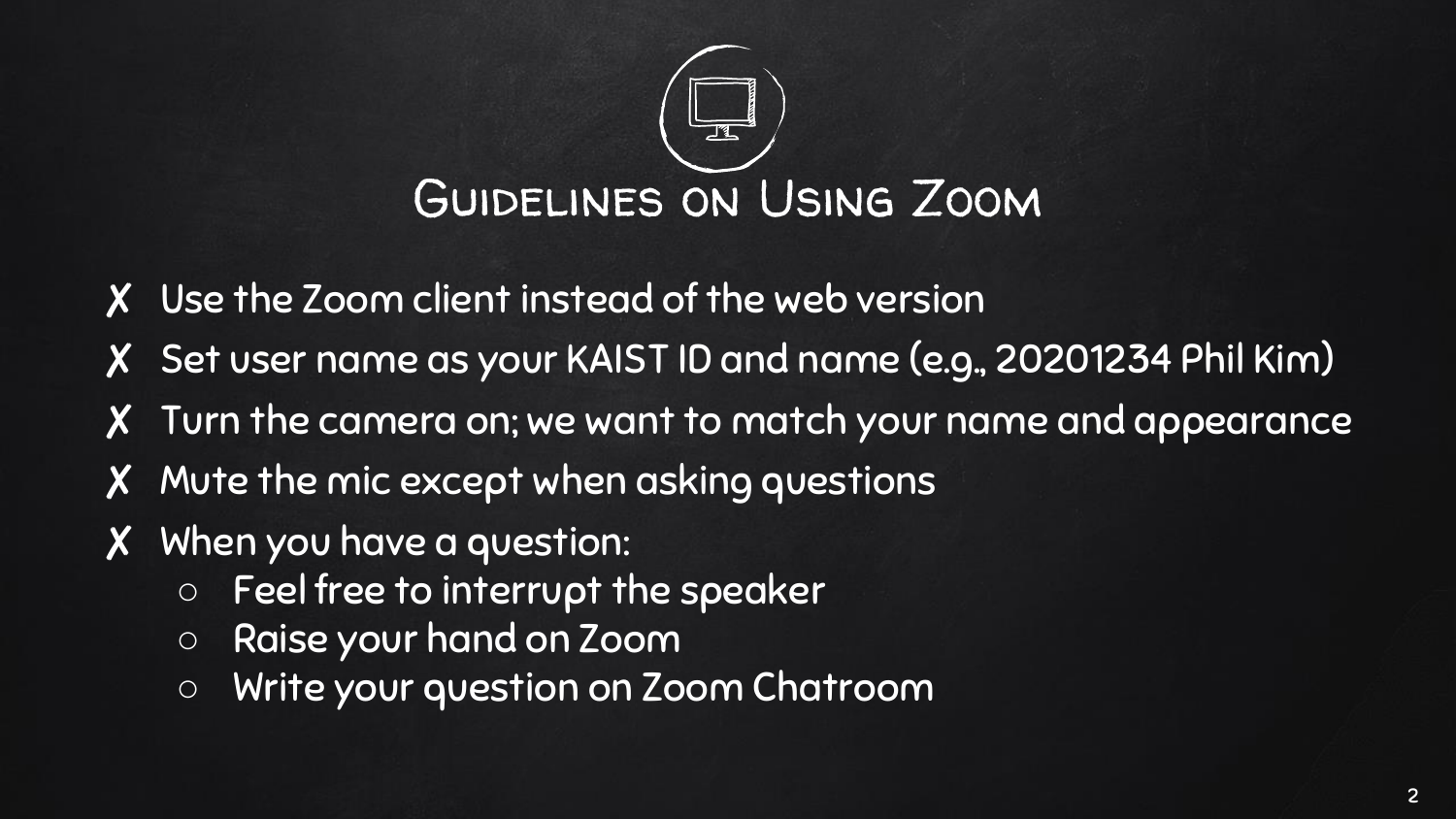

- ✘ Use the Zoom client instead of the web version
- ✘ Set user name as your KAIST ID and name (e.g., 20201234 Phil Kim)
- ✘ Turn the camera on; we want to match your name and appearance
- ✘ Mute the mic except when asking questions
- ✘ When you have a question:
	- Feel free to interrupt the speaker
	- Raise your hand on Zoom
	- Write your question on Zoom Chatroom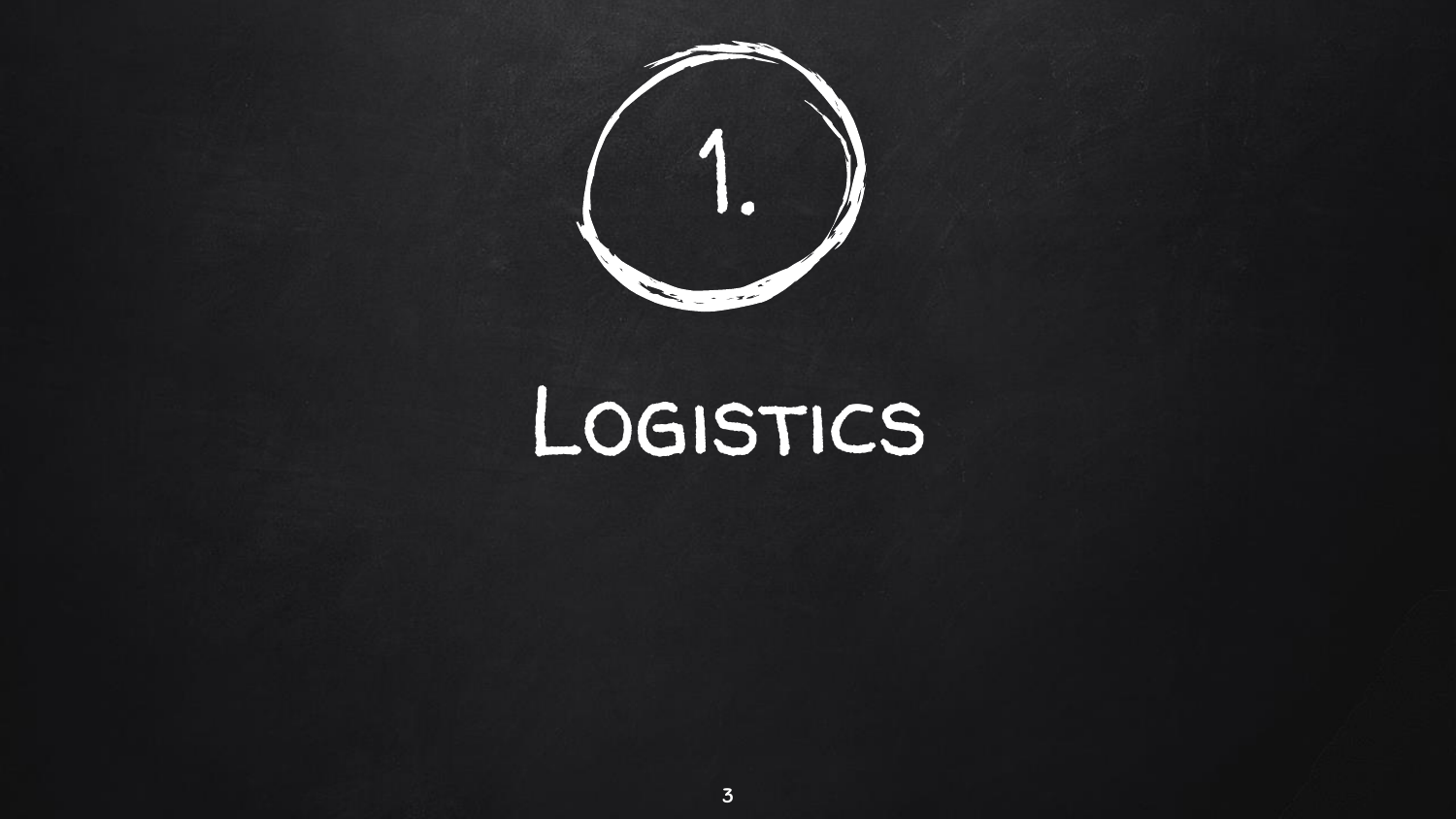

## LOGISTICS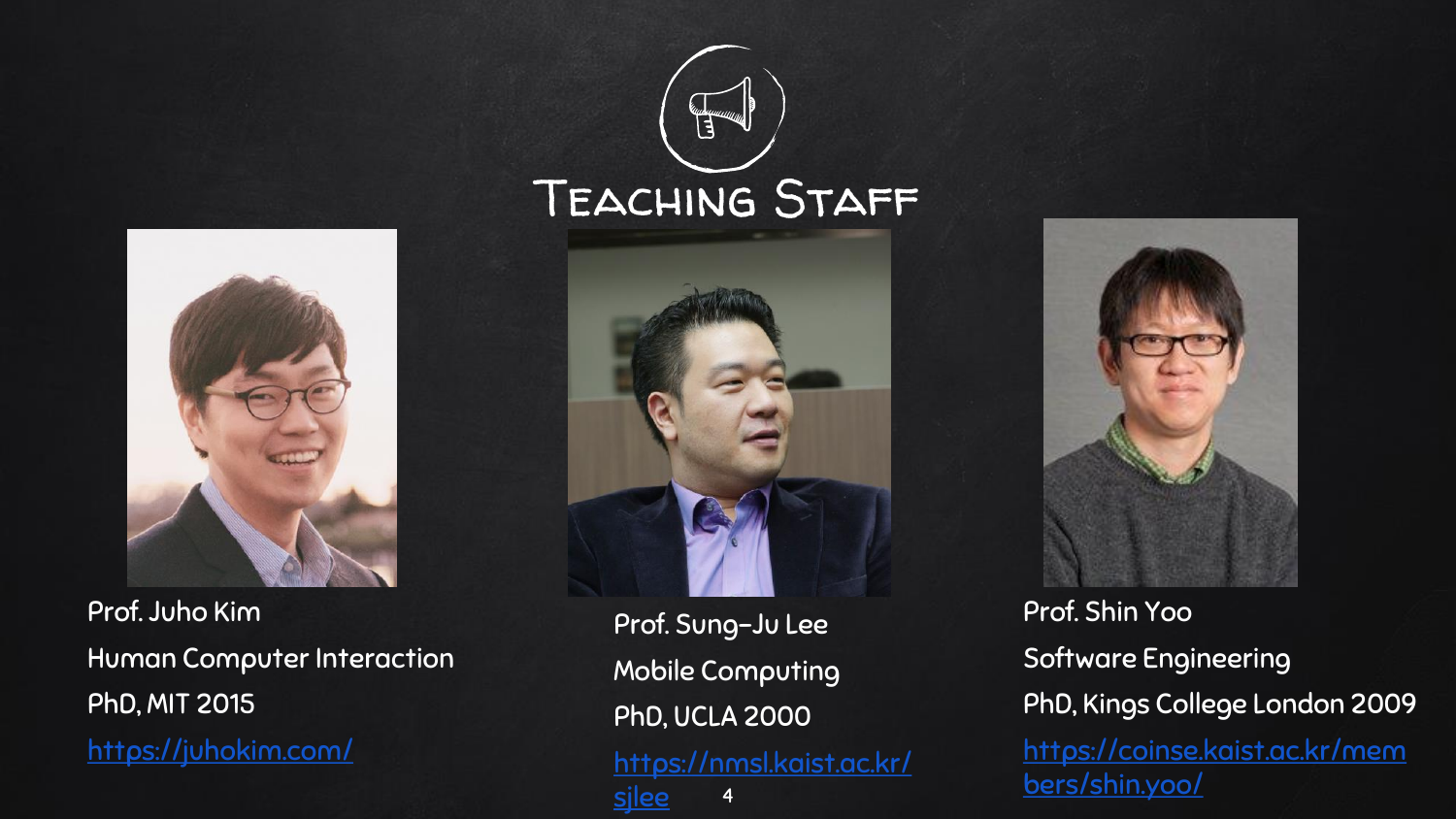# Teaching Staff



Prof. Juho Kim Human Computer Interaction PhD, MIT 2015 <https://juhokim.com/>



Prof. Sung-Ju Lee Mobile Computing PhD, UCLA 2000 [https://nmsl.kaist.ac.kr/](https://sites.google.com/site/wewantsj/) sjlee



Prof. Shin Yoo Software Engineering PhD, Kings College London 2009 [https://coinse.kaist.ac.kr/mem](https://coinse.kaist.ac.kr/members/shin.yoo/) bers/shin.yoo/ <sup>4</sup>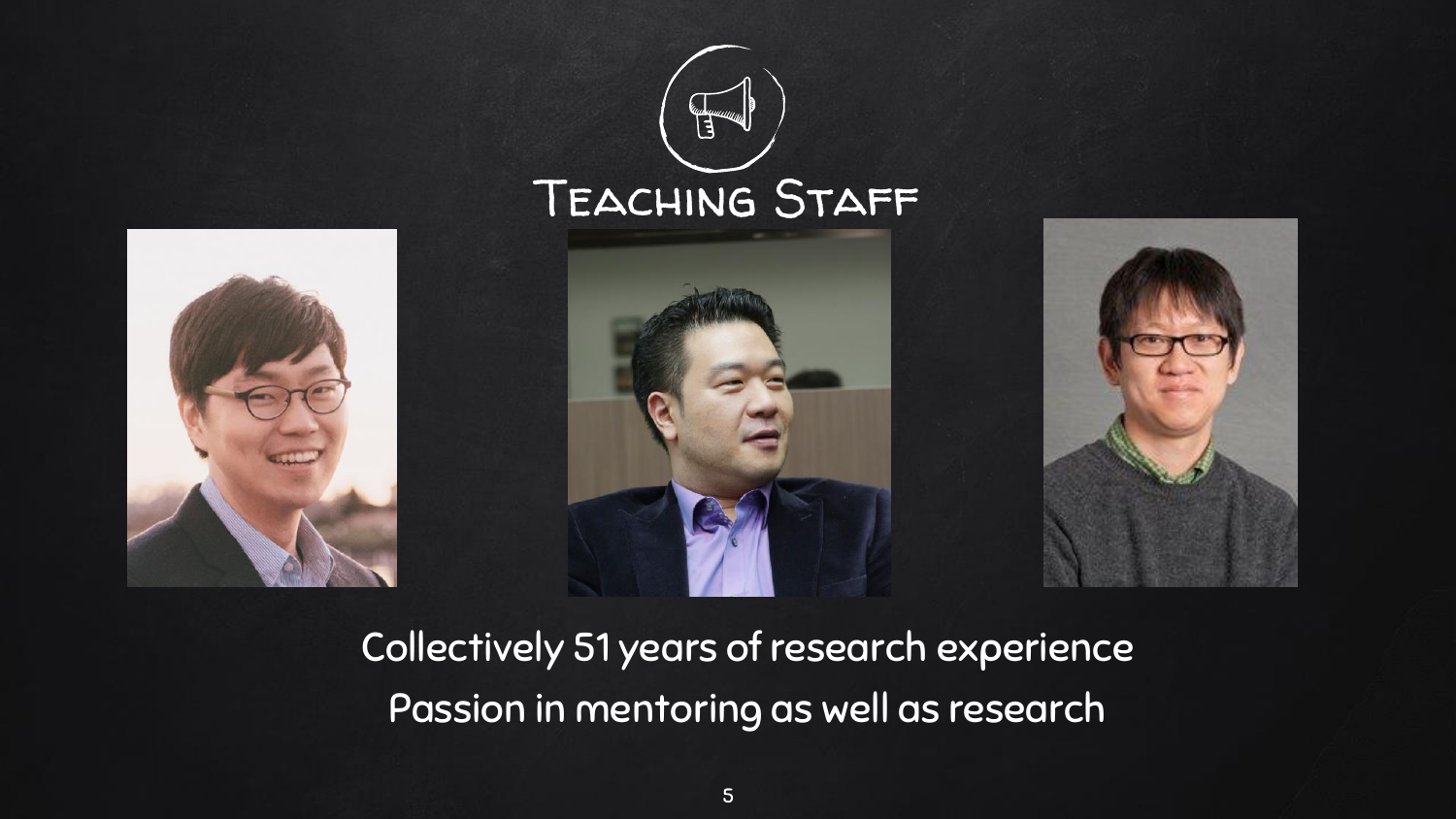

### Collectively 51 years of research experience Passion in mentoring as well as research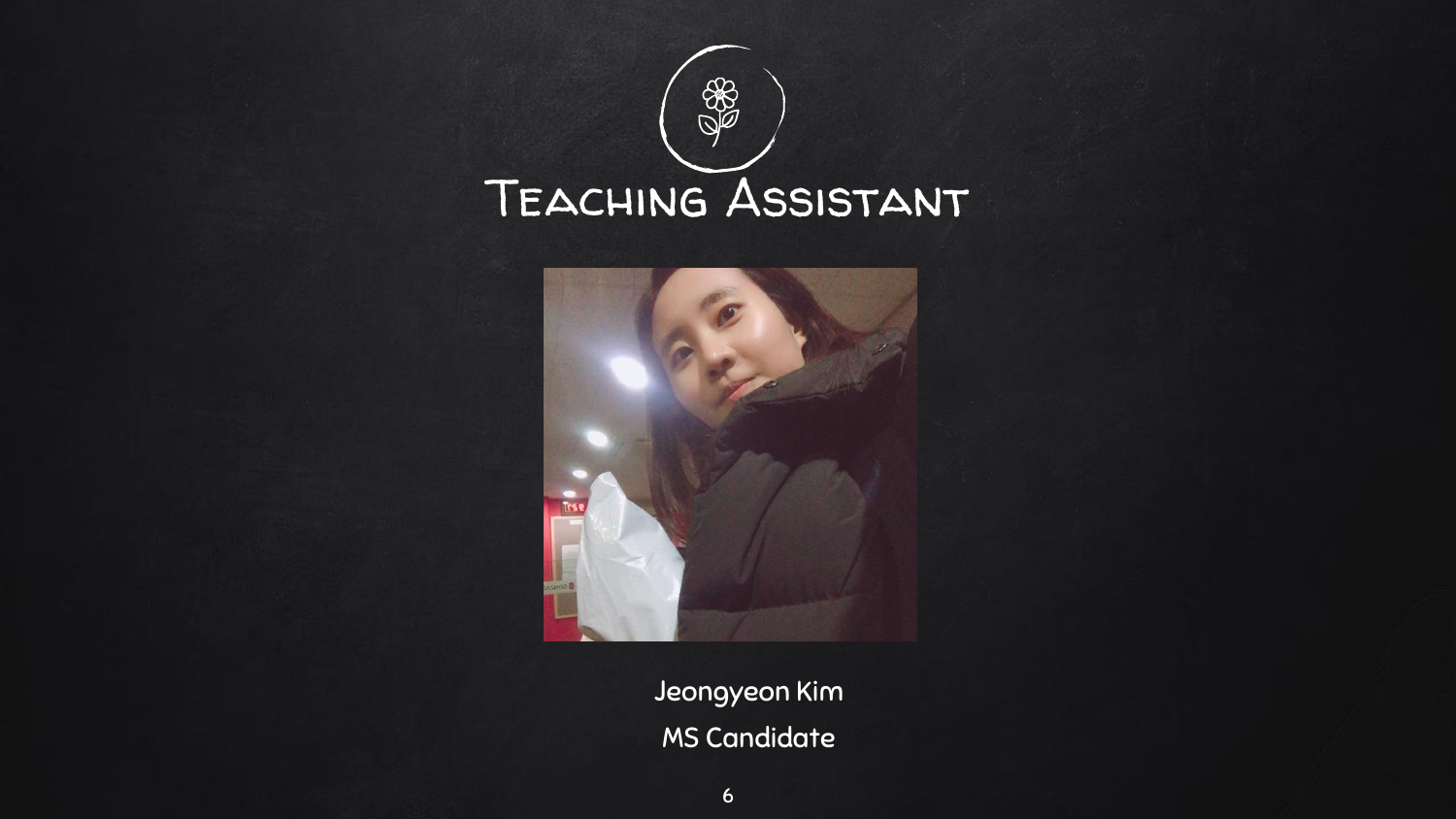



Jeongyeon Kim MS Candidate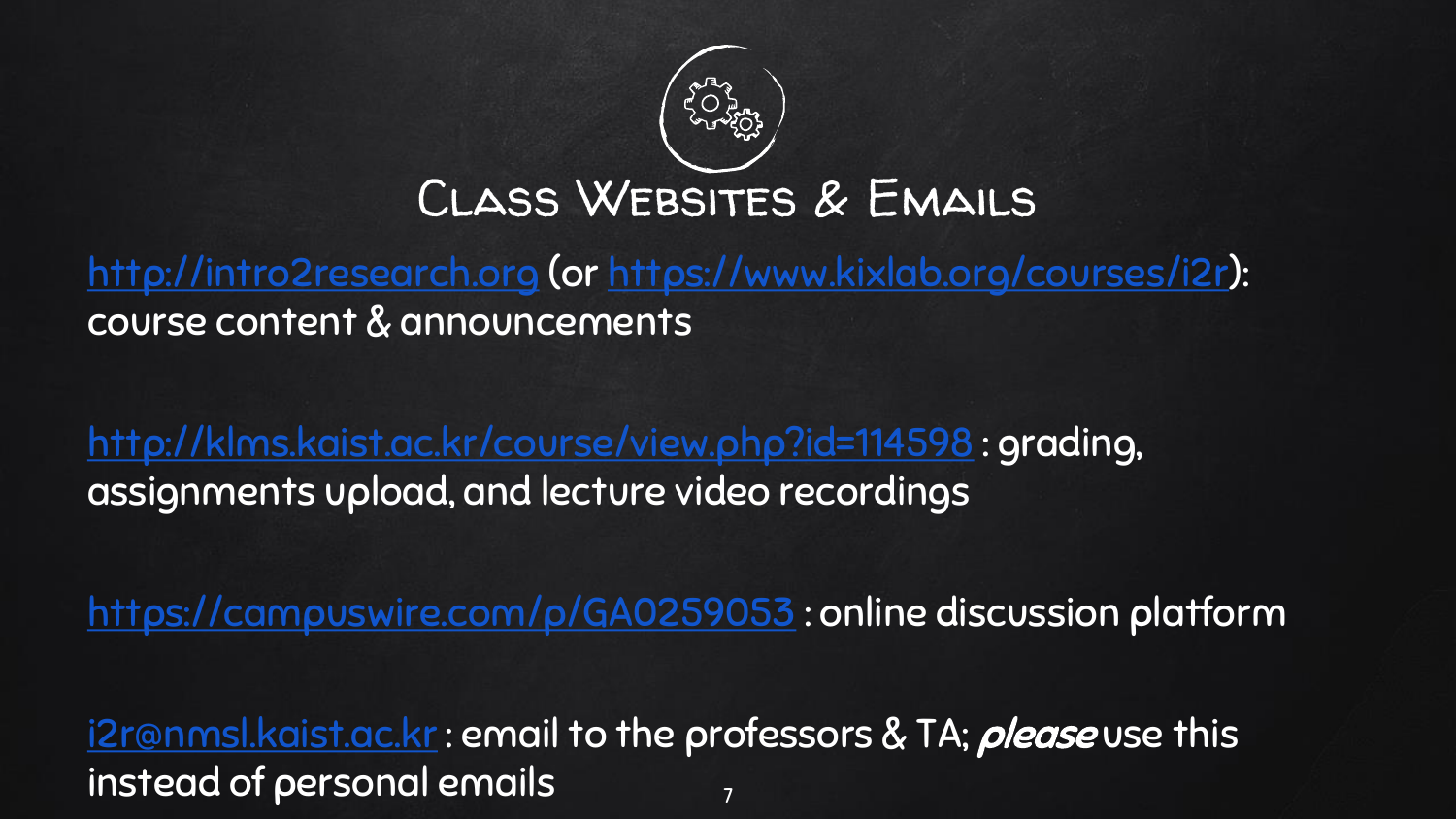

### Class Websites & Emails

[http://intro2research.org](https://intro2research.org/) (or [https://www.kixlab.org/courses/i2r\)](https://www.kixlab.org/courses/i2r): course content & announcements

<http://klms.kaist.ac.kr/course/view.php?id=114598> : grading, assignments upload, and lecture video recordings

<https://campuswire.com/p/GA0259053> : online discussion platform

[i2r@nmsl.kaist.ac.kr](mailto:i2r@nmsl.kaist.ac.kr): email to the professors & TA; please use this instead of personal emails  $\frac{1}{7}$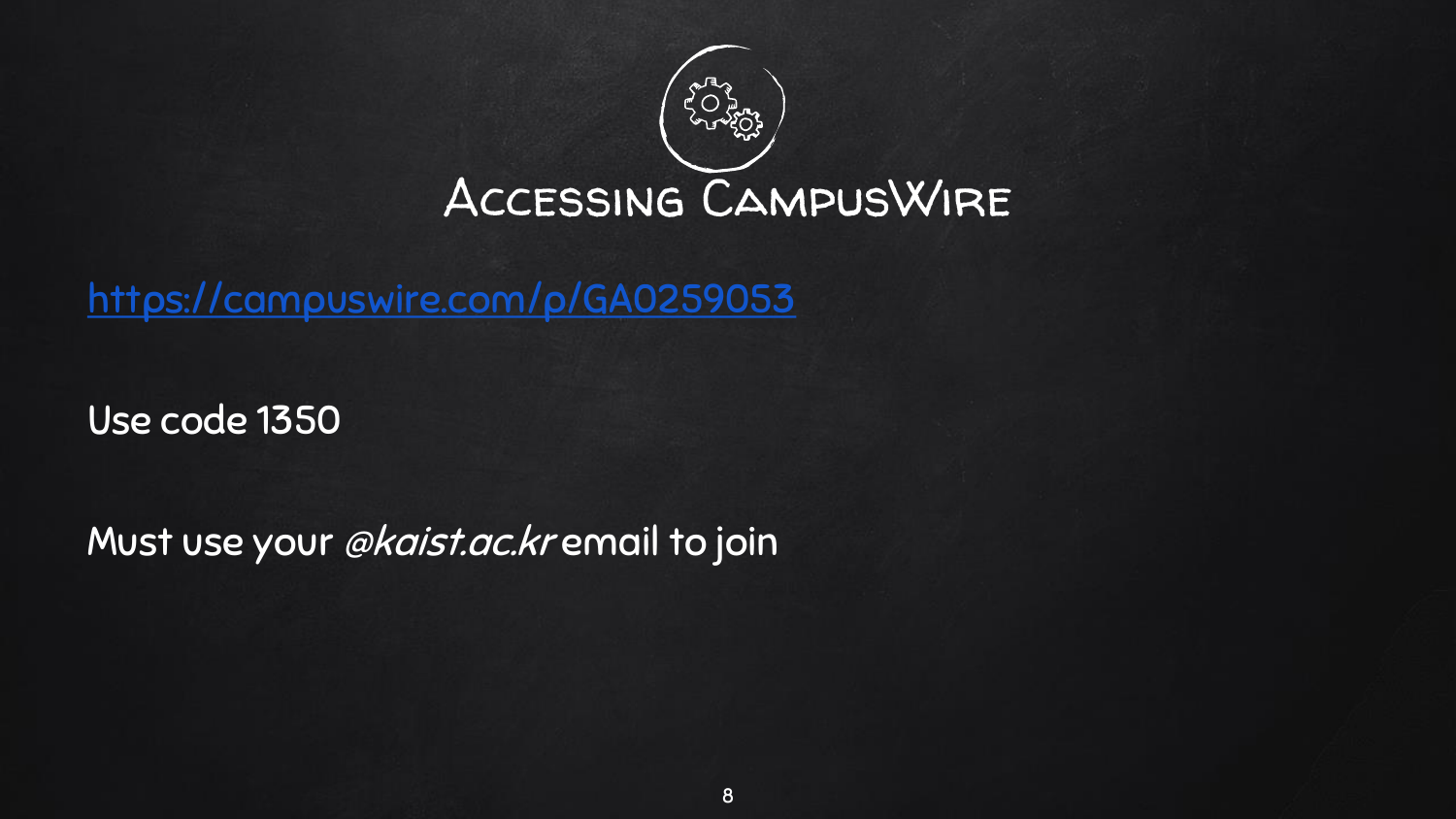

<https://campuswire.com/p/GA0259053>

Use code 1350

Must use your @kaist.ac.kr email to join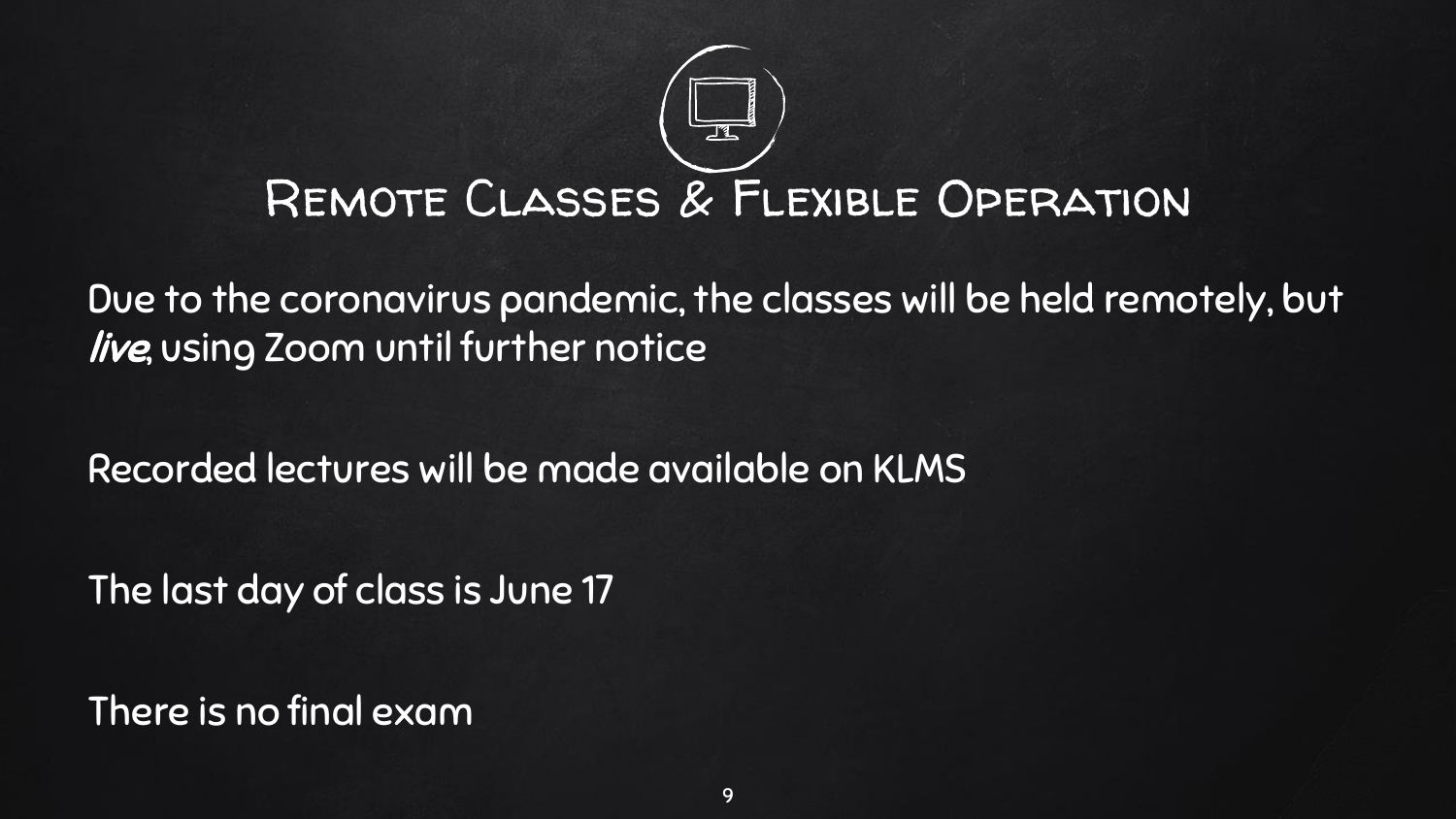

Due to the coronavirus pandemic, the classes will be held remotely, but live, using Zoom until further notice

Recorded lectures will be made available on KLMS

The last day of class is June 17

There is no final exam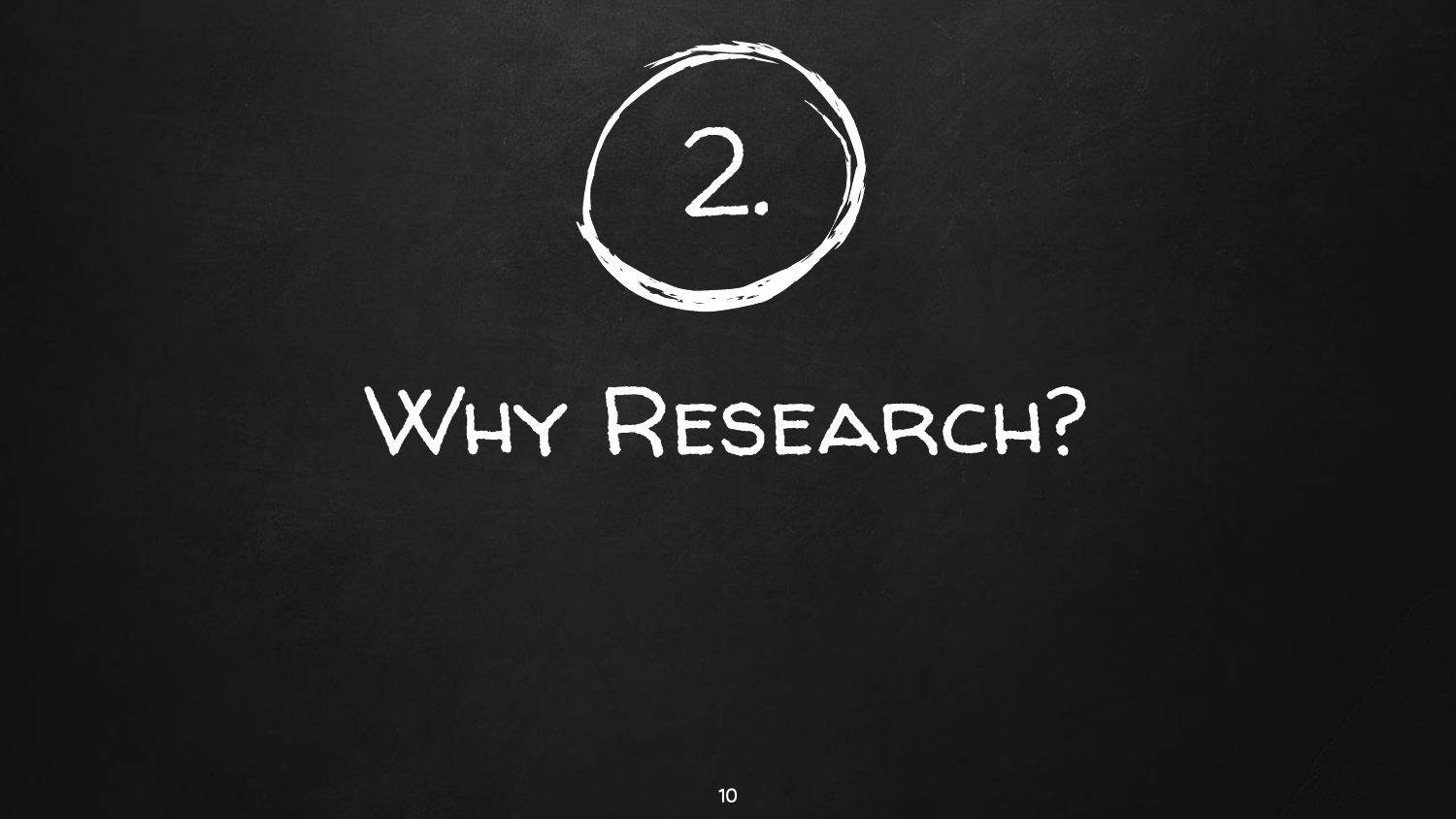

## Why Research?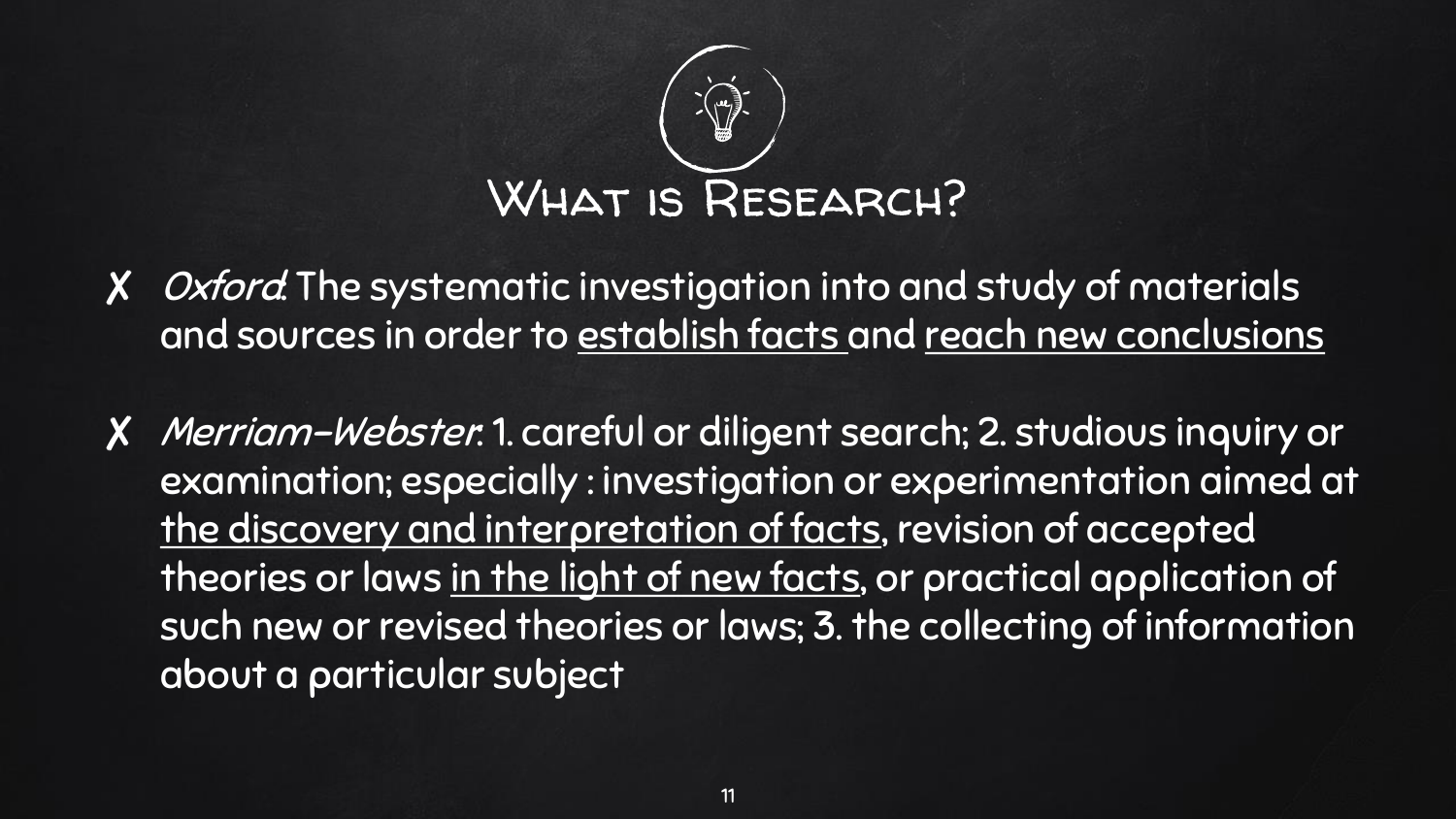

- X Oxford: The systematic investigation into and study of materials and sources in order to establish facts and reach new conclusions
- ✘ Merriam-Webster: 1. careful or diligent search; 2. studious inquiry or examination; especially : investigation or experimentation aimed at the discovery and interpretation of facts, revision of accepted theories or laws in the light of new facts, or practical application of such new or revised theories or laws; 3. the collecting of information about a particular subject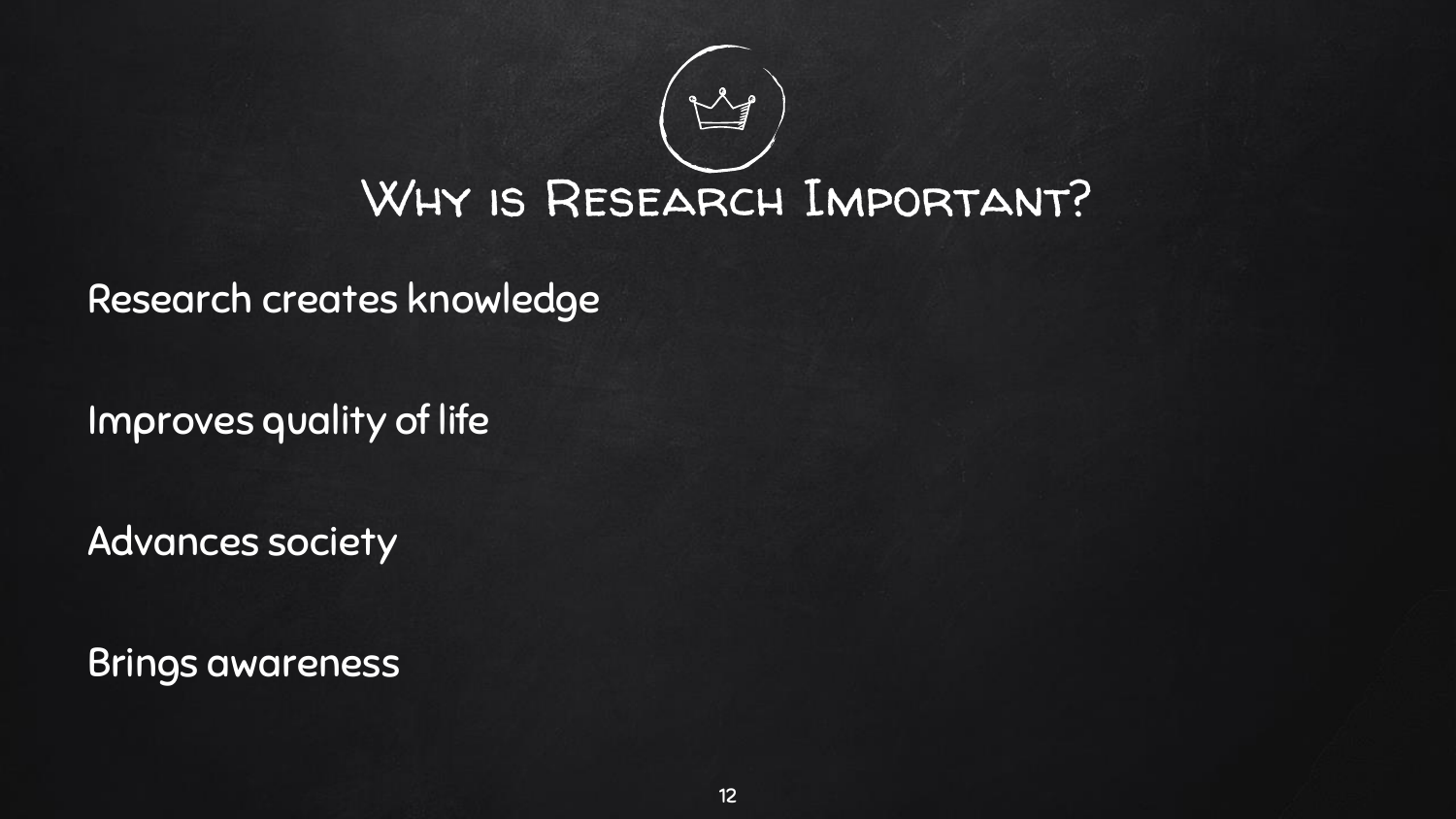

Research creates knowledge

Improves quality of life

Advances society

Brings awareness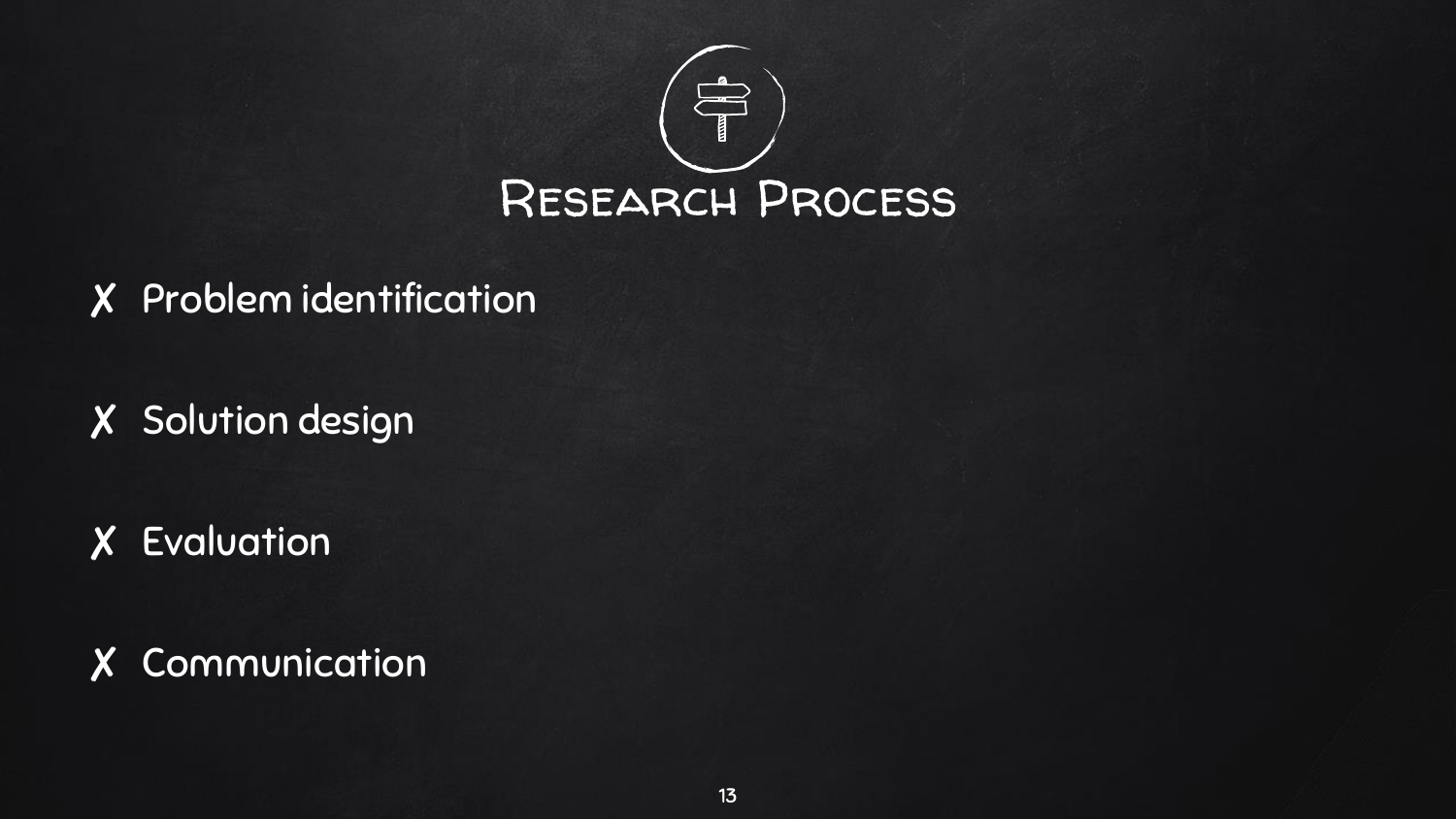

- ✘ Problem identification
- ✘ Solution design
- ✘ Evaluation

✘ Communication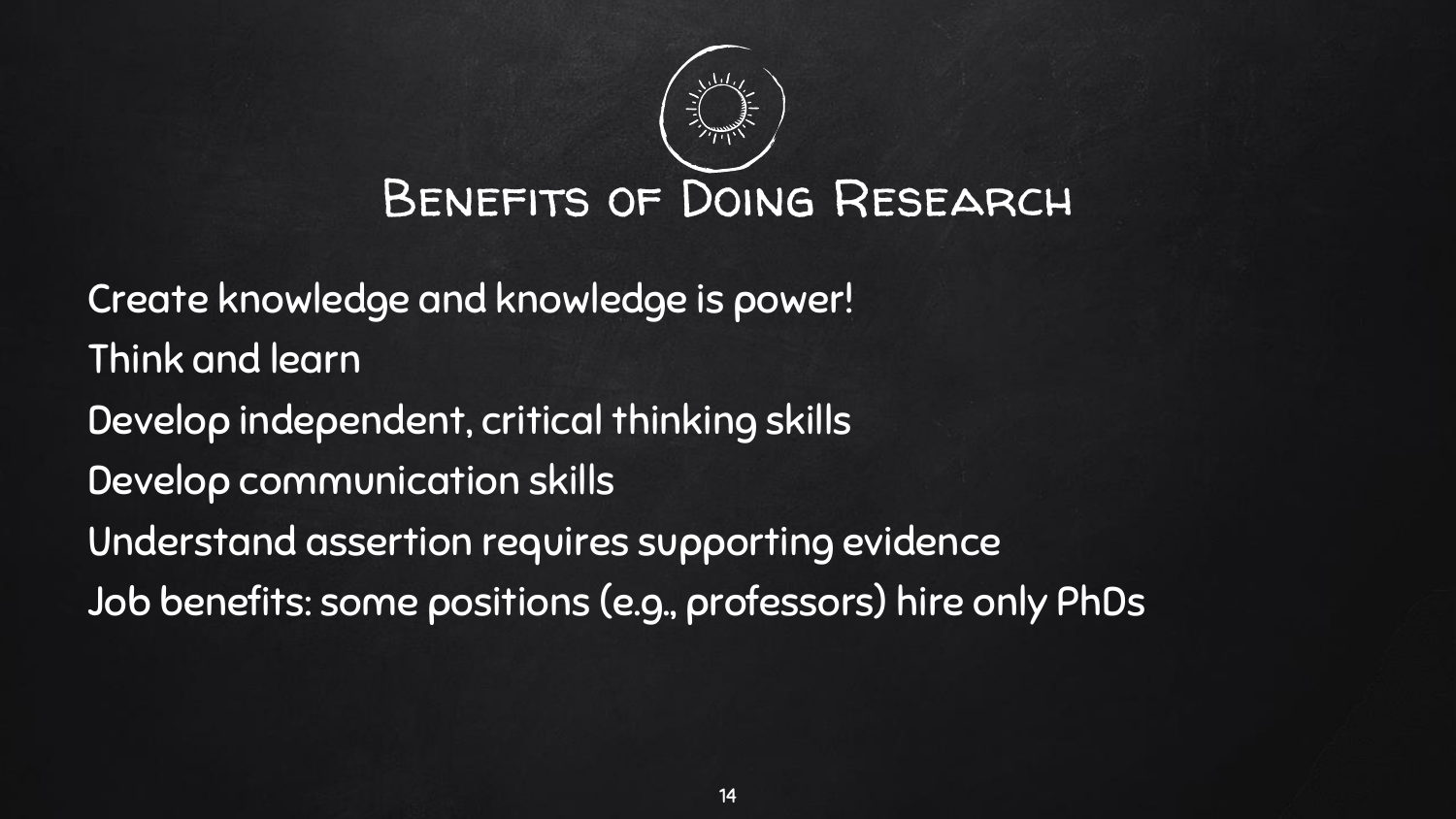

Create knowledge and knowledge is power! Think and learn Develop independent, critical thinking skills Develop communication skills Understand assertion requires supporting evidence Job benefits: some positions (e.g., professors) hire only PhDs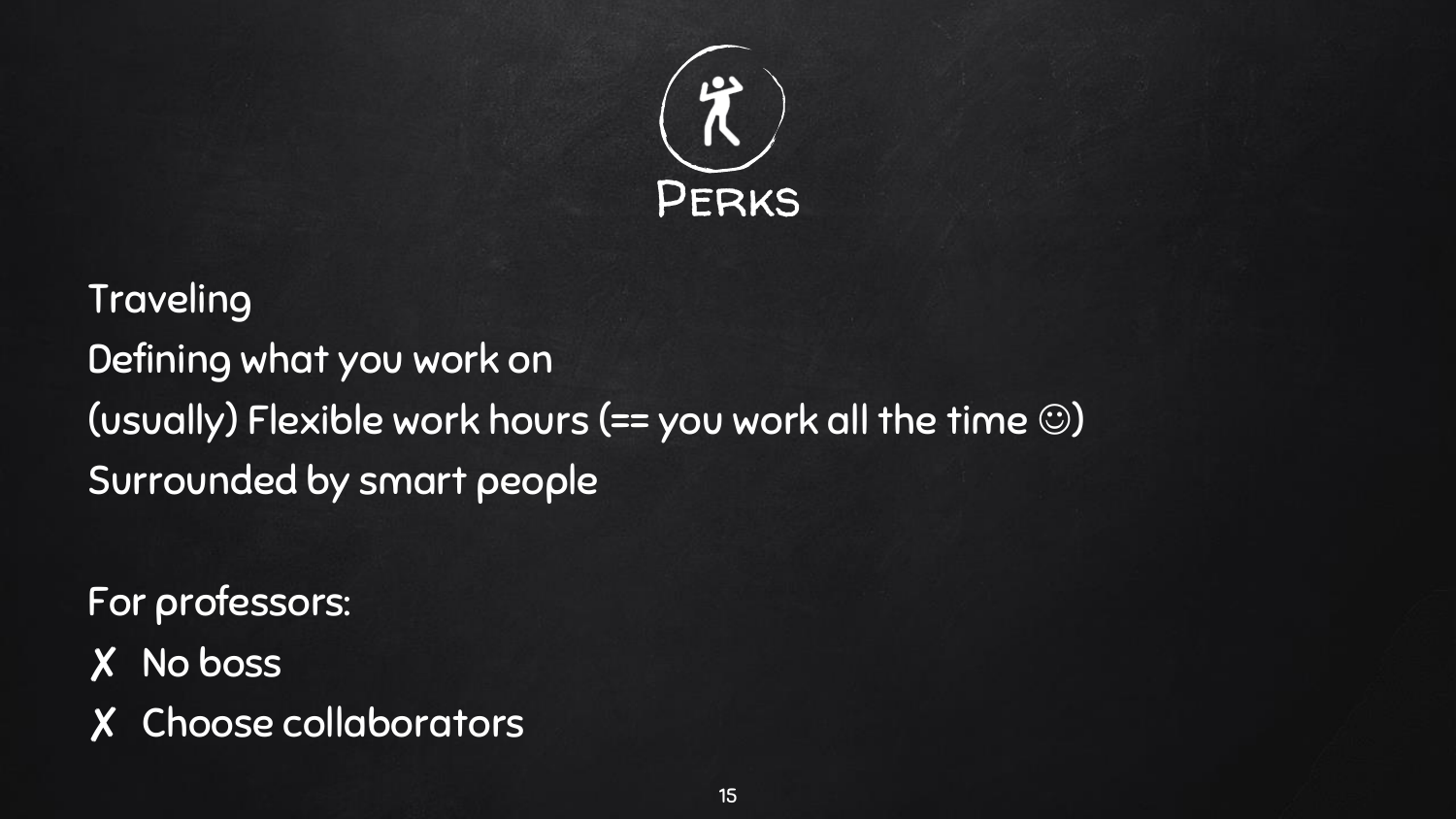

### **Traveling** Defining what you work on (usually) Flexible work hours (== you work all the time  $\circledcirc$ ) Surrounded by smart people

For professors:

- ✘ No boss
- ✘ Choose collaborators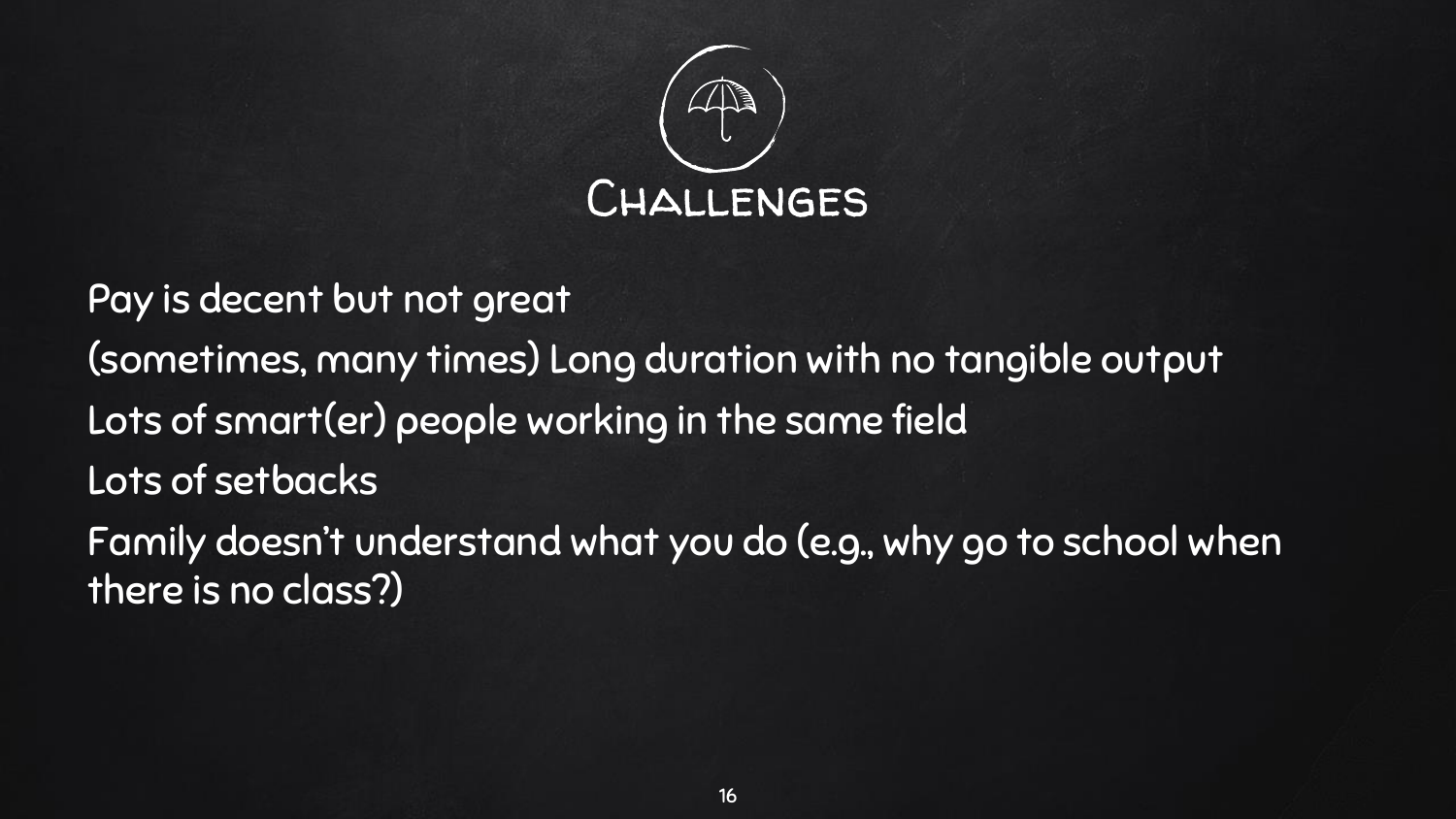

Pay is decent but not great (sometimes, many times) Long duration with no tangible output Lots of smart(er) people working in the same field Lots of setbacks Family doesn't understand what you do (e.g., why go to school when there is no class?)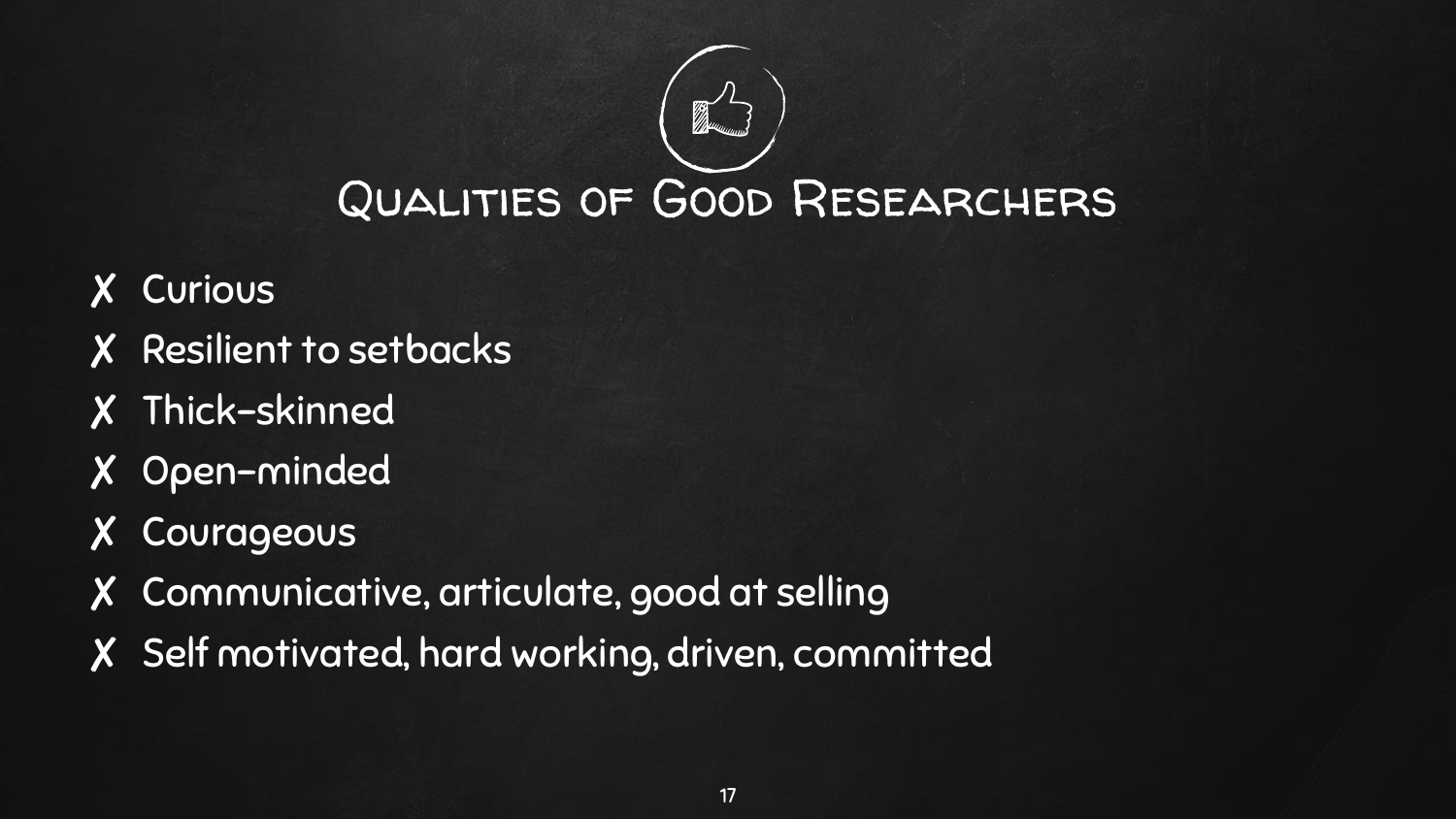

- ✘ Curious
- ✘ Resilient to setbacks
- ✘ Thick-skinned
- ✘ Open-minded
- ✘ Courageous
- ✘ Communicative, articulate, good at selling
- ✘ Self motivated, hard working, driven, committed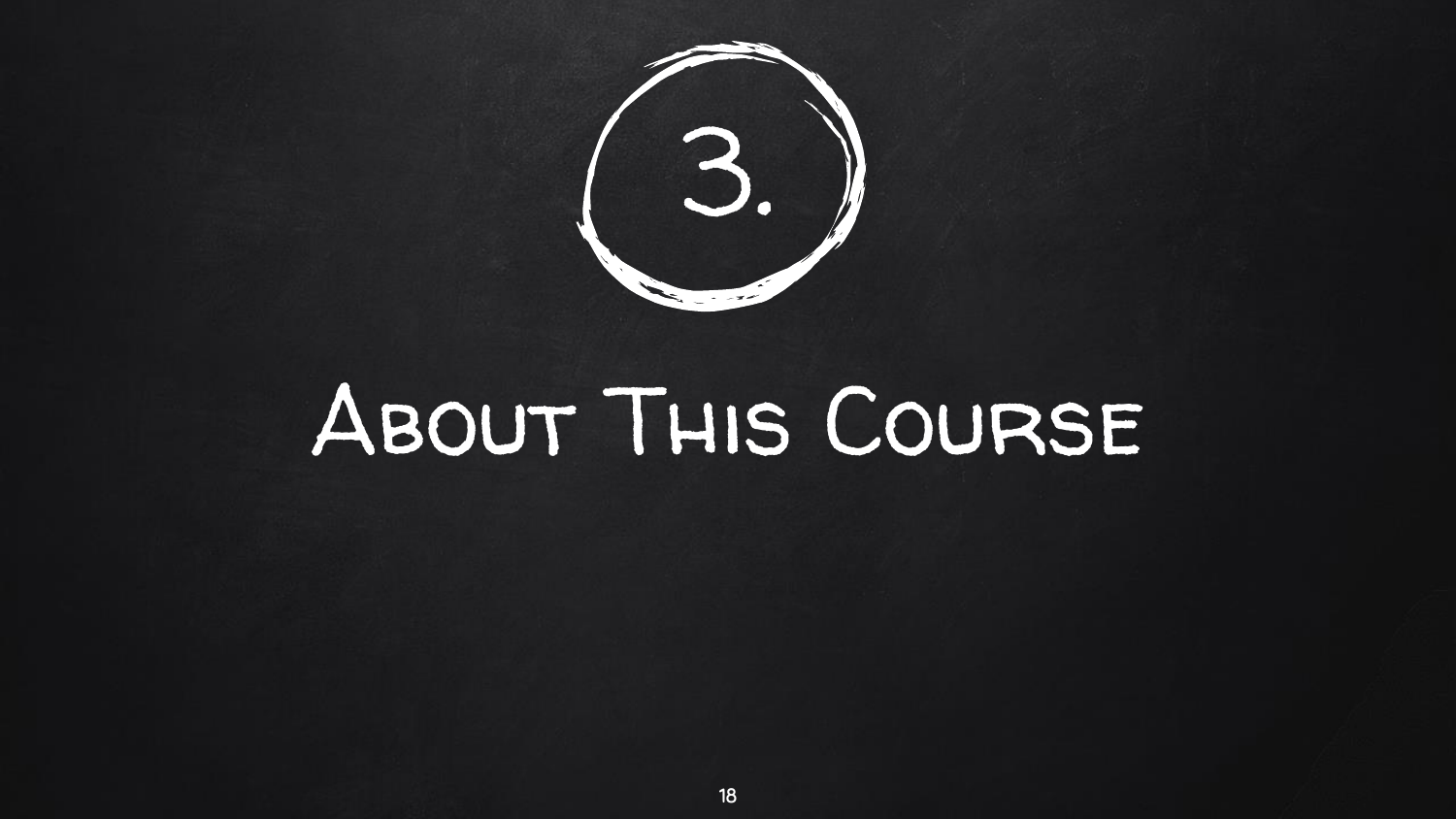

## About This Course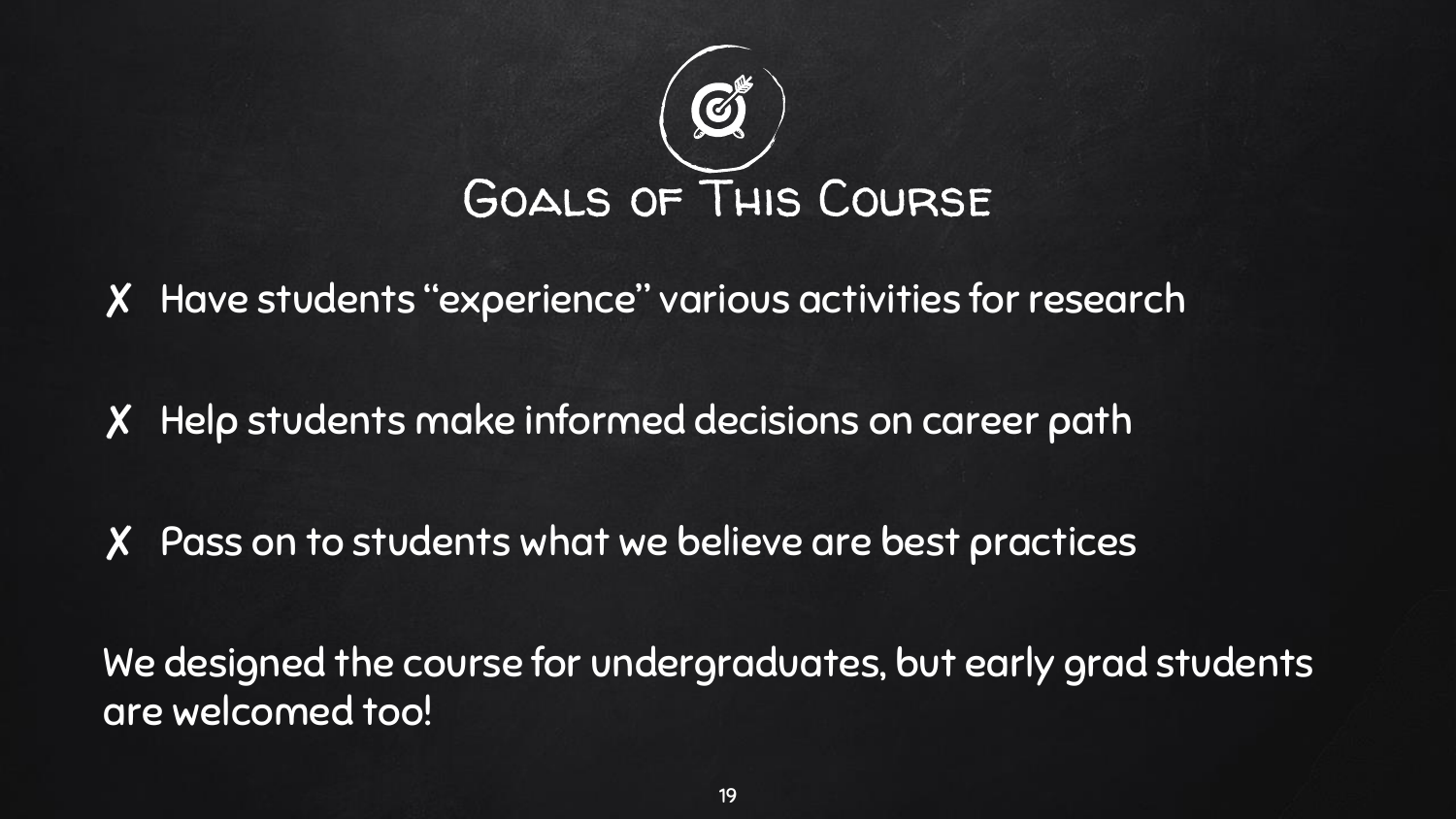

✘ Have students "experience" various activities for research

✘ Help students make informed decisions on career path

✘ Pass on to students what we believe are best practices

We designed the course for undergraduates, but early grad students are welcomed too!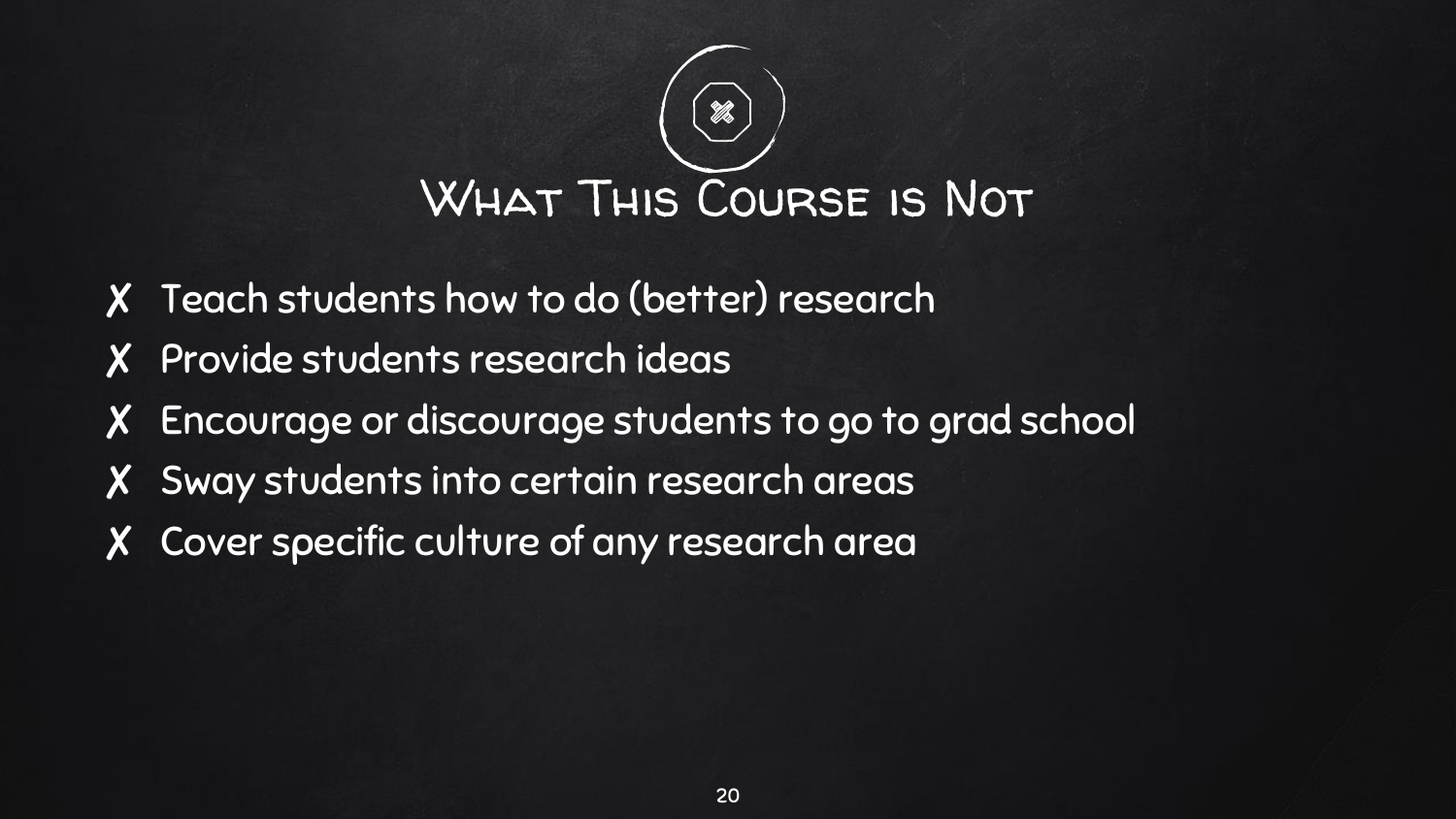

- ✘ Teach students how to do (better) research
- ✘ Provide students research ideas
- ✘ Encourage or discourage students to go to grad school
- ✘ Sway students into certain research areas
- ✘ Cover specific culture of any research area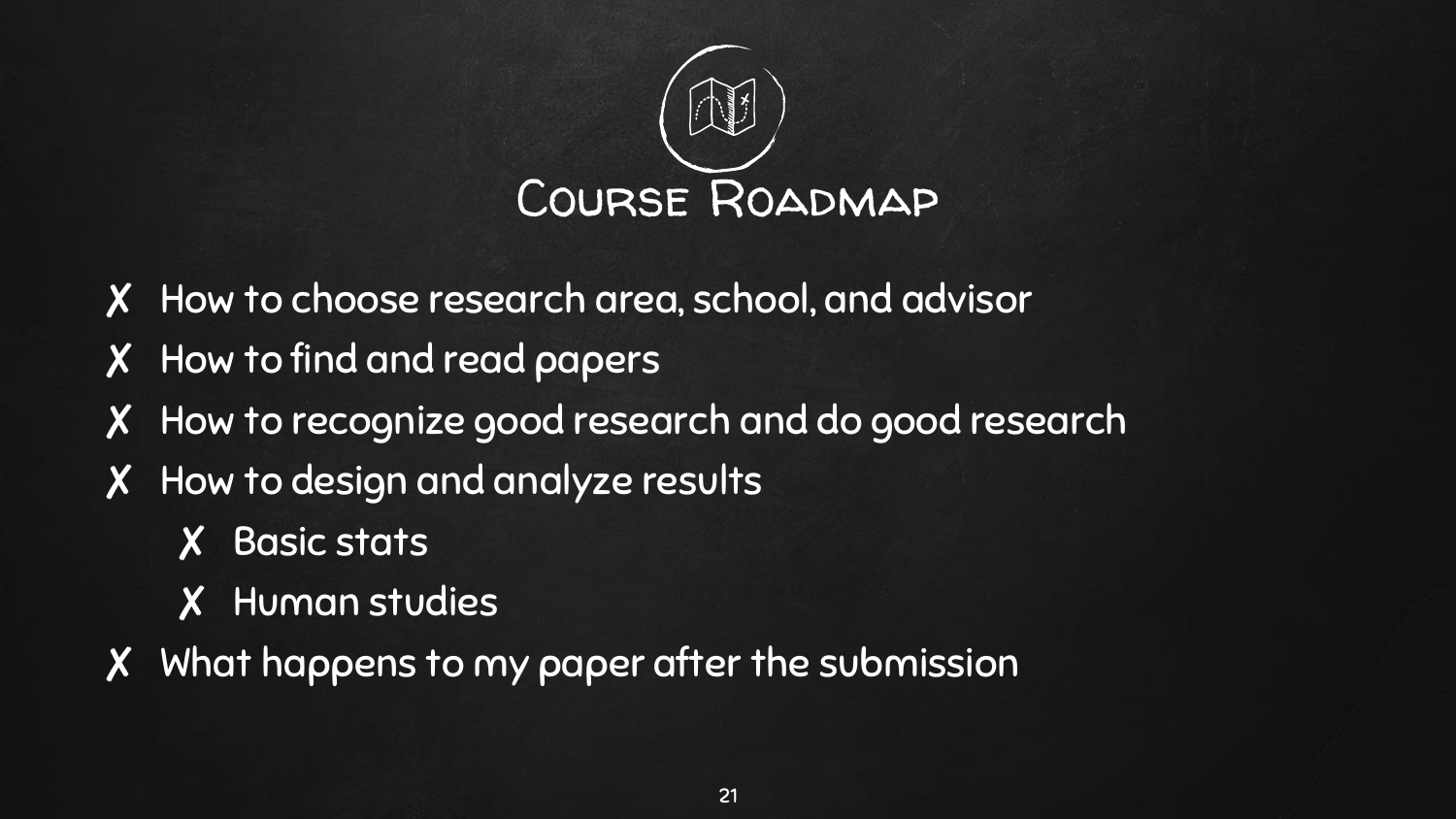

- ✘ How to choose research area, school, and advisor
- ✘ How to find and read papers
- ✘ How to recognize good research and do good research
- ✘ How to design and analyze results
	- ✘ Basic stats
	- ✘ Human studies
- ✘ What happens to my paper after the submission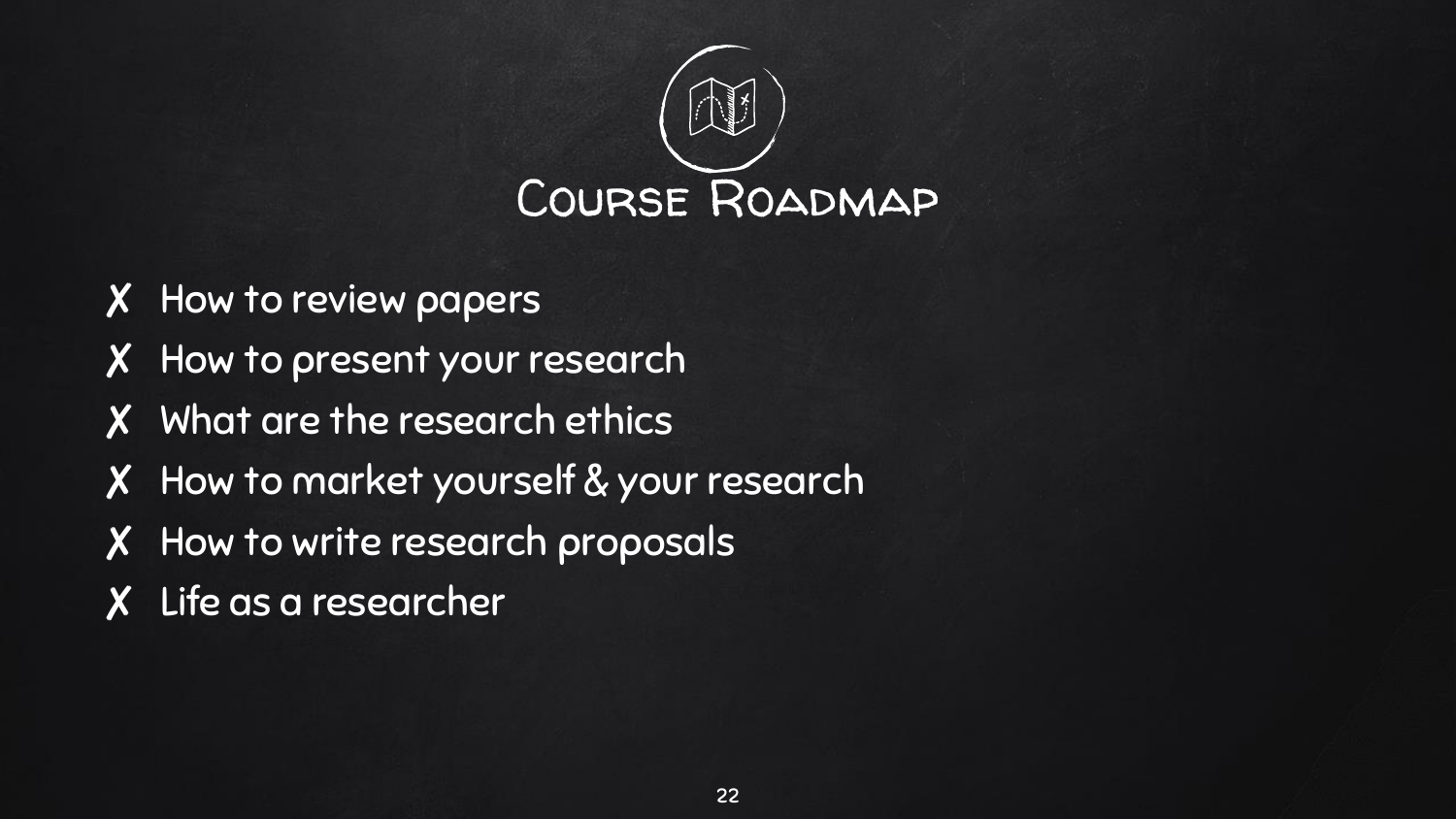

- ✘ How to review papers
- ✘ How to present your research
- ✘ What are the research ethics
- ✘ How to market yourself & your research
- ✘ How to write research proposals
- ✘ Life as a researcher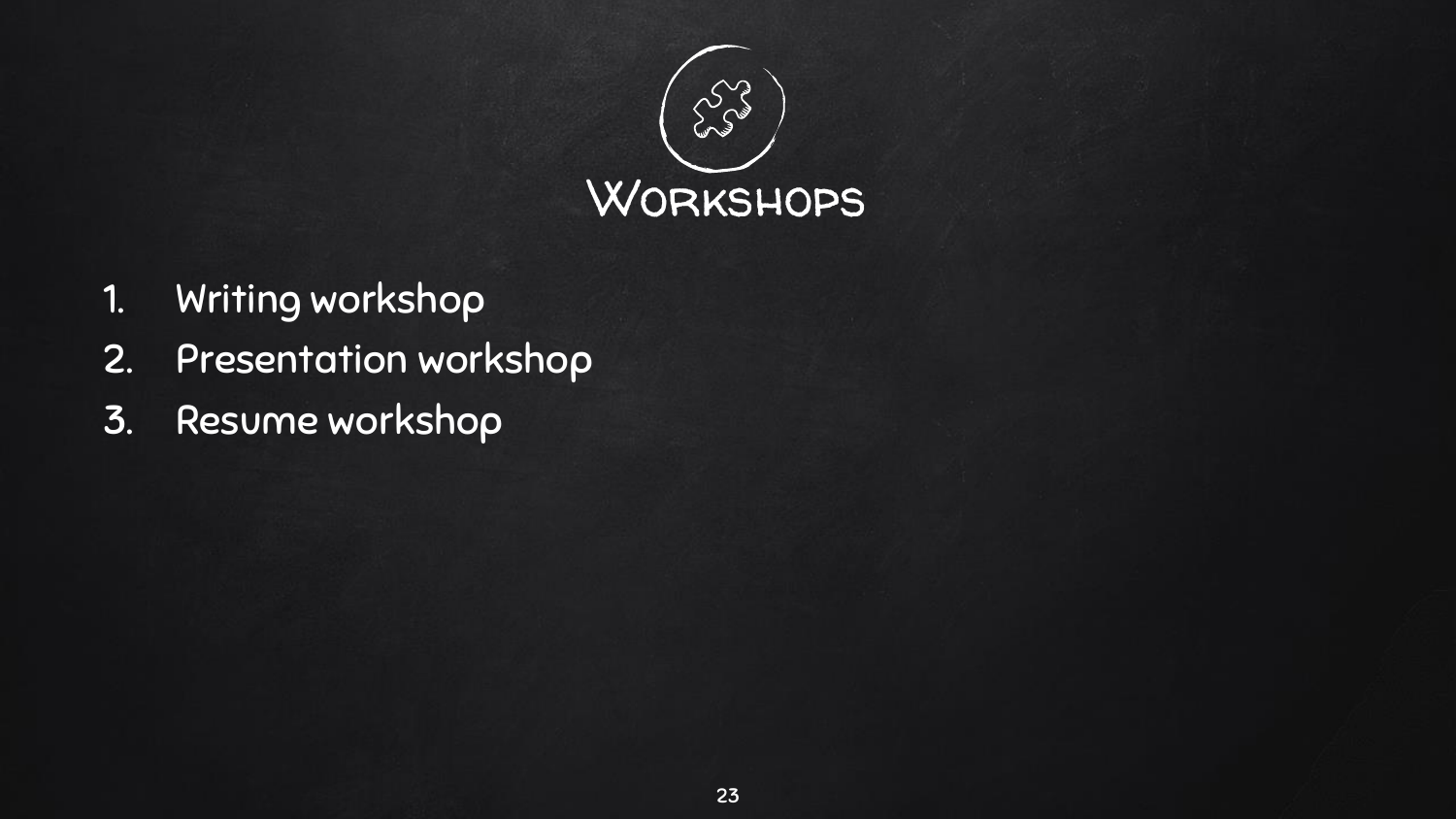

- 1. Writing workshop
- 2. Presentation workshop
- 3. Resume workshop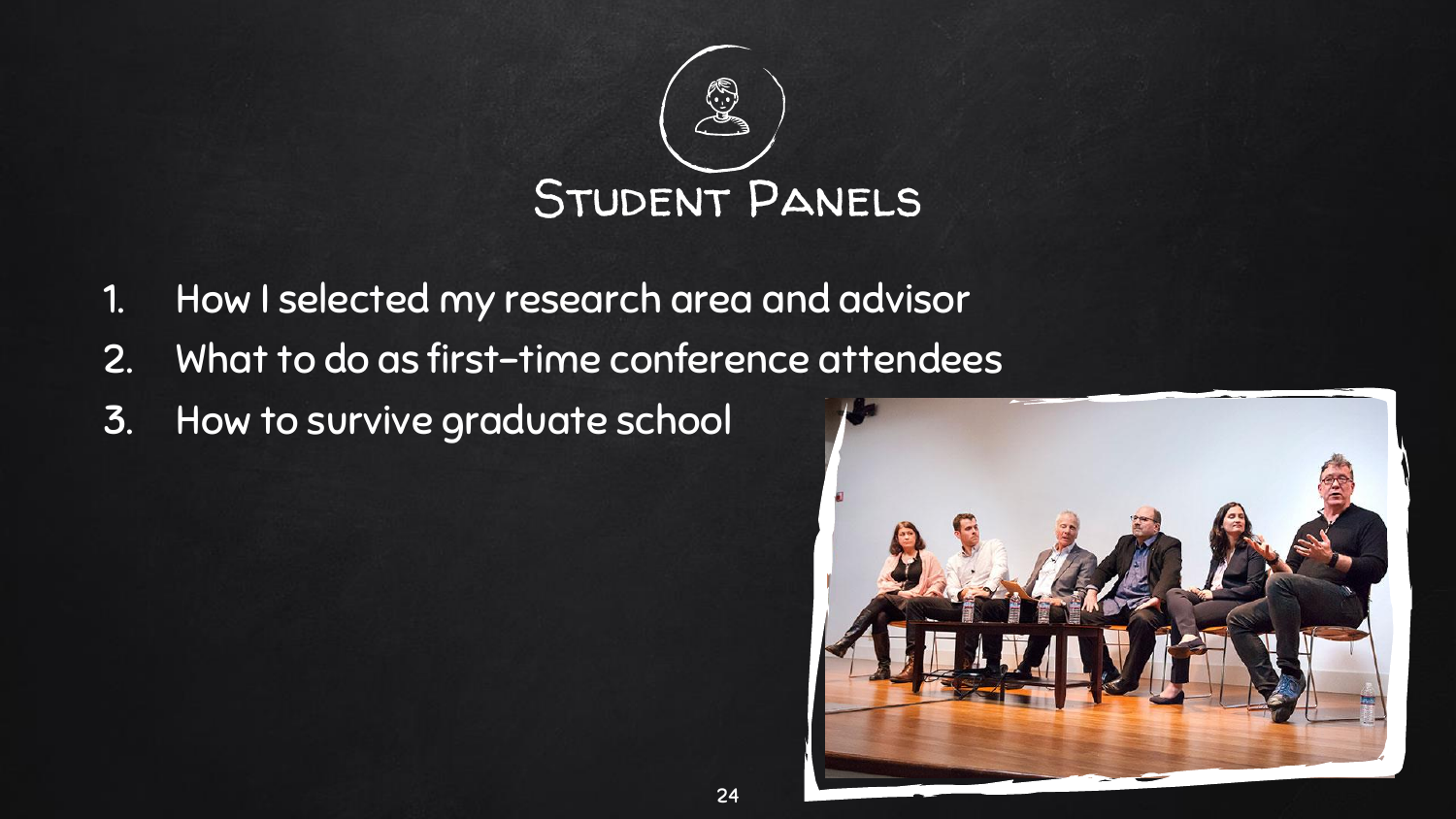

- 1. How I selected my research area and advisor
- 2. What to do as first-time conference attendees
- 3. How to survive graduate school

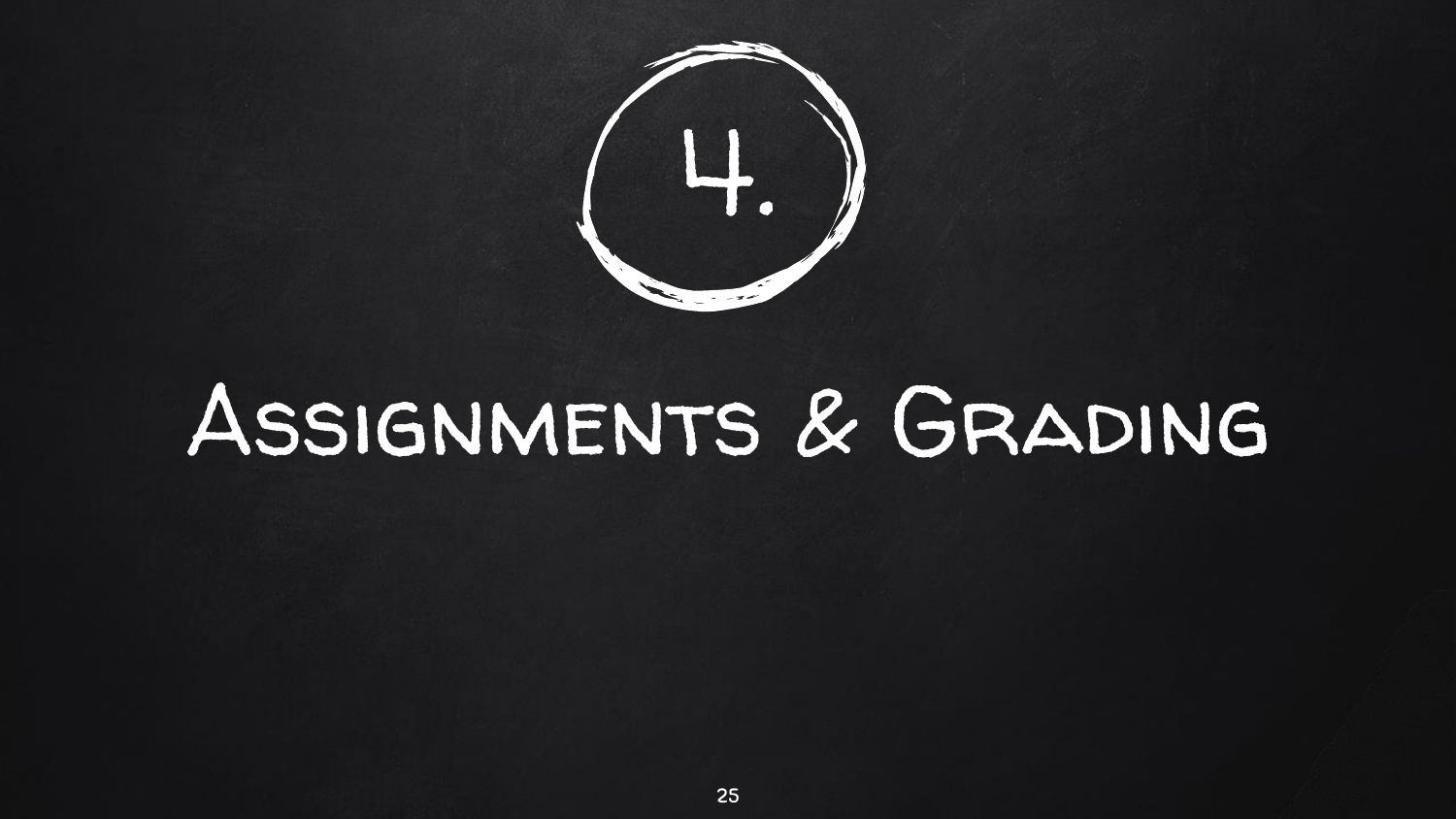

## Assignments & Grading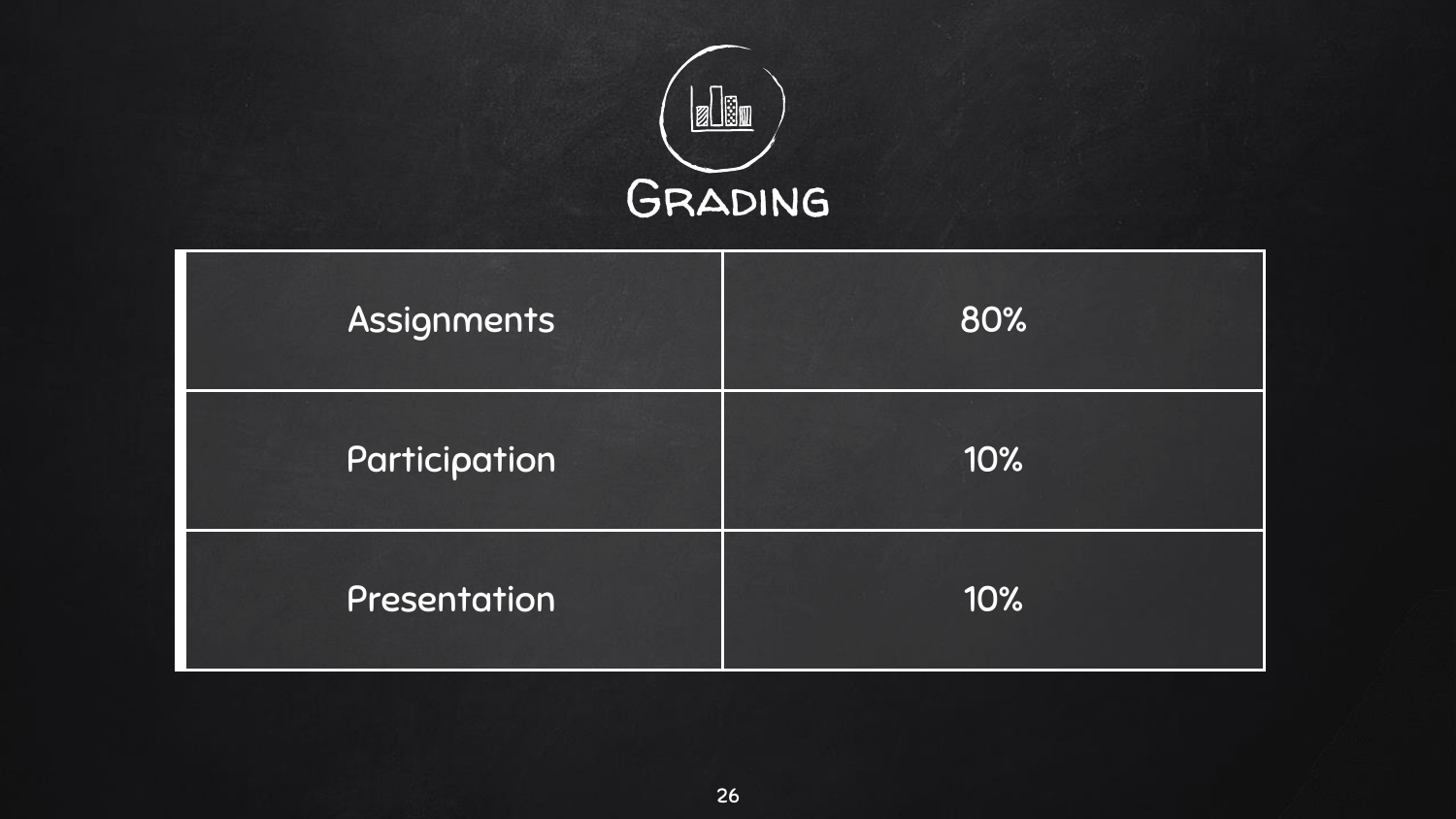

| Assignments   | 80% |
|---------------|-----|
| Participation | 10% |
| Presentation  | 10% |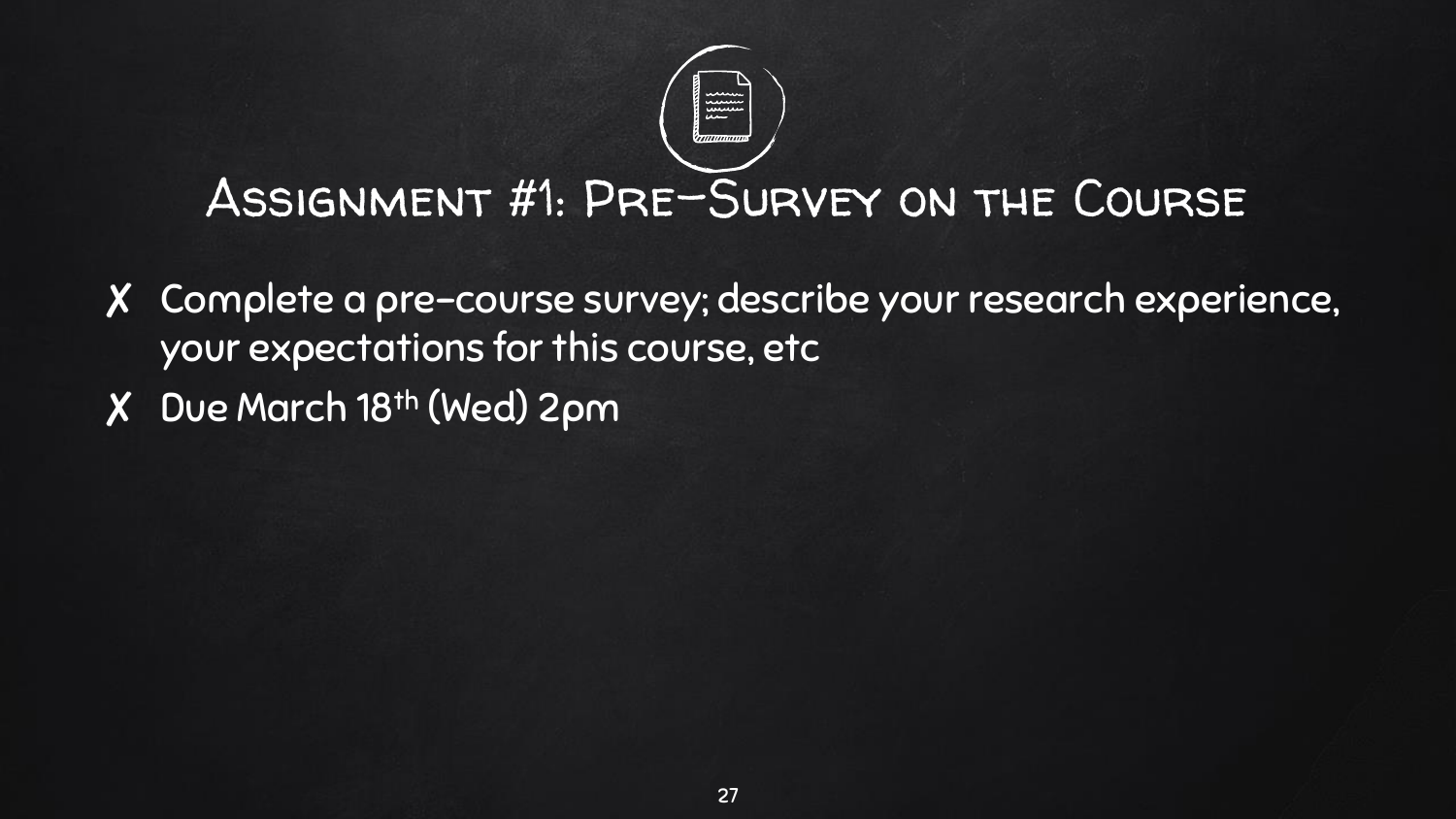### Assignment #1: Pre-Survey on the Course

- ✘ Complete a pre-course survey; describe your research experience, your expectations for this course, etc
- ✘ Due March 18th (Wed) 2pm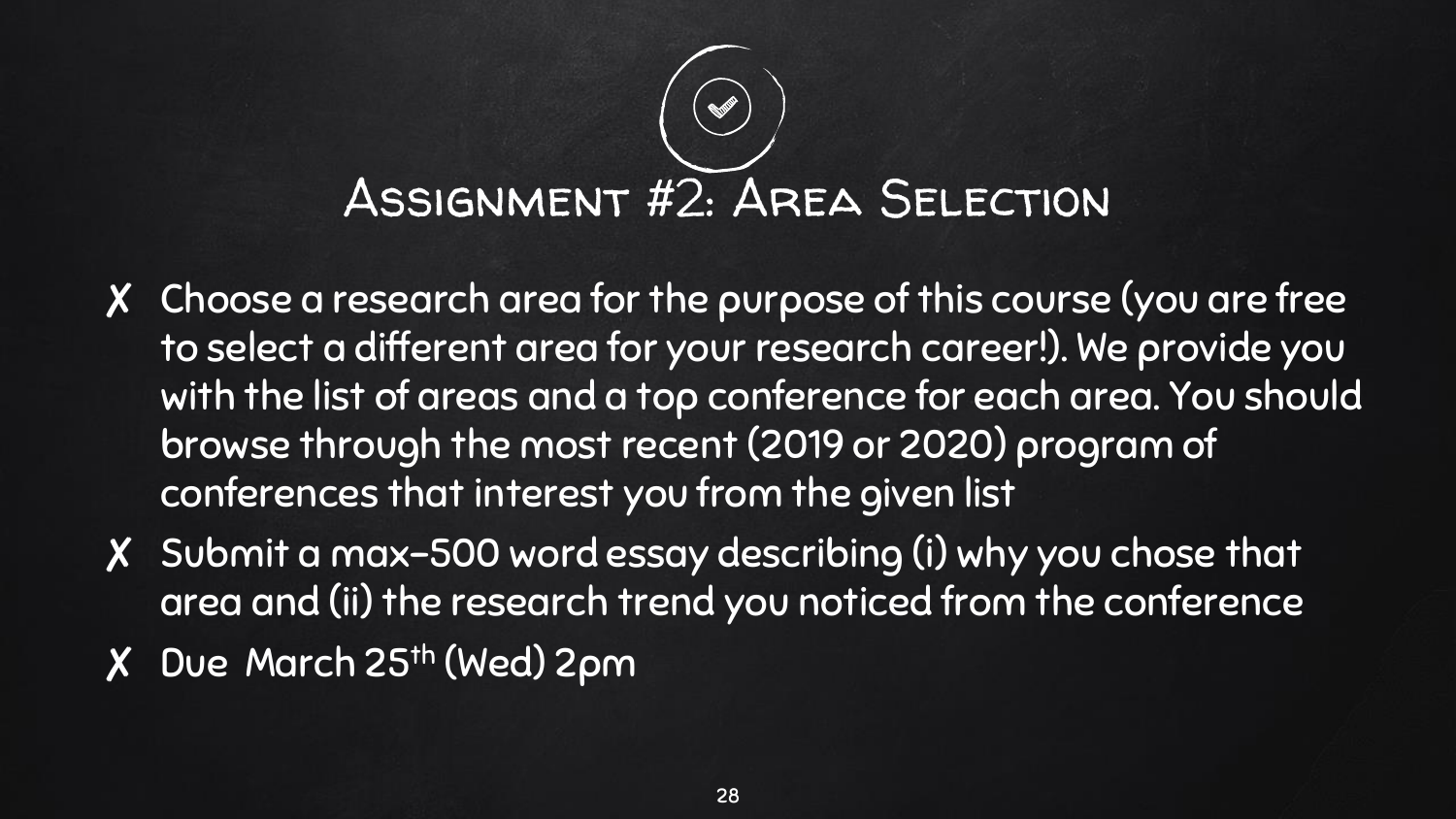# Assignment #2: Area Selection

- ✘ Choose a research area for the purpose of this course (you are free to select a different area for your research career!). We provide you with the list of areas and a top conference for each area. You should browse through the most recent (2019 or 2020) program of conferences that interest you from the given list
- ✘ Submit a max-500 word essay describing (i) why you chose that area and (ii) the research trend you noticed from the conference
- ✘ Due March 25th (Wed) 2pm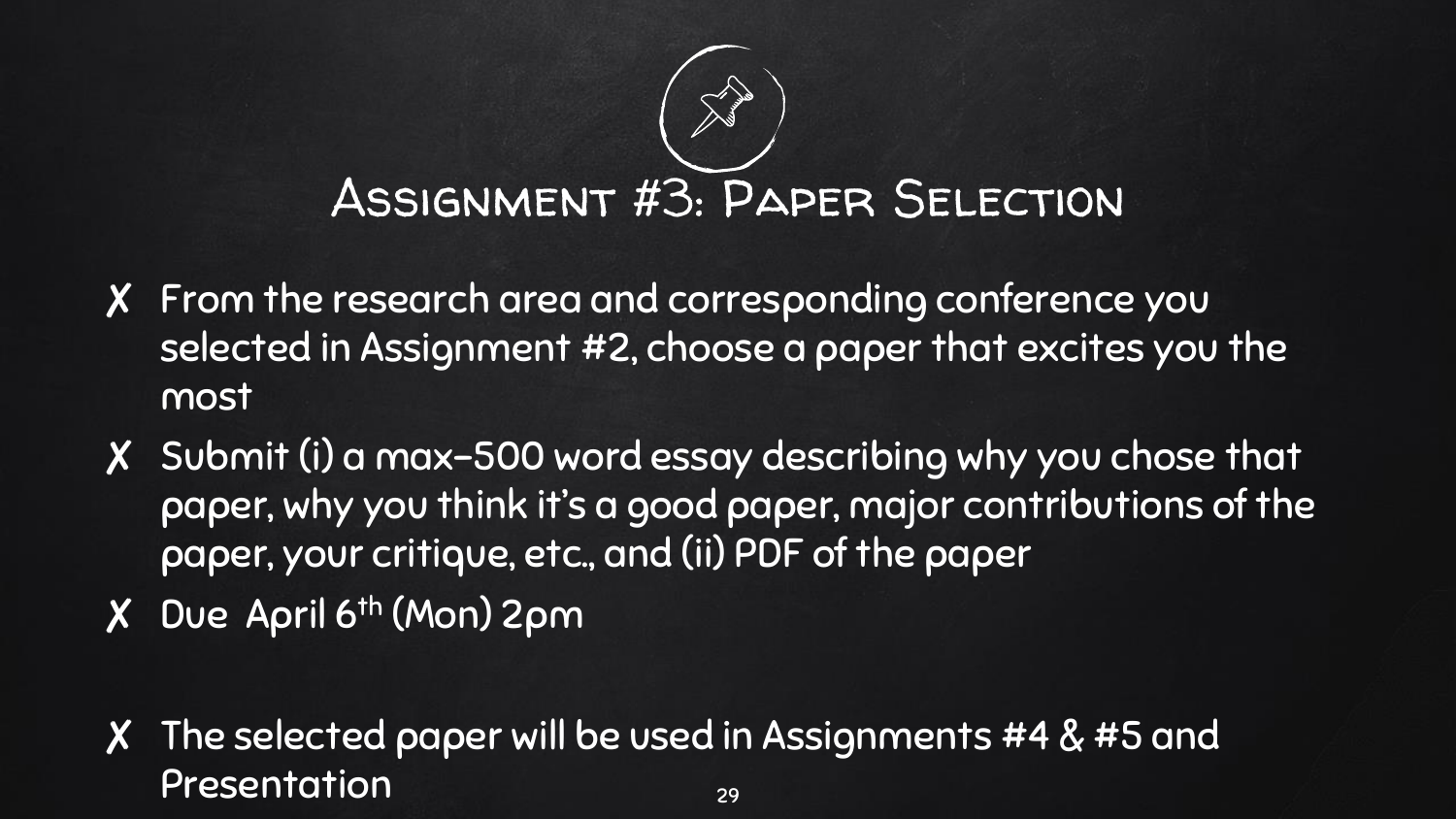# Assignment #3: Paper Selection

- ✘ From the research area and corresponding conference you selected in Assignment #2, choose a paper that excites you the most
- ✘ Submit (i) a max-500 word essay describing why you chose that paper, why you think it's a good paper, major contributions of the paper, your critique, etc., and (ii) PDF of the paper
- ✘ Due April 6th (Mon) 2pm
- ✘ The selected paper will be used in Assignments #4 & #5 and Presentation 29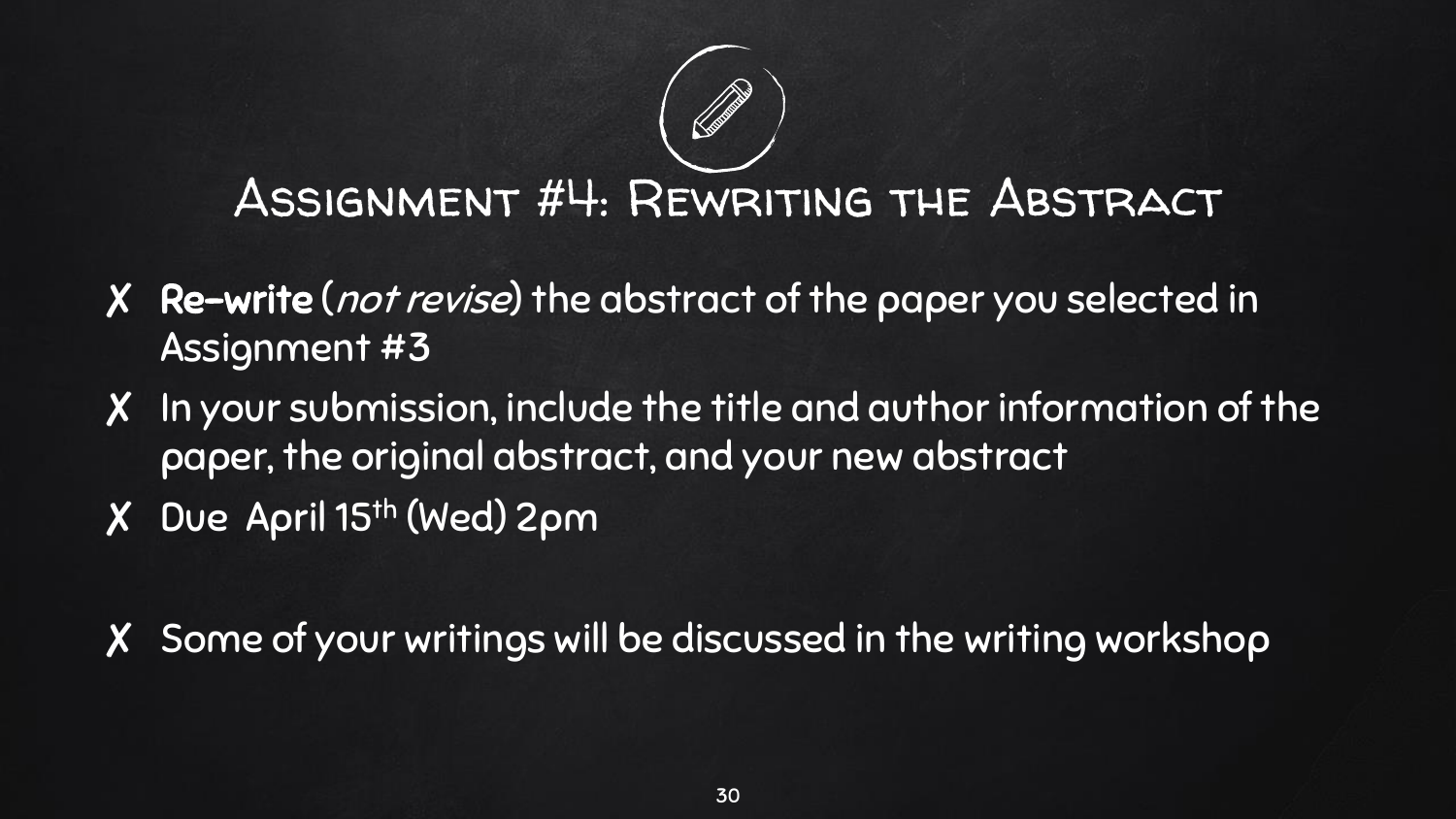### Assignment #4: Rewriting the Abstract

- ✘ Re-write (not revise) the abstract of the paper you selected in Assignment #3
- ✘ In your submission, include the title and author information of the paper, the original abstract, and your new abstract
- ✘ Due April 15th (Wed) 2pm

✘ Some of your writings will be discussed in the writing workshop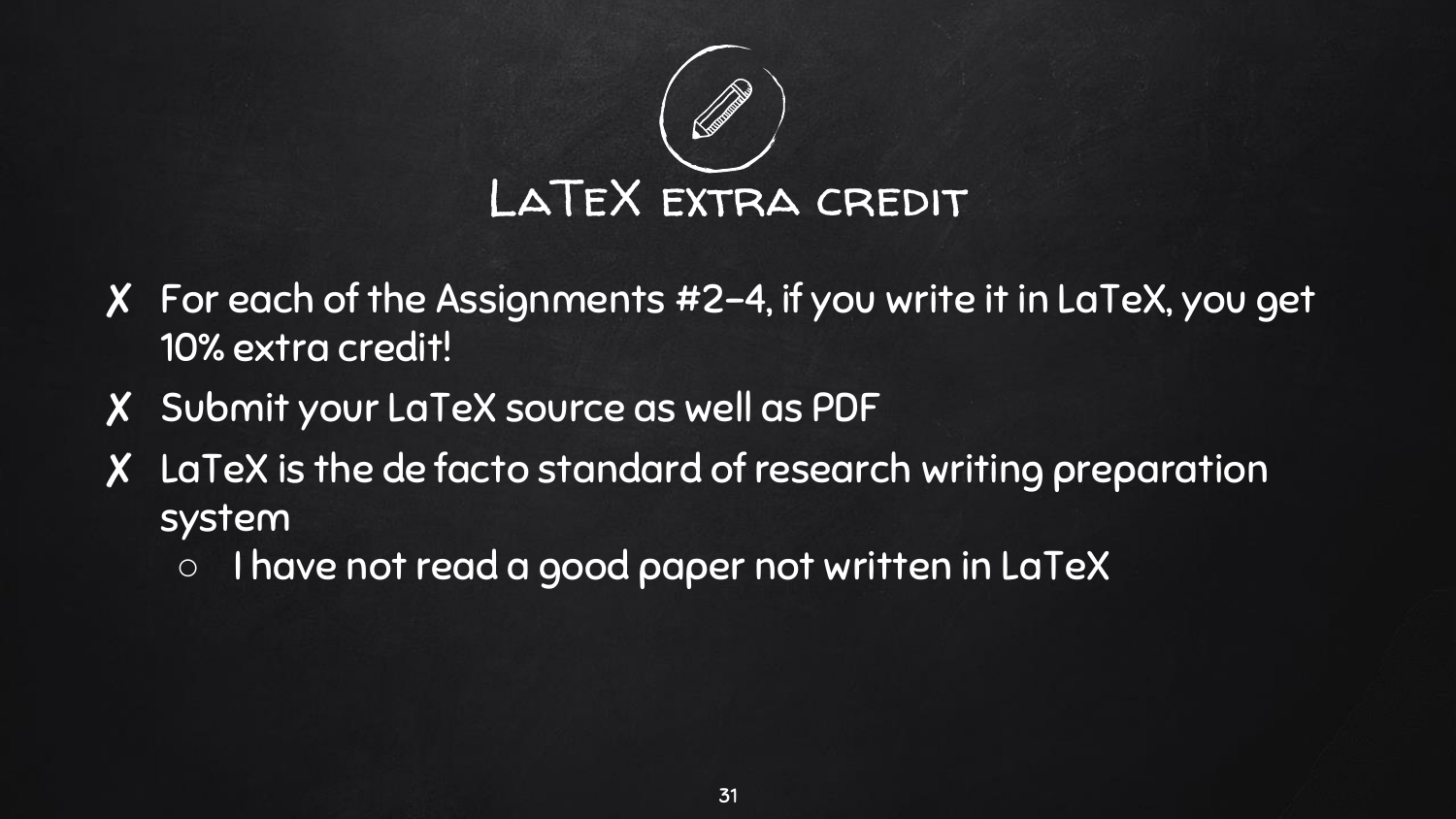

- ✘ For each of the Assignments #2-4, if you write it in LaTeX, you get 10% extra credit!
- ✘ Submit your LaTeX source as well as PDF
- ✘ LaTeX is the de facto standard of research writing preparation system
	- I have not read a good paper not written in LaTeX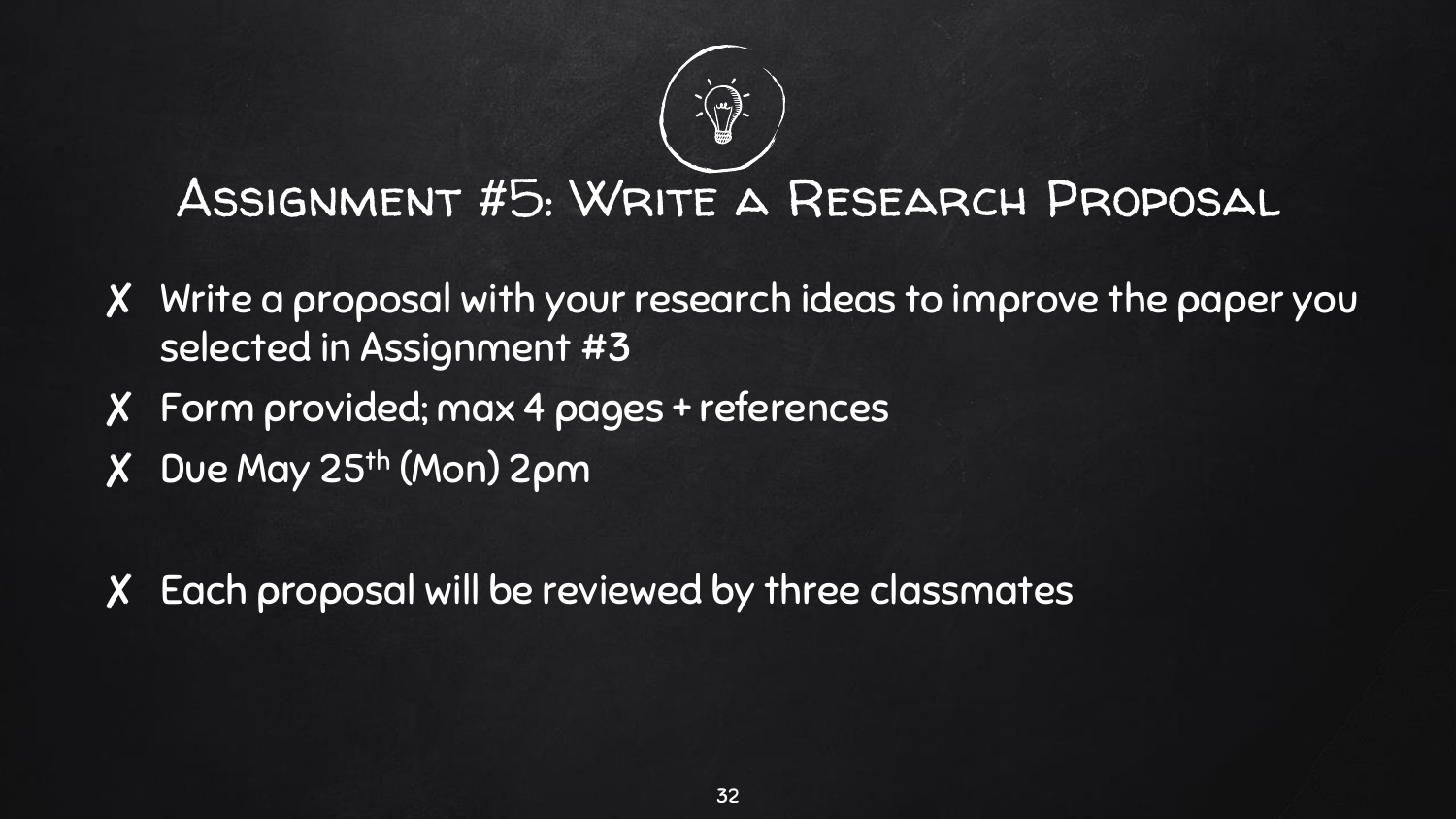

### Assignment #5: Write a Research Proposal

- ✘ Write a proposal with your research ideas to improve the paper you selected in Assignment #3
- ✘ Form provided; max 4 pages + references
- ✘ Due May 25th (Mon) 2pm

✘ Each proposal will be reviewed by three classmates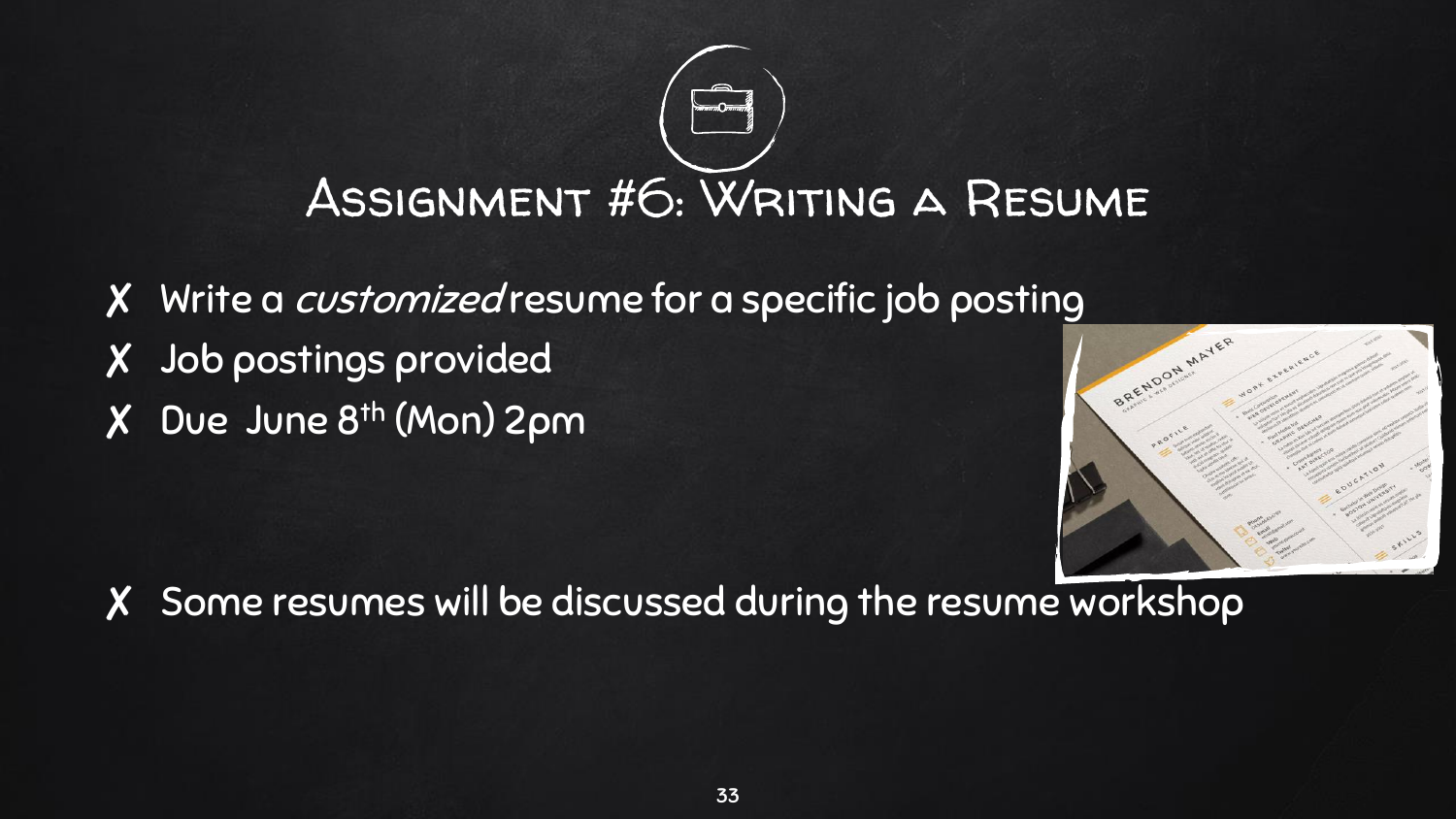# ASSIGNMENT #6: WRITING A RESUME

✘ Write a customized resume for a specific job posting ✘ Job postings provided ✘ Due June 8th (Mon) 2pm



✘ Some resumes will be discussed during the resume workshop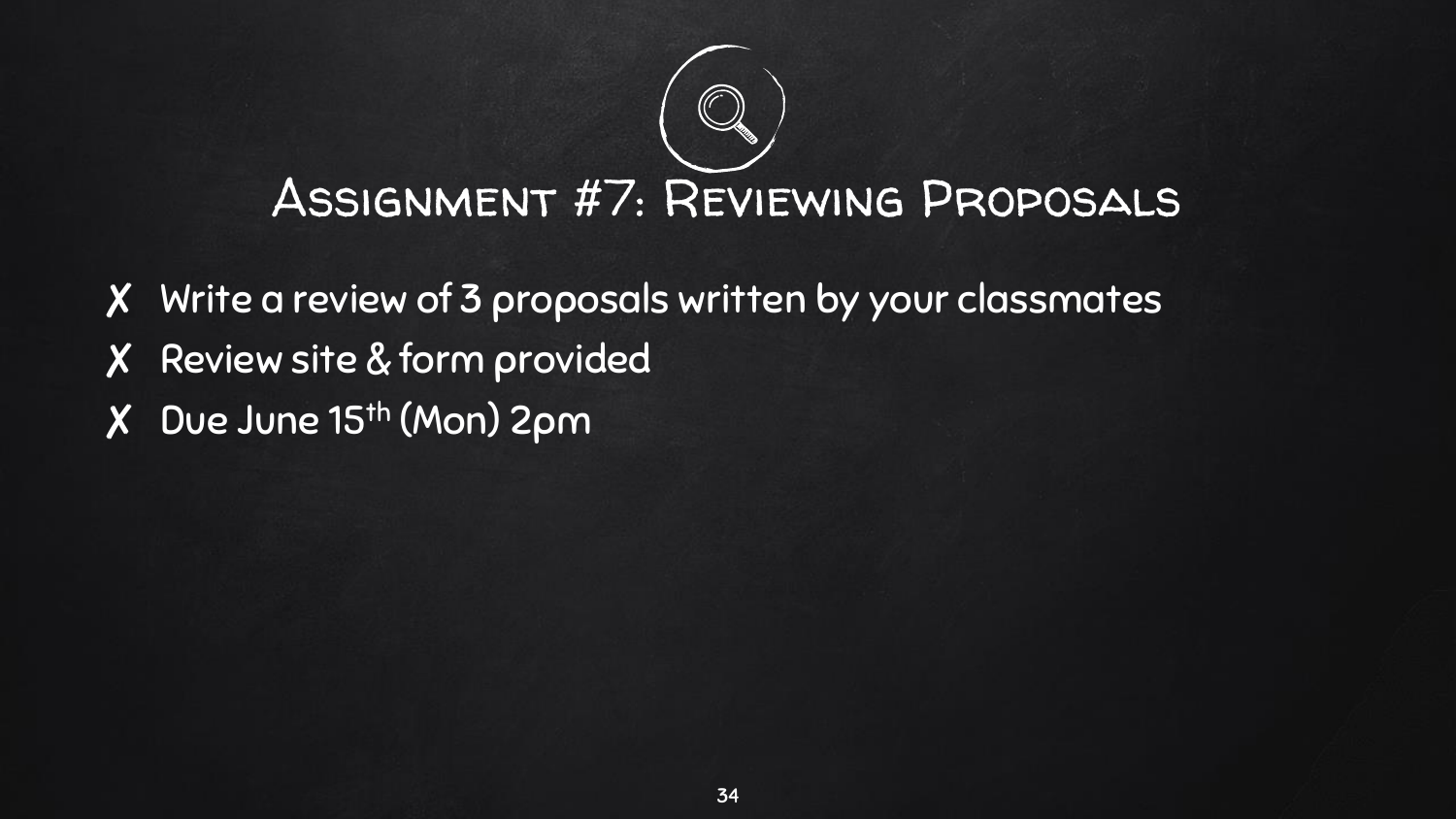# Assignment #7: Reviewing Proposals

- ✘ Write a review of 3 proposals written by your classmates
- ✘ Review site & form provided
- ✘ Due June 15th (Mon) 2pm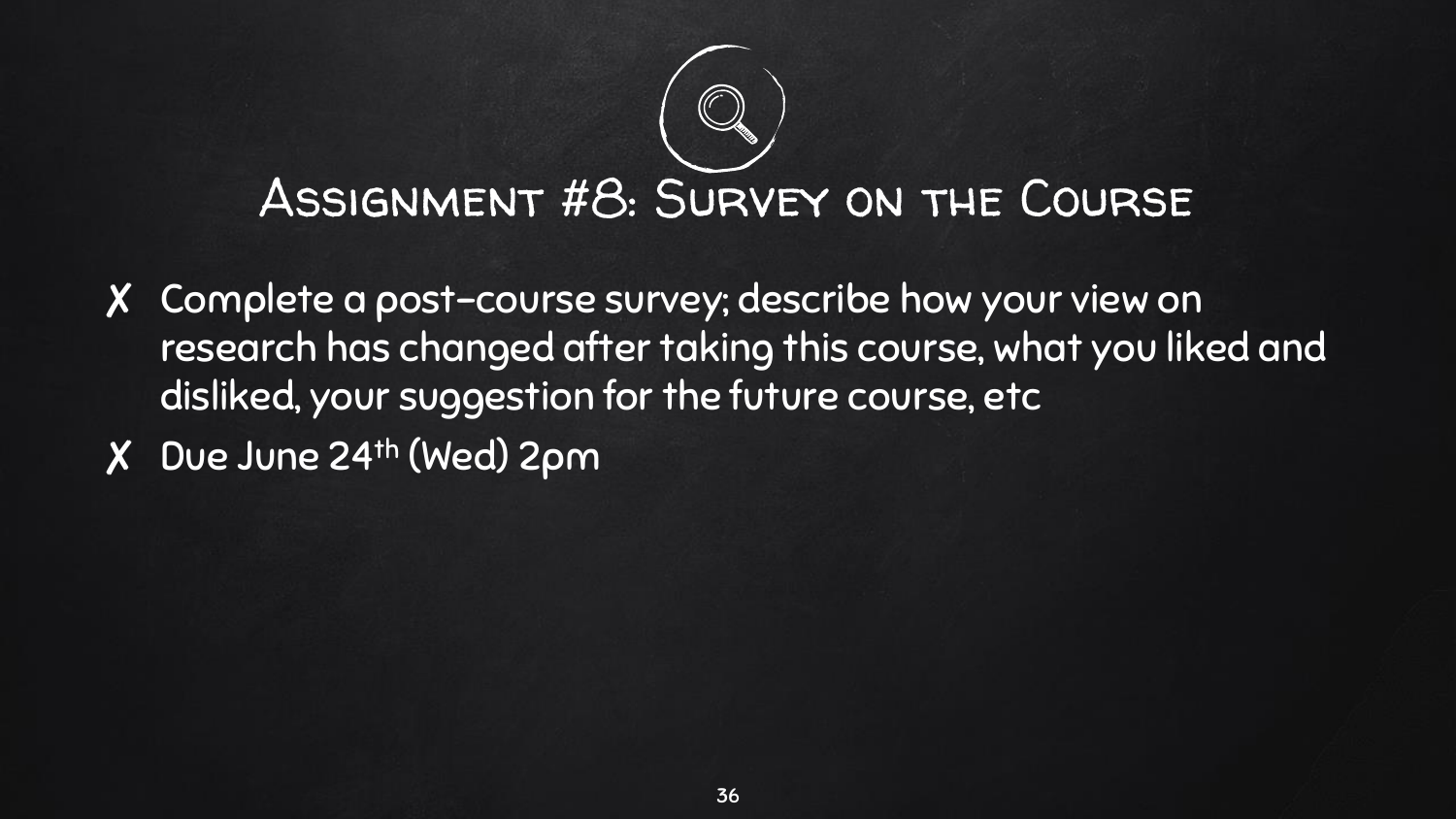### ASSIGNMENT #8: SURVEY ON THE COURSE

- ✘ Complete a post-course survey; describe how your view on research has changed after taking this course, what you liked and disliked, your suggestion for the future course, etc
- ✘ Due June 24th (Wed) 2pm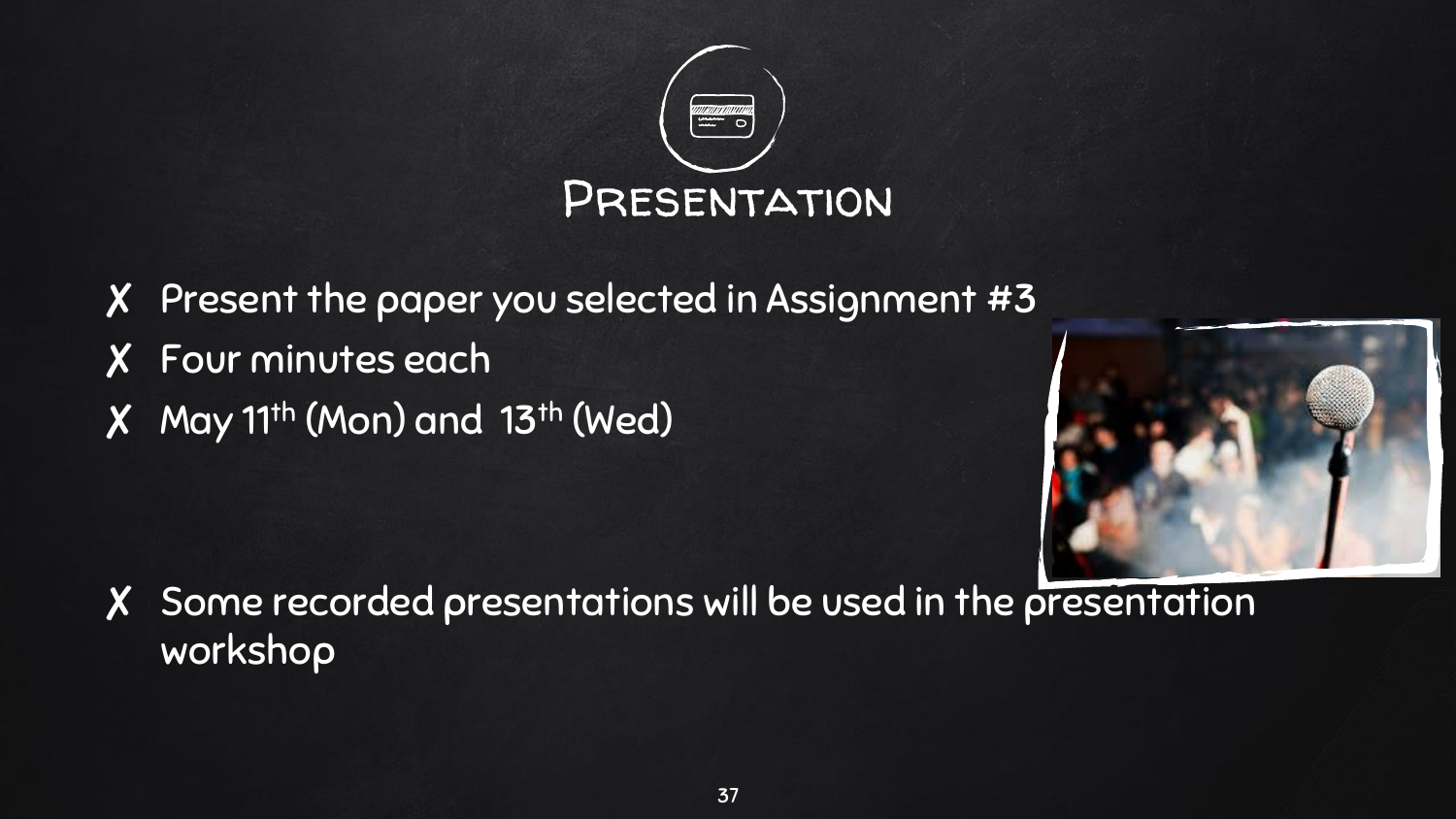

✘ Present the paper you selected in Assignment #3 ✘ Four minutes each ✘ May 11th (Mon) and 13th (Wed)



✘ Some recorded presentations will be used in the presentation workshop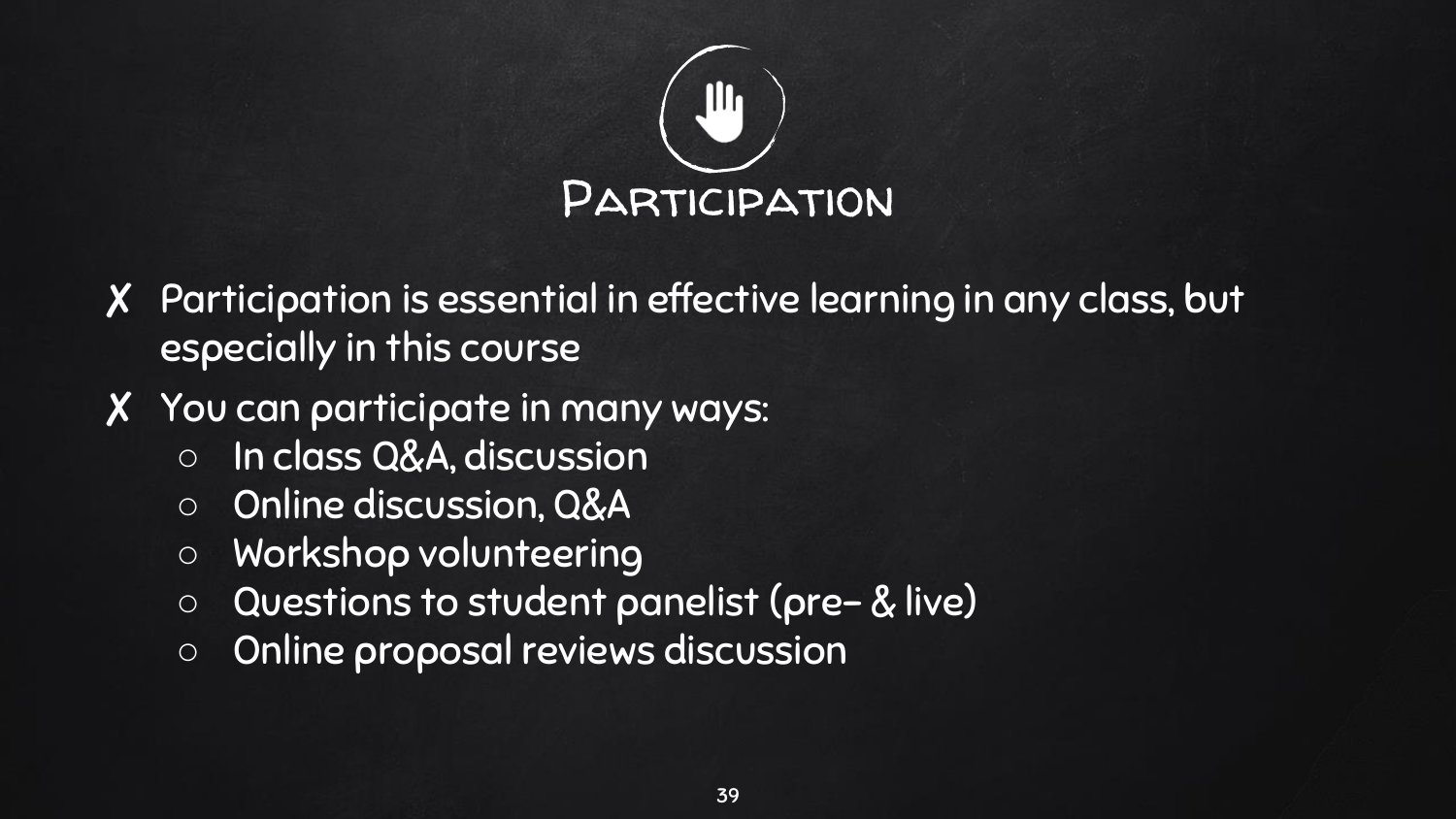

- ✘ Participation is essential in effective learning in any class, but especially in this course
- ✘ You can participate in many ways:
	- In class Q&A, discussion
	- Online discussion, Q&A
	- Workshop volunteering
	- Questions to student panelist (pre- & live)
	- Online proposal reviews discussion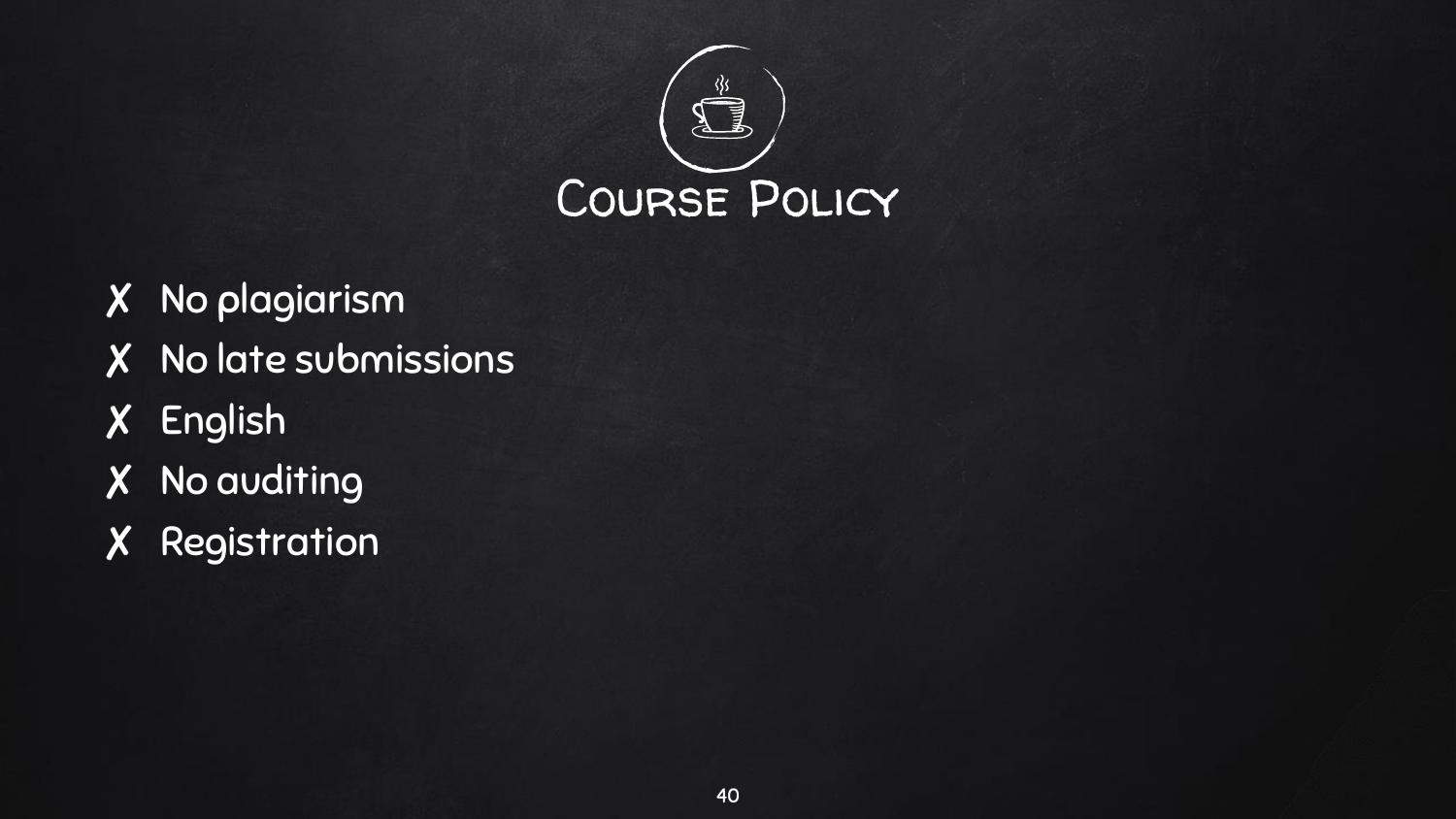

- ✘ No plagiarism
- ✘ No late submissions
- ✘ English
- ✘ No auditing
- ✘ Registration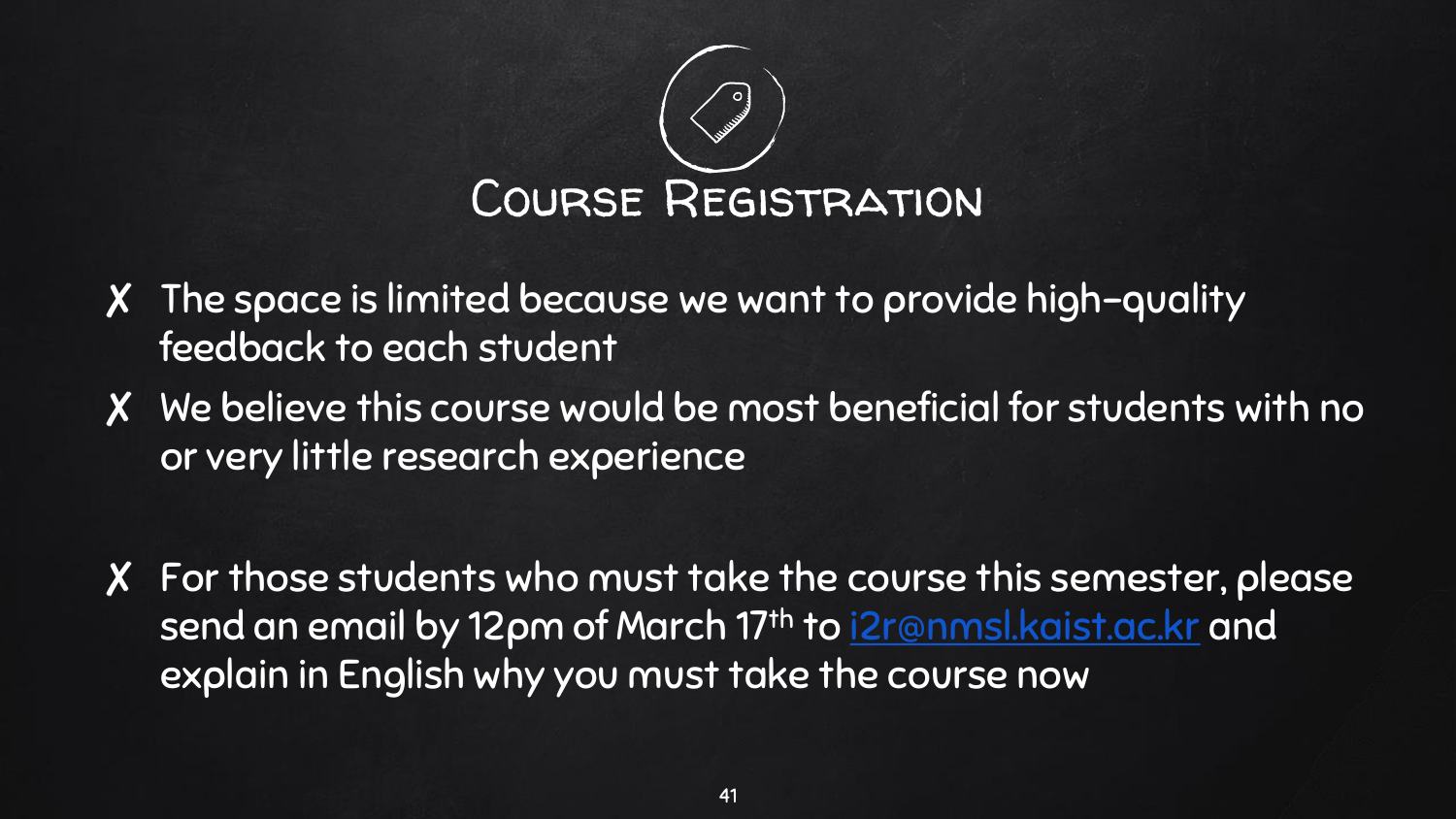

- ✘ The space is limited because we want to provide high-quality feedback to each student
- ✘ We believe this course would be most beneficial for students with no or very little research experience
- ✘ For those students who must take the course this semester, please send an email by 12pm of March 17th to [i2r@nmsl.kaist.ac.kr](mailto:i2r@nmsl.kaist.ac.kr) and explain in English why you must take the course now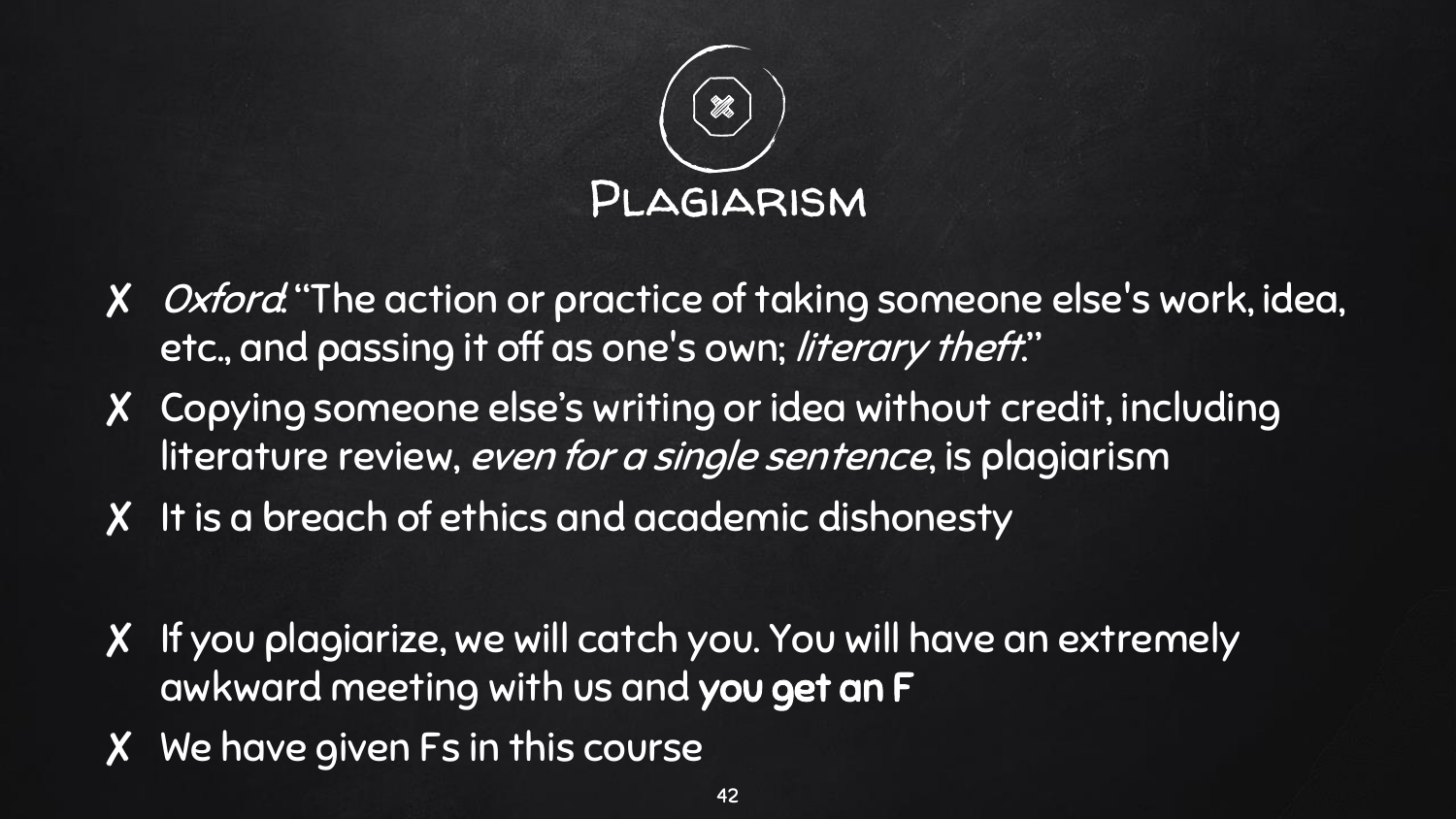

- ✘ Oxford: "The action or practice of taking someone else's work, idea, etc., and passing it off as one's own; literary theft."
- ✘ Copying someone else's writing or idea without credit, including literature review, even for a single sentence, is plagiarism
- ✘ It is a breach of ethics and academic dishonesty
- ✘ If you plagiarize, we will catch you. You will have an extremely awkward meeting with us and you get an F
- ✘ We have given Fs in this course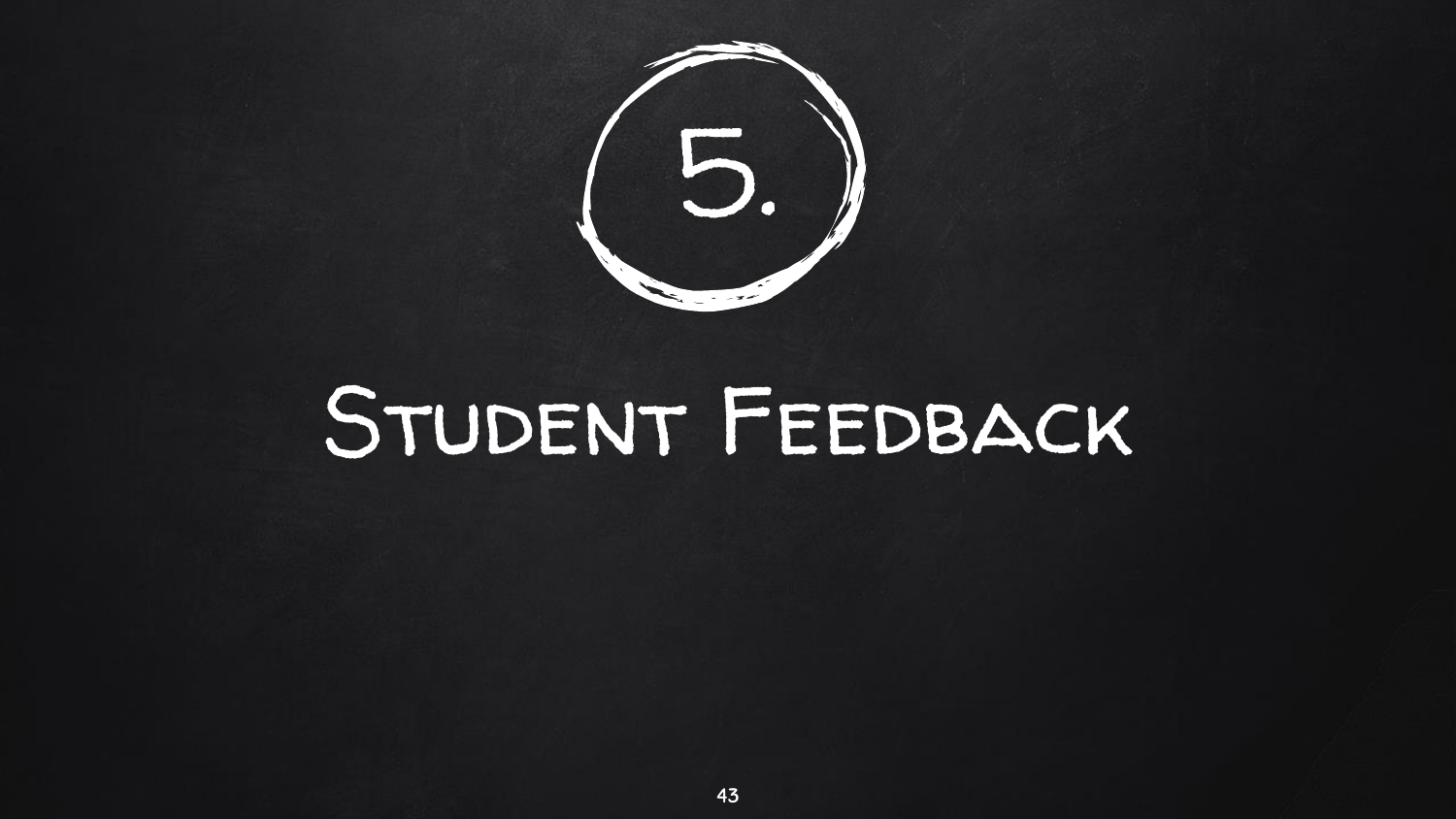

### Student Feedback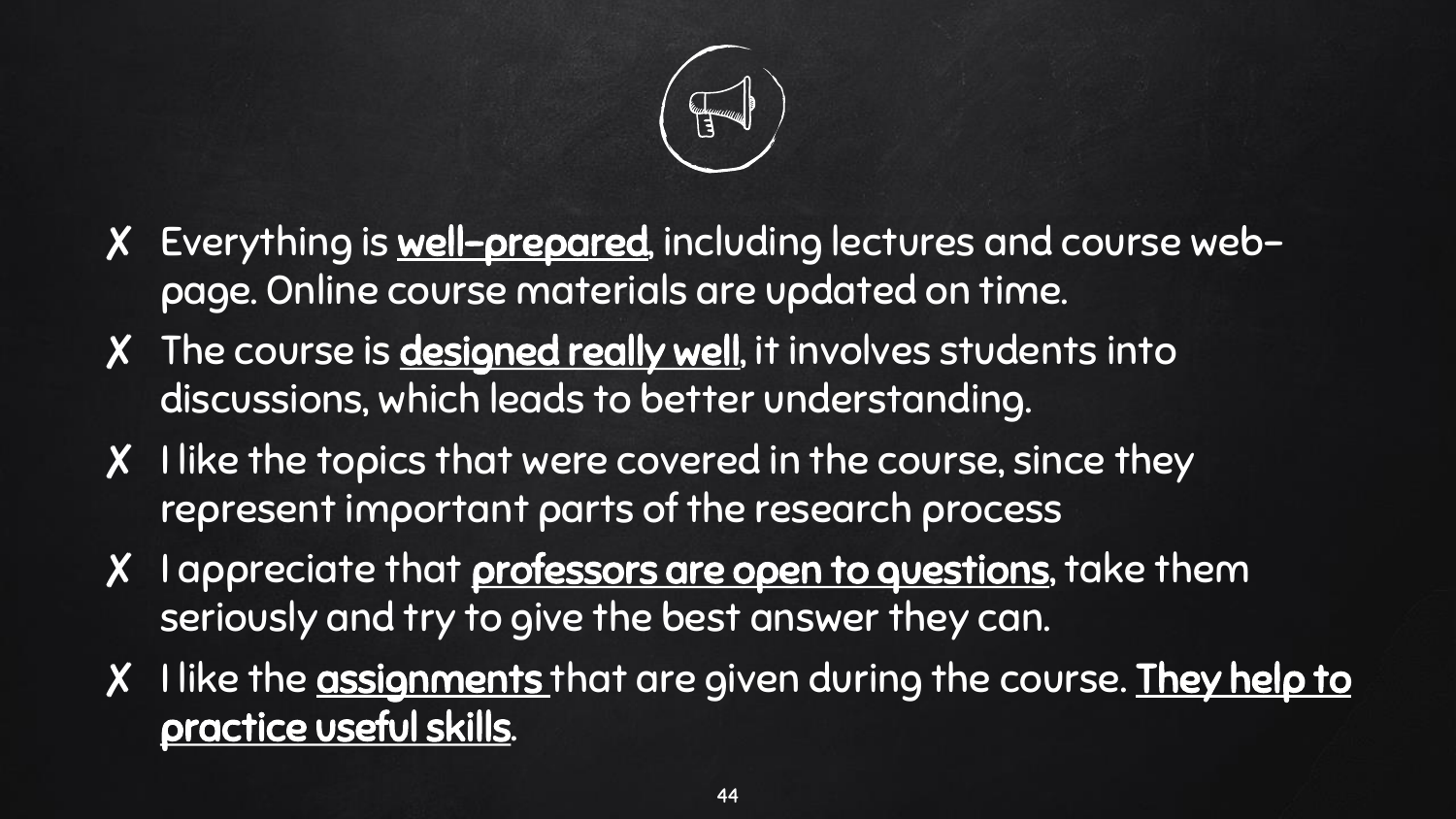

- ✘ Everything is well-prepared, including lectures and course webpage. Online course materials are updated on time.
- X The course is **designed really well**, it involves students into discussions, which leads to better understanding.
- X I like the topics that were covered in the course, since they represent important parts of the research process
- X I appreciate that **professors are open to questions**, take them seriously and try to give the best answer they can.
- X I like the assignments that are given during the course. They help to practice useful skills.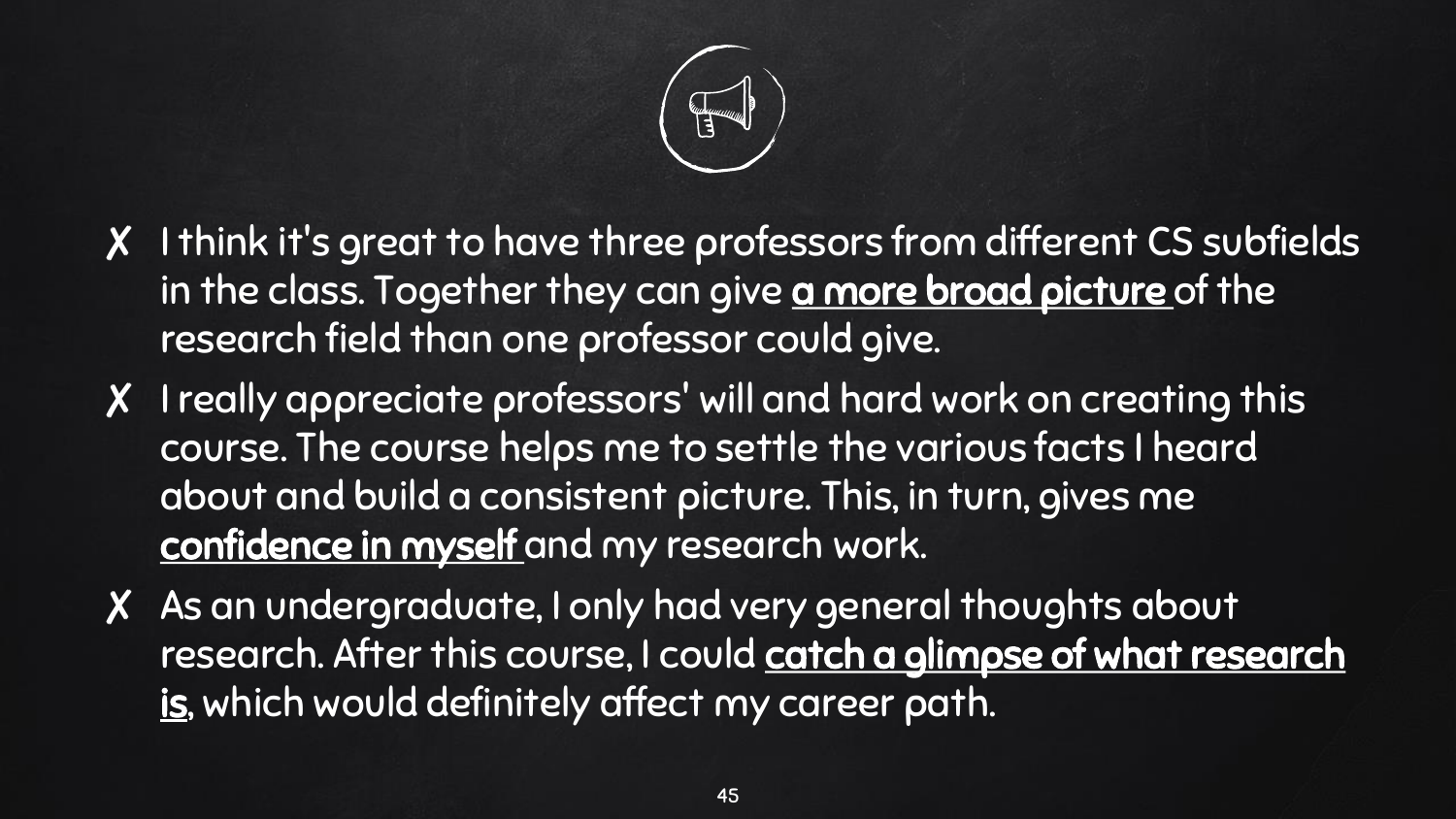

- ✘ I think it's great to have three professors from different CS subfields in the class. Together they can give a more broad picture of the research field than one professor could give.
- ✘ I really appreciate professors' will and hard work on creating this course. The course helps me to settle the various facts I heard about and build a consistent picture. This, in turn, gives me confidence in myself and my research work.
- ✘ As an undergraduate, I only had very general thoughts about research. After this course, I could catch a glimpse of what research is, which would definitely affect my career path.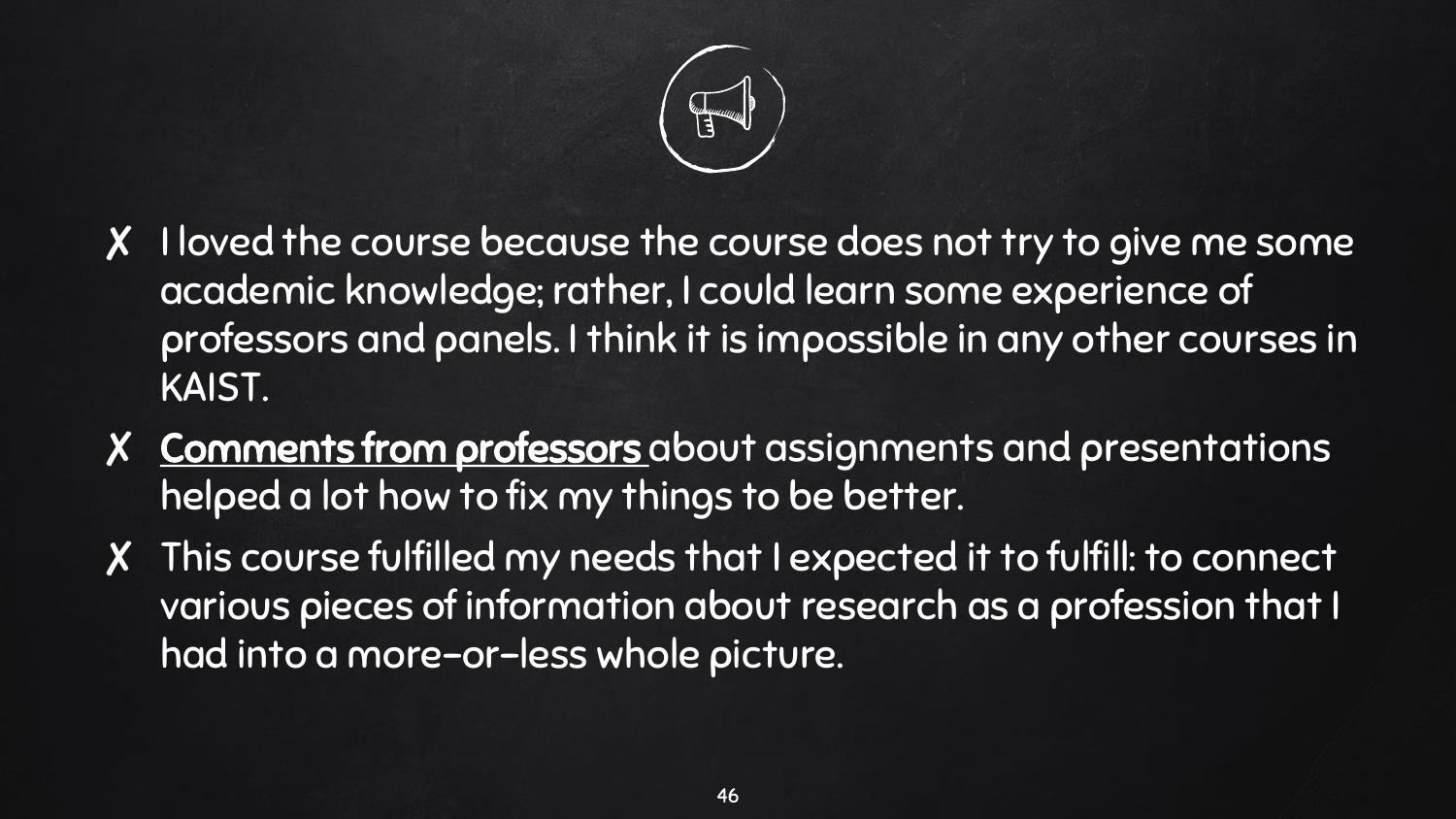

- ✘ I loved the course because the course does not try to give me some academic knowledge; rather, I could learn some experience of professors and panels. I think it is impossible in any other courses in KAIST.
- X Comments from professors about assignments and presentations helped a lot how to fix my things to be better.
- ✘ This course fulfilled my needs that I expected it to fulfill: to connect various pieces of information about research as a profession that I had into a more-or-less whole picture.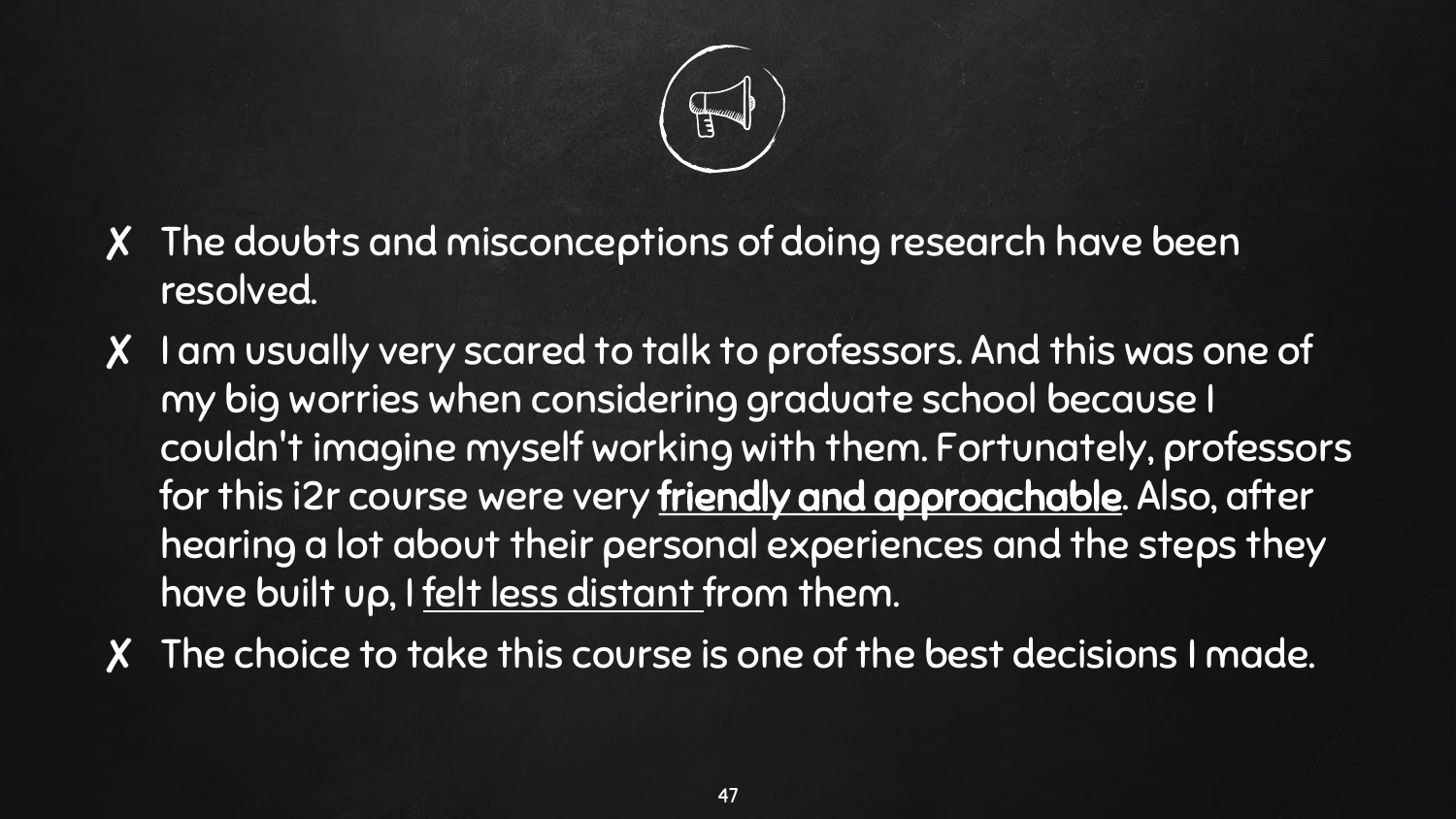

- ✘ The doubts and misconceptions of doing research have been resolved.
- ✘ I am usually very scared to talk to professors. And this was one of my big worries when considering graduate school because I couldn't imagine myself working with them. Fortunately, professors for this i2r course were very friendly and approachable. Also, after hearing a lot about their personal experiences and the steps they have built up, I felt less distant from them.
- ✘ The choice to take this course is one of the best decisions I made.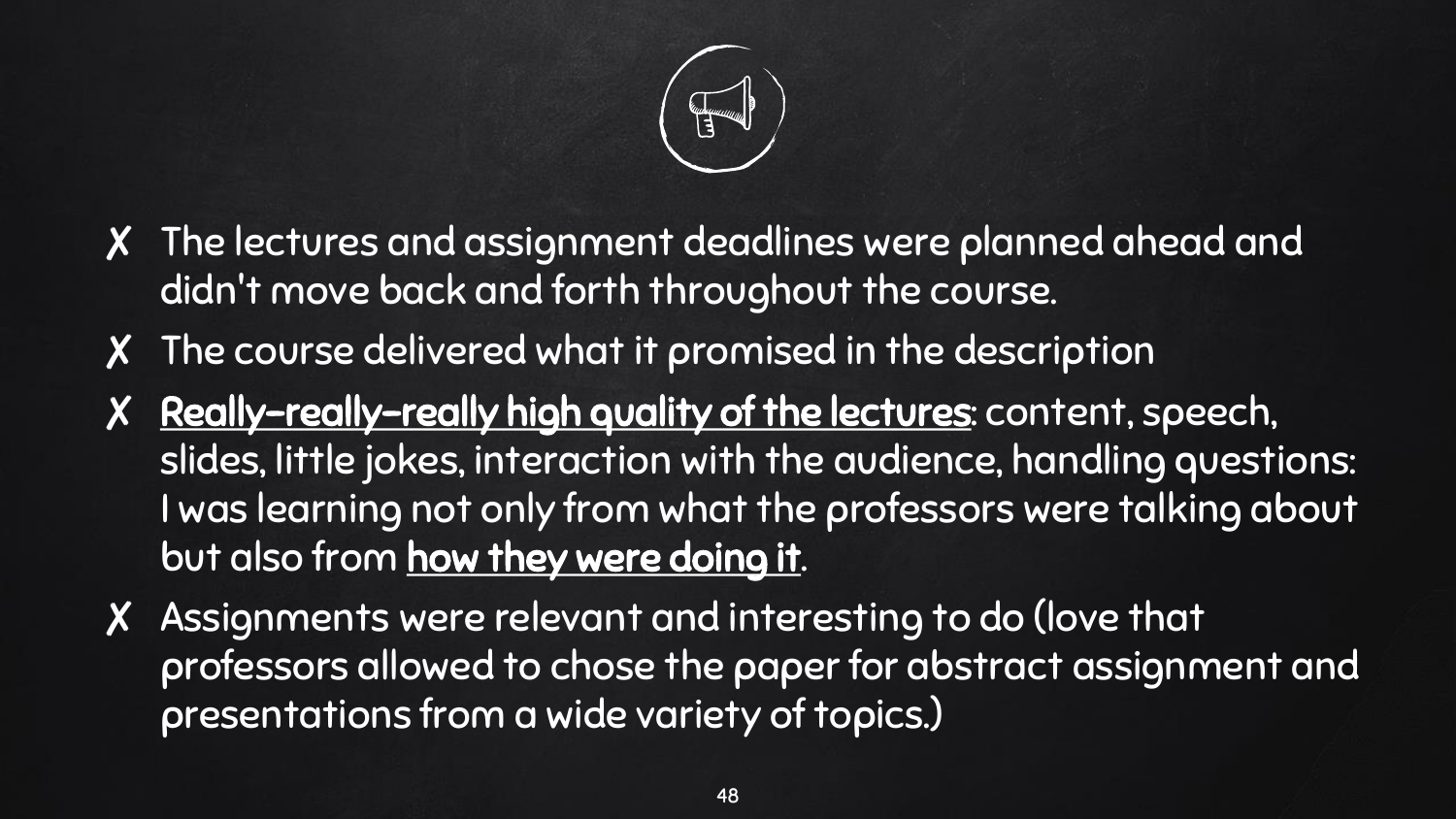

- ✘ The lectures and assignment deadlines were planned ahead and didn't move back and forth throughout the course.
- ✘ The course delivered what it promised in the description
- ✘ Really-really-really high quality of the lectures: content, speech, slides, little jokes, interaction with the audience, handling questions: I was learning not only from what the professors were talking about but also from how they were doing it.
- ✘ Assignments were relevant and interesting to do (love that professors allowed to chose the paper for abstract assignment and presentations from a wide variety of topics.)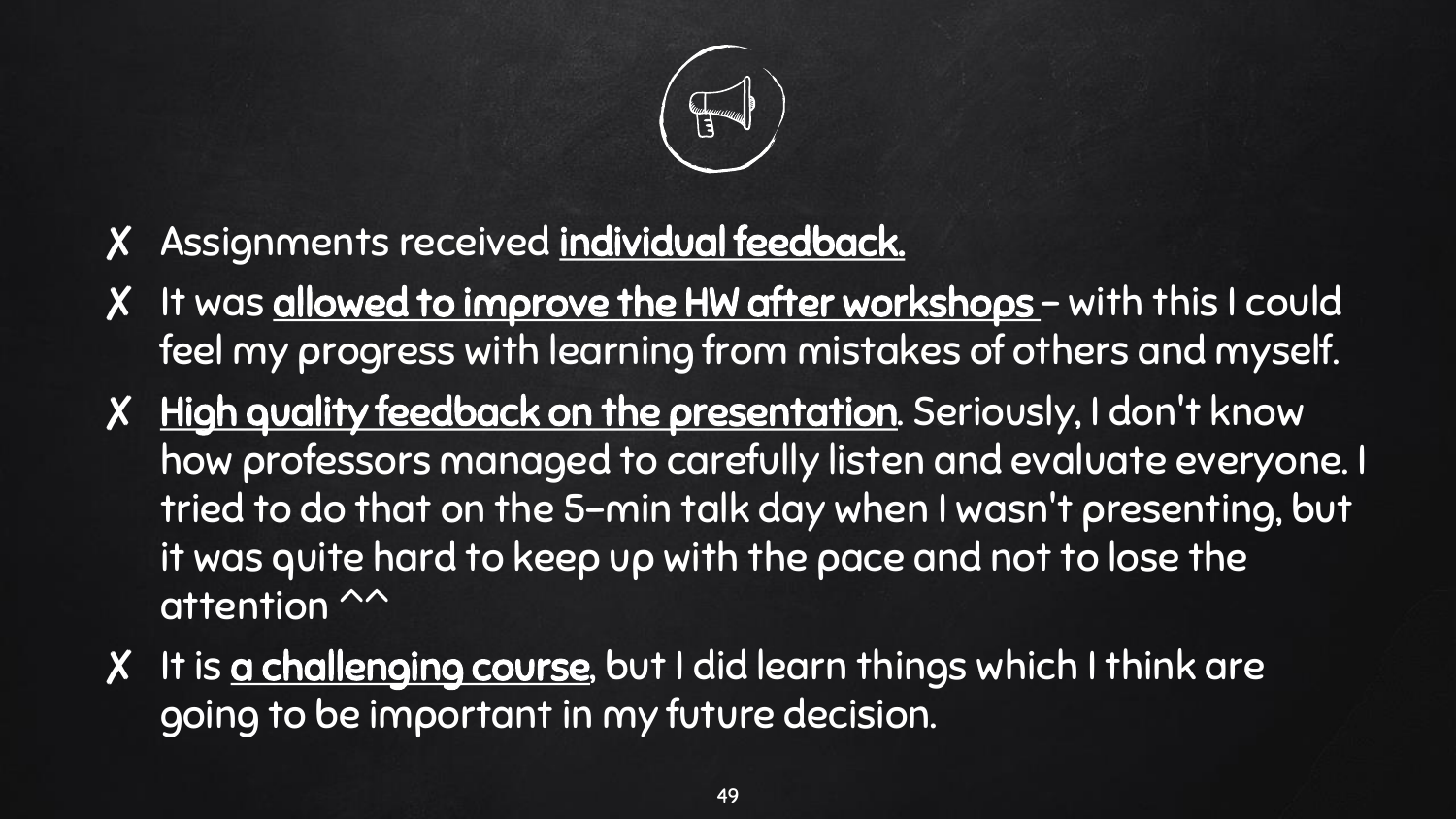

- ✘ Assignments received individual feedback.
- X It was allowed to improve the HW after workshops with this I could feel my progress with learning from mistakes of others and myself.
- ✘ High quality feedback on the presentation. Seriously, I don't know how professors managed to carefully listen and evaluate everyone. I tried to do that on the 5-min talk day when I wasn't presenting, but it was quite hard to keep up with the pace and not to lose the attention  $\sim$
- X It is a challenging course, but I did learn things which I think are going to be important in my future decision.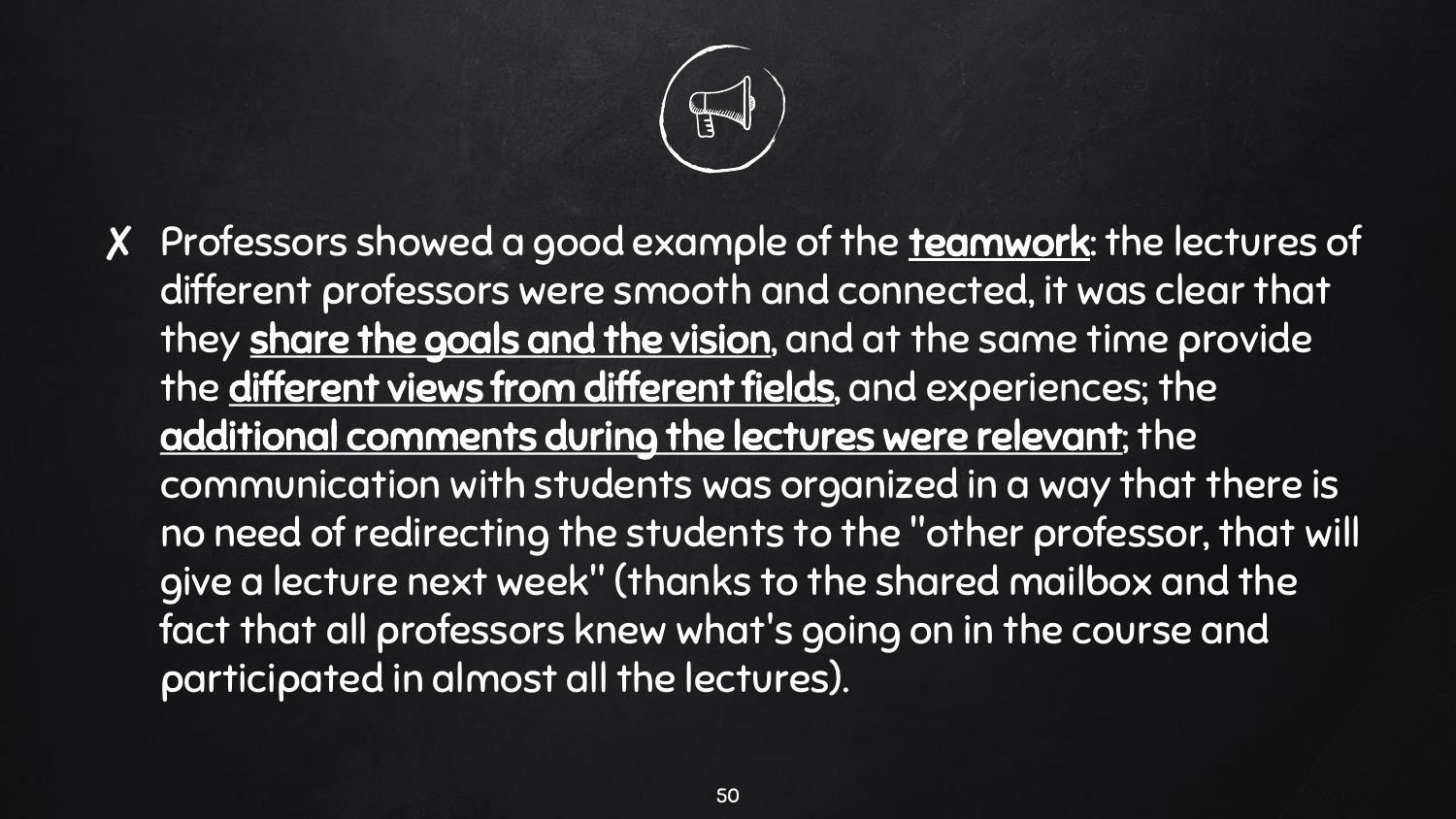

X Professors showed a good example of the teamwork: the lectures of different professors were smooth and connected, it was clear that they share the goals and the vision, and at the same time provide the different views from different fields, and experiences; the additional comments during the lectures were relevant; the communication with students was organized in a way that there is no need of redirecting the students to the "other professor, that will give a lecture next week" (thanks to the shared mailbox and the fact that all professors knew what's going on in the course and participated in almost all the lectures).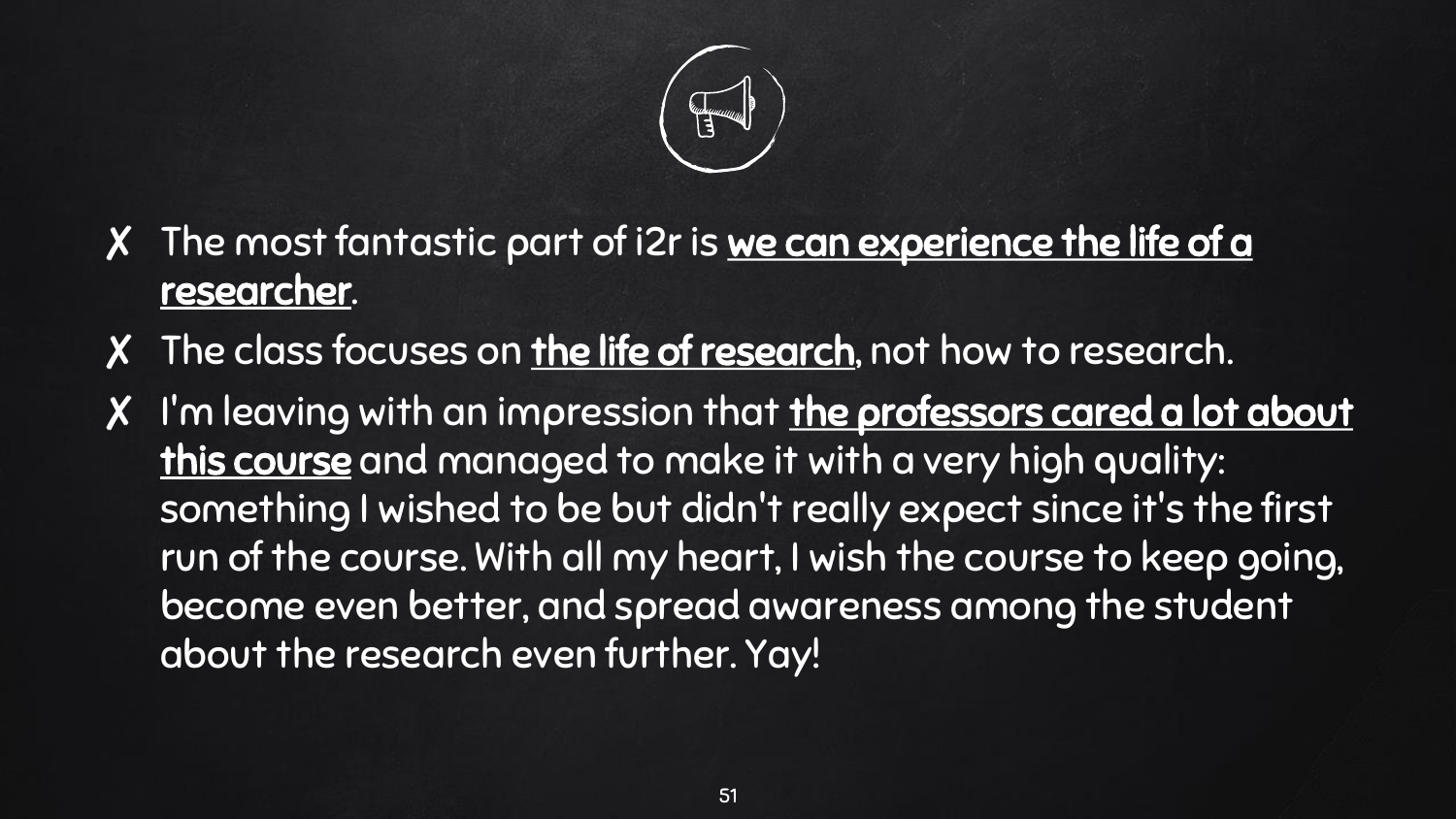

- X The most fantastic part of i2r is we can experience the life of a researcher.
- ✘ The class focuses on the life of research, not how to research.
- X I'm leaving with an impression that the professors cared a lot about this course and managed to make it with a very high quality: something I wished to be but didn't really expect since it's the first run of the course. With all my heart, I wish the course to keep going, become even better, and spread awareness among the student about the research even further. Yay!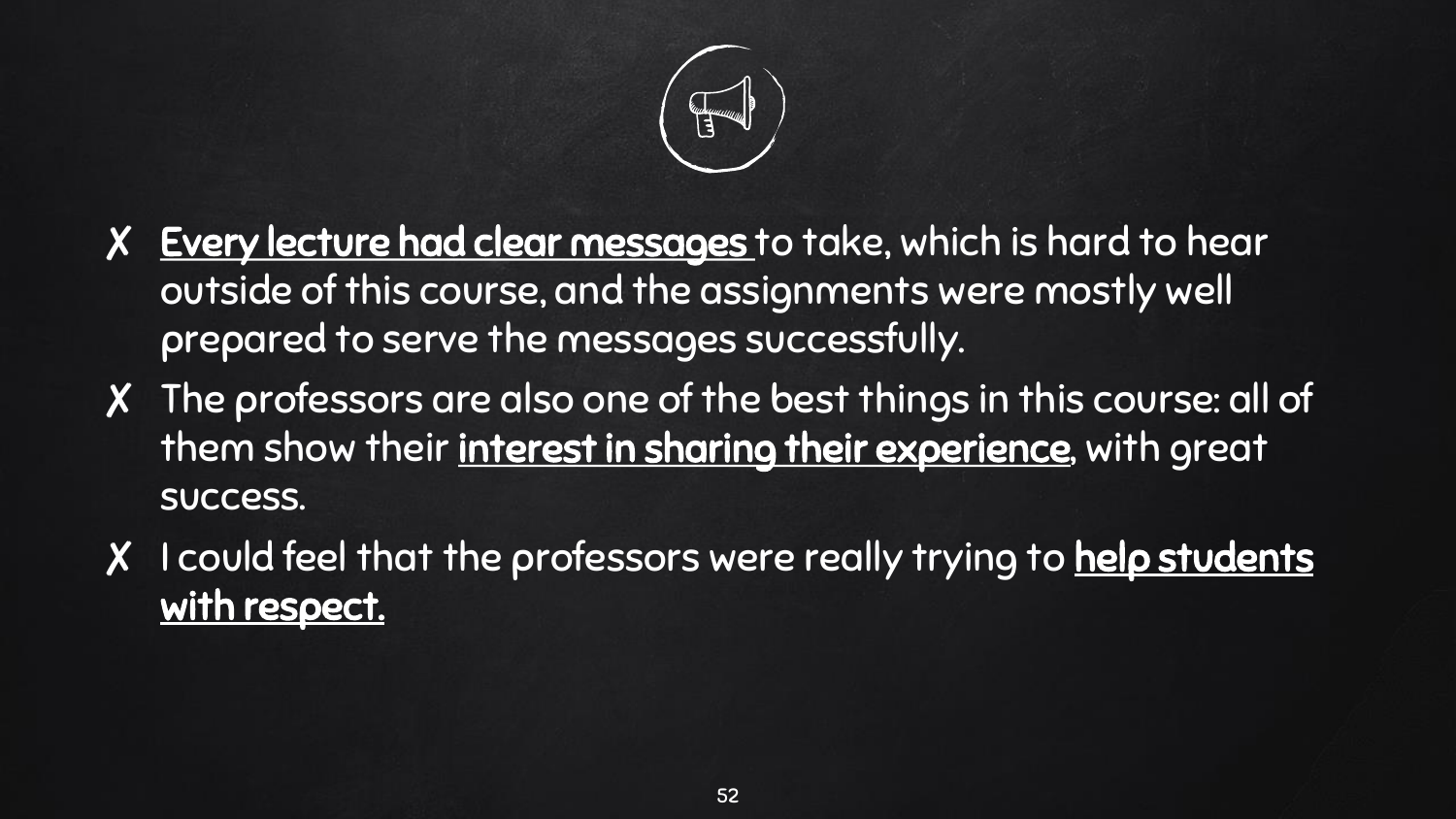

- X Every lecture had clear messages to take, which is hard to hear outside of this course, and the assignments were mostly well prepared to serve the messages successfully.
- ✘ The professors are also one of the best things in this course: all of them show their interest in sharing their experience, with great success.
- X I could feel that the professors were really trying to help students with respect.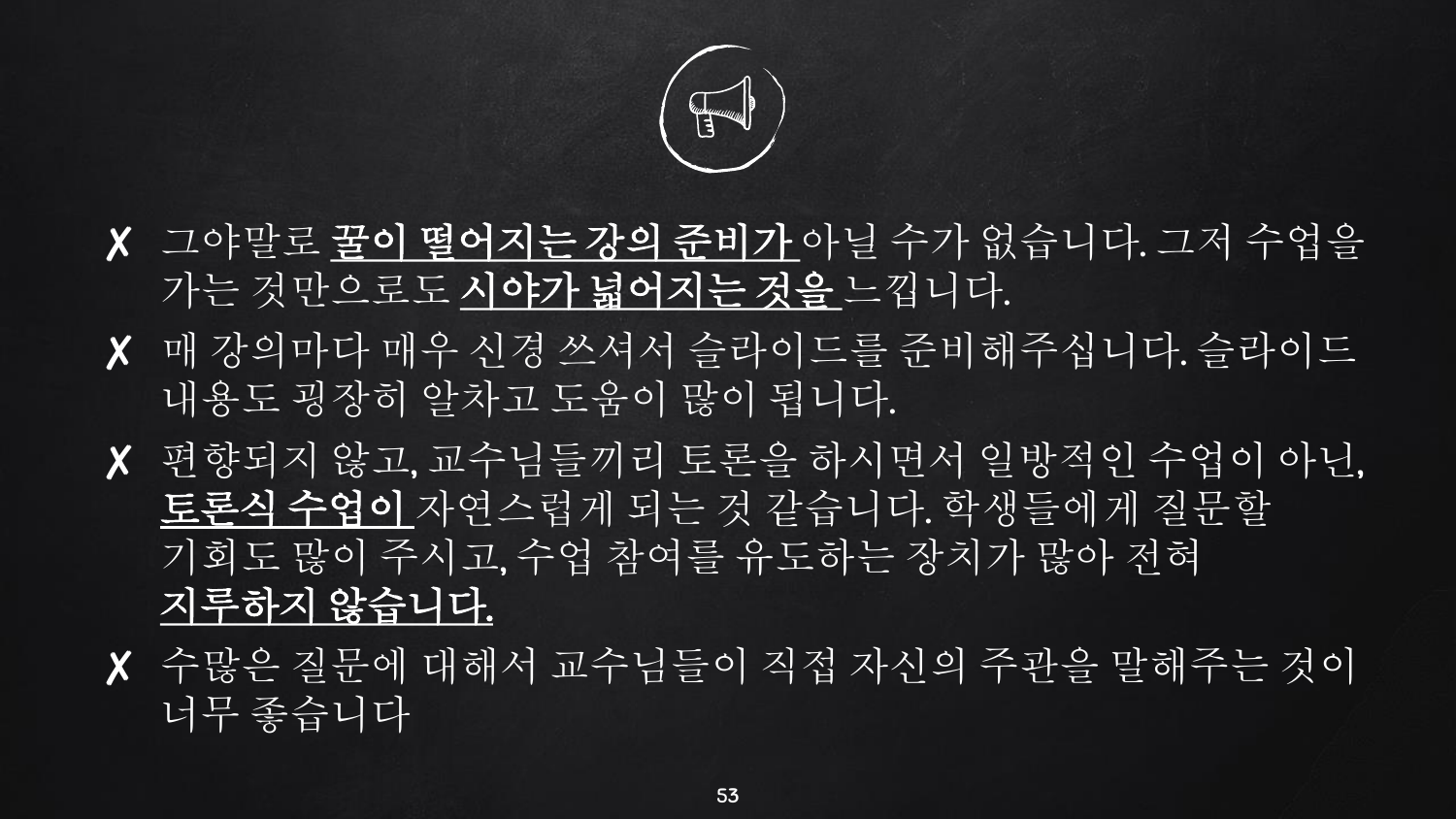

- ✘ 그야말로 꿀이 떨어지는 강의 준비가 아닐 수가 없습니다. 그저 수업을 가는 것만으로도 시야가 넓어지는 것을 느낍니다.
- ✘ 매 강의마다 매우 신경 쓰셔서 슬라이드를 준비해주십니다. 슬라이드 내용도 굉장히 알차고 도움이 많이 됩니다.
- ✘ 편향되지 않고, 교수님들끼리 토론을 하시면서 일방적인 수업이 아닌, 토론식 수업이 자연스럽게 되는 것 같습니다. 학생들에게 질문할 기회도 많이 주시고, 수업 참여를 유도하는 장치가 많아 전혀 지루하지 않습니다.
- ✘ 수많은 질문에 대해서 교수님들이 직접 자신의 주관을 말해주는 것이 너무 좋습니다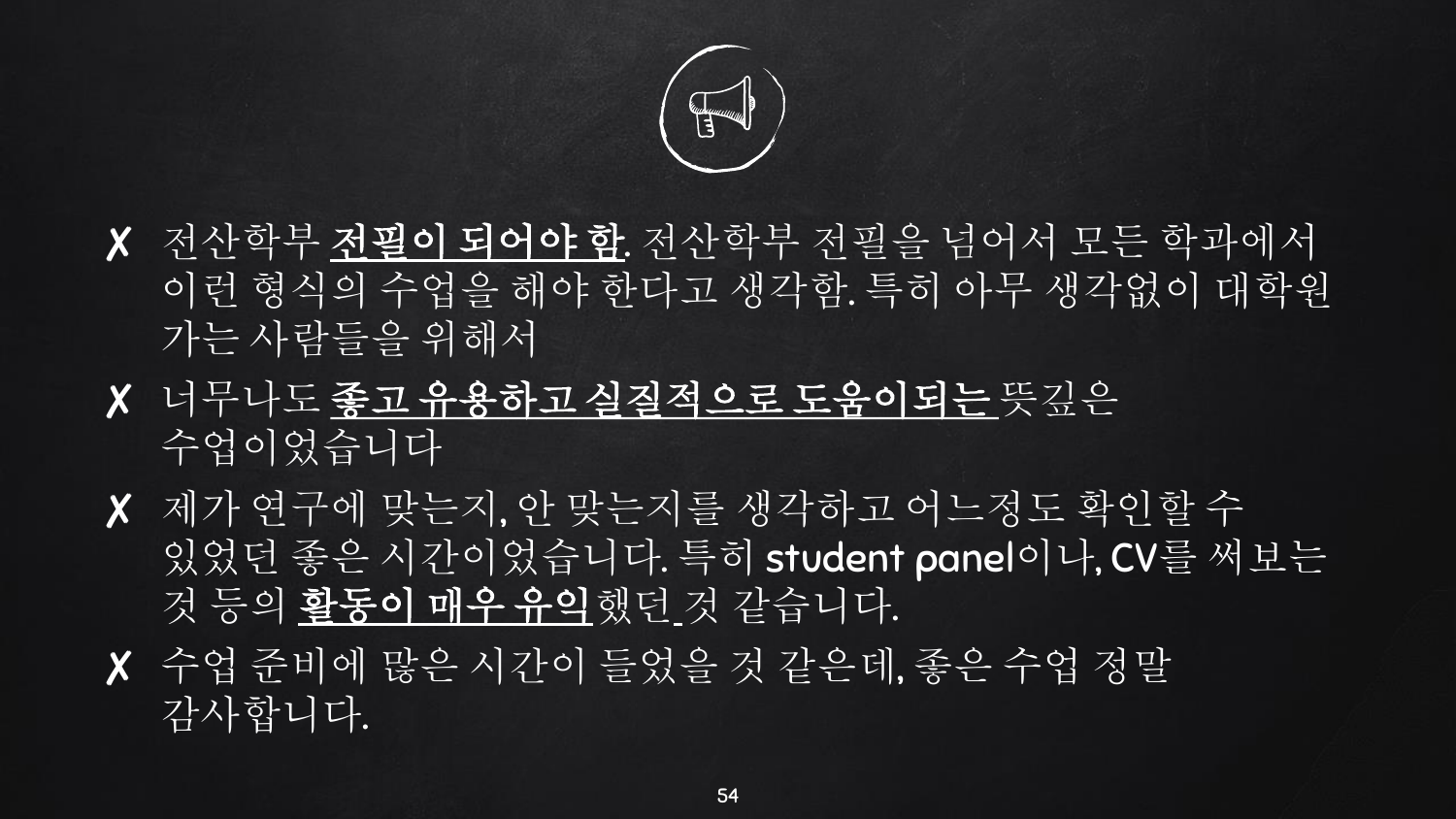

- ✘ 전산학부 전필이 되어야 함. 전산학부 전필을 넘어서 모든 학과에서 이런 형식의 수업을 해야 한다고 생각함. 특히 아무 생각없이 대학원 가는 사람들을 위해서
- ✘ 너무나도 좋고 유용하고 실질적으로 도움이되는 뜻깊은 수업이었습니다
- ✘ 제가 연구에 맞는지, 안 맞는지를 생각하고 어느정도 확인할 수 있었던 좋은 시간이었습니다. 특히 student panel이나, CV를 써보는 것 등의 활동이 매우 유익했던 것 같습니다.
- ✘ 수업 준비에 많은 시간이 들었을 것 같은데, 좋은 수업 정말 감사합니다.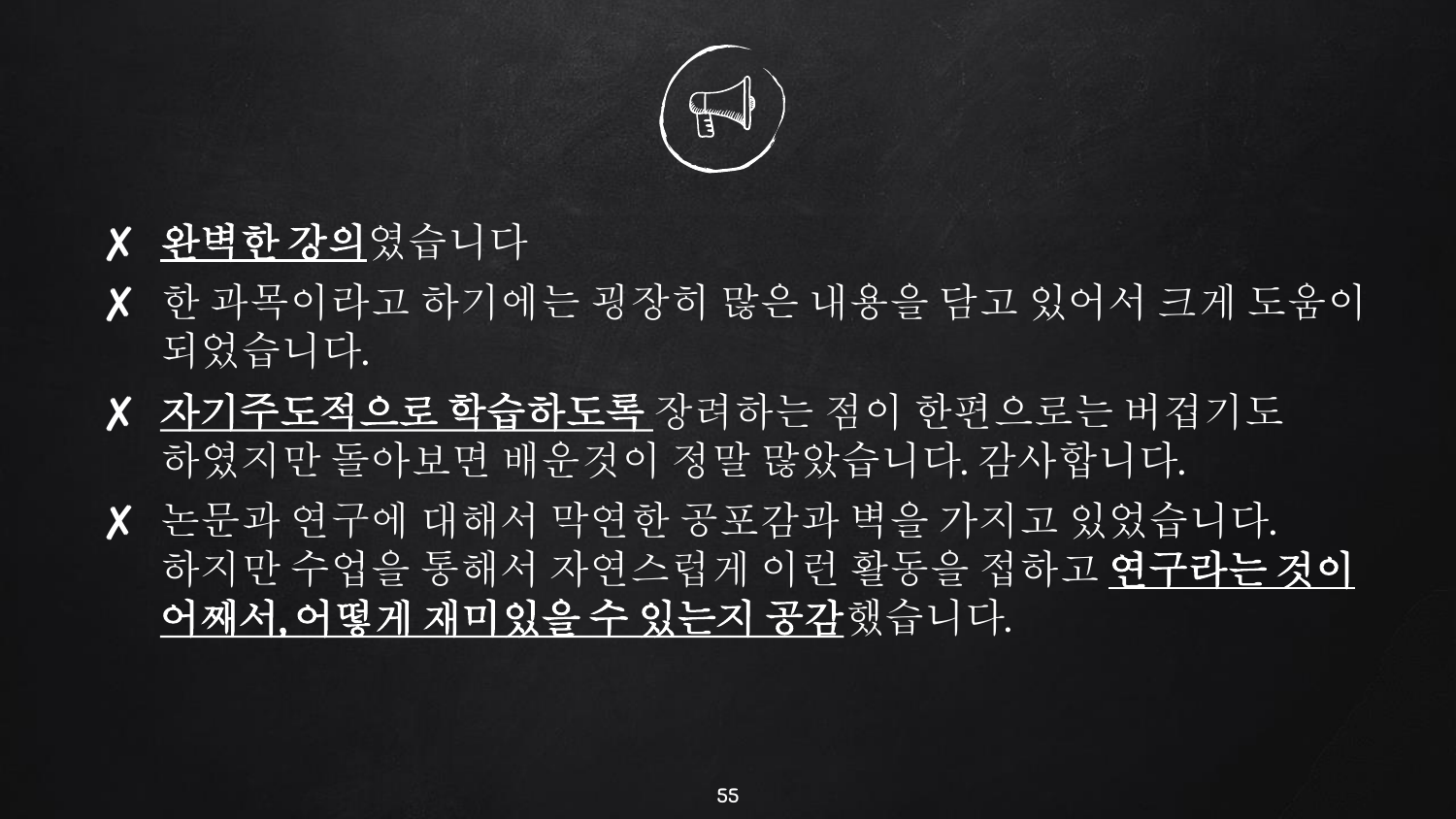

- ✘ 완벽한 강의였습니다
- ✘ 한 과목이라고 하기에는 굉장히 많은 내용을 담고 있어서 크게 도움이 되었습니다.
- ✘ 자기주도적으로 학습하도록 장려하는 점이 한편으로는 버겁기도 하였지만 돌아보면 배운것이 정말 많았습니다. 감사합니다.
- ✘ 논문과 연구에 대해서 막연한 공포감과 벽을 가지고 있었습니다. 하지만 수업을 통해서 자연스럽게 이런 활동을 접하고 연구라는 것이 어째서, 어떻게 재미있을 수 있는지 공감했습니다.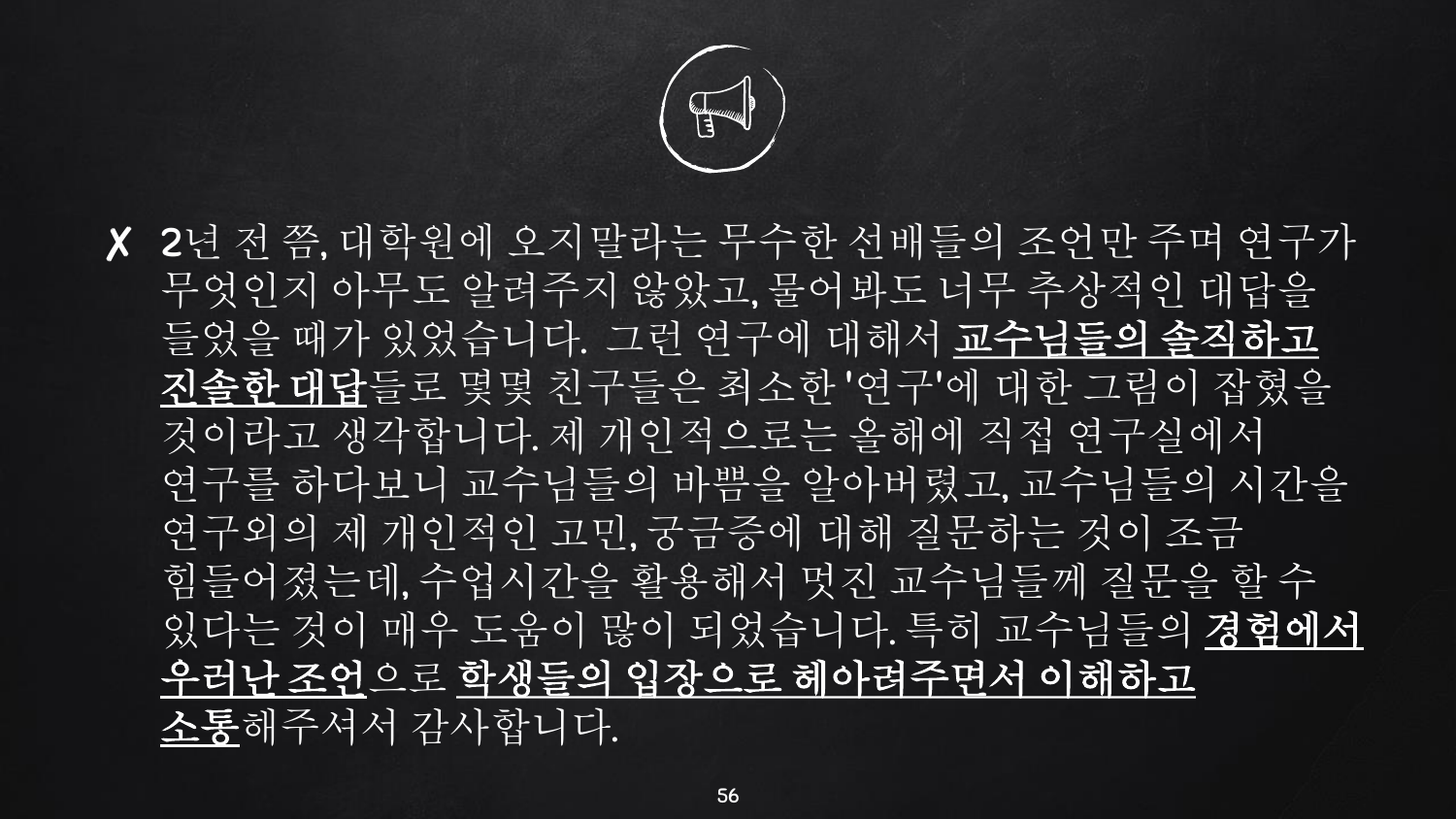

✘ 2년 전 쯤, 대학원에 오지말라는 무수한 선배들의 조언만 주며 연구가 무엇인지 아무도 알려주지 않았고, 물어봐도 너무 추상적인 대답을 들었을 때가 있었습니다. 그런 연구에 대해서 교수님들의 솔직하고 진솔한 대답들로 몇몇 친구들은 최소한 '연구'에 대한 그림이 잡혔을 것이라고 생각합니다. 제 개인적으로는 올해에 직접 연구실에서 연구를 하다보니 교수님들의 바쁨을 알아버렸고, 교수님들의 시간을 연구외의 제 개인적인 고민, 궁금증에 대해 질문하는 것이 조금 힘들어졌는데, 수업시간을 활용해서 멋진 교수님들께 질문을 할 수 |있다는 것이 매우 도움이 많이 되었습니다. 특히 교수님들의 <mark>경험에서</mark> 우러난 조언으로 학생들의 입장으로 헤아려주면서 이해하고 소통해주셔서 감사합니다.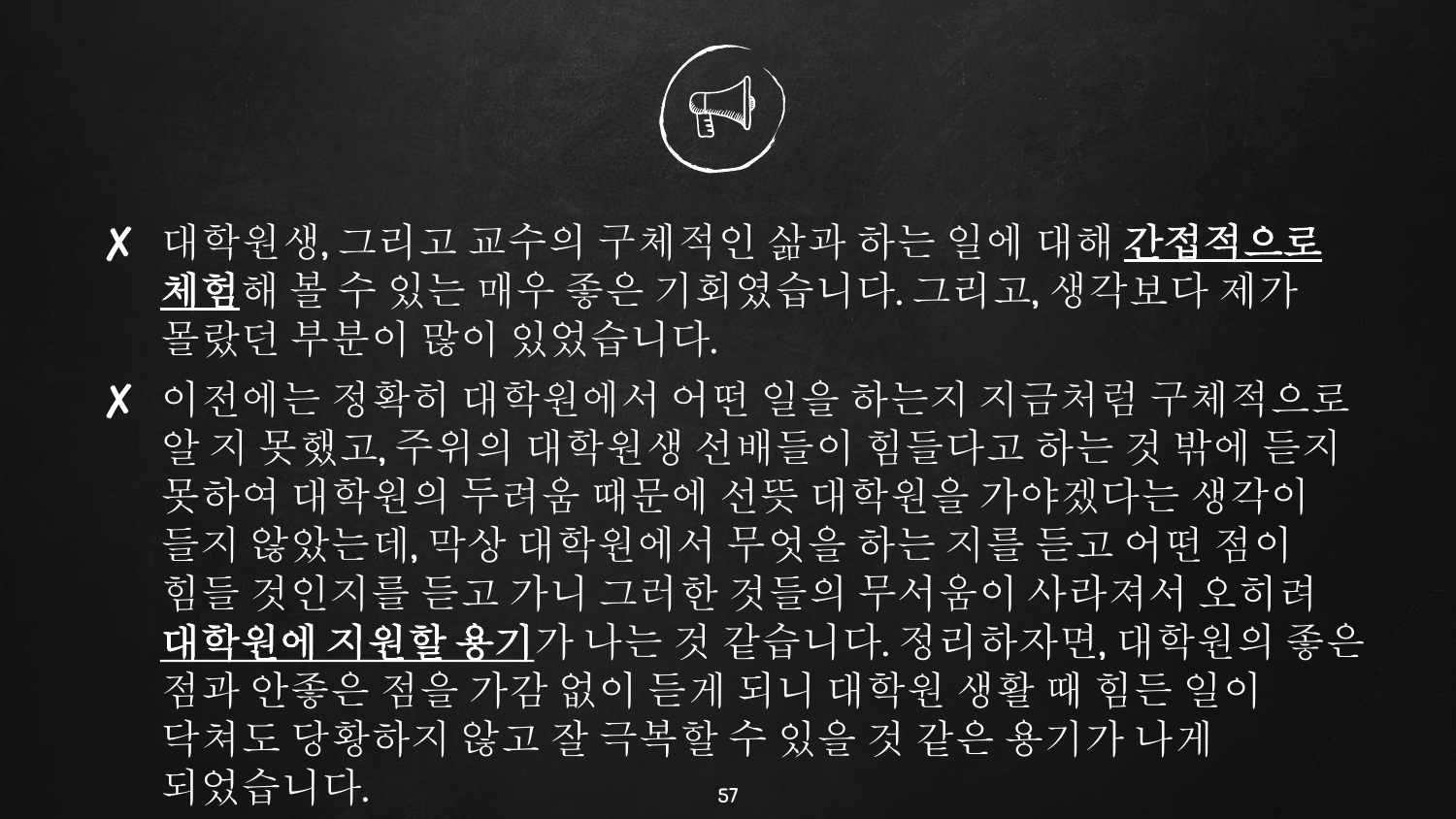

- ✘ 대학원생, 그리고 교수의 구체적인 삶과 하는 일에 대해 간접적으로 체험해 볼 수 있는 매우 좋은 기회였습니다. 그리고, 생각보다 제가 몰랐던 부분이 많이 있었습니다.
- ✘ 이전에는 정확히 대학원에서 어떤 일을 하는지 지금처럼 구체적으로 알 지 못했고, 주위의 대학원생 선배들이 힘들다고 하는 것 밖에 듣지 못하여 대학원의 두려움 때문에 선뜻 대학원을 가야겠다는 생각이 들지 않았는데, 막상 대학원에서 무엇을 하는 지를 듣고 어떤 점이 힘들 것인지를 듣고 가니 그러한 것들의 무서움이 사라져서 오히려 대학원에 지원할 용기가 나는 것 같습니다. 정리하자면, 대학원의 좋은 점과 안좋은 점을 가감 없이 듣게 되니 대학원 생활 때 힘든 일이 닥쳐도 당황하지 않고 잘 극복할 수 있을 것 같은 용기가 나게 되었습니다. 57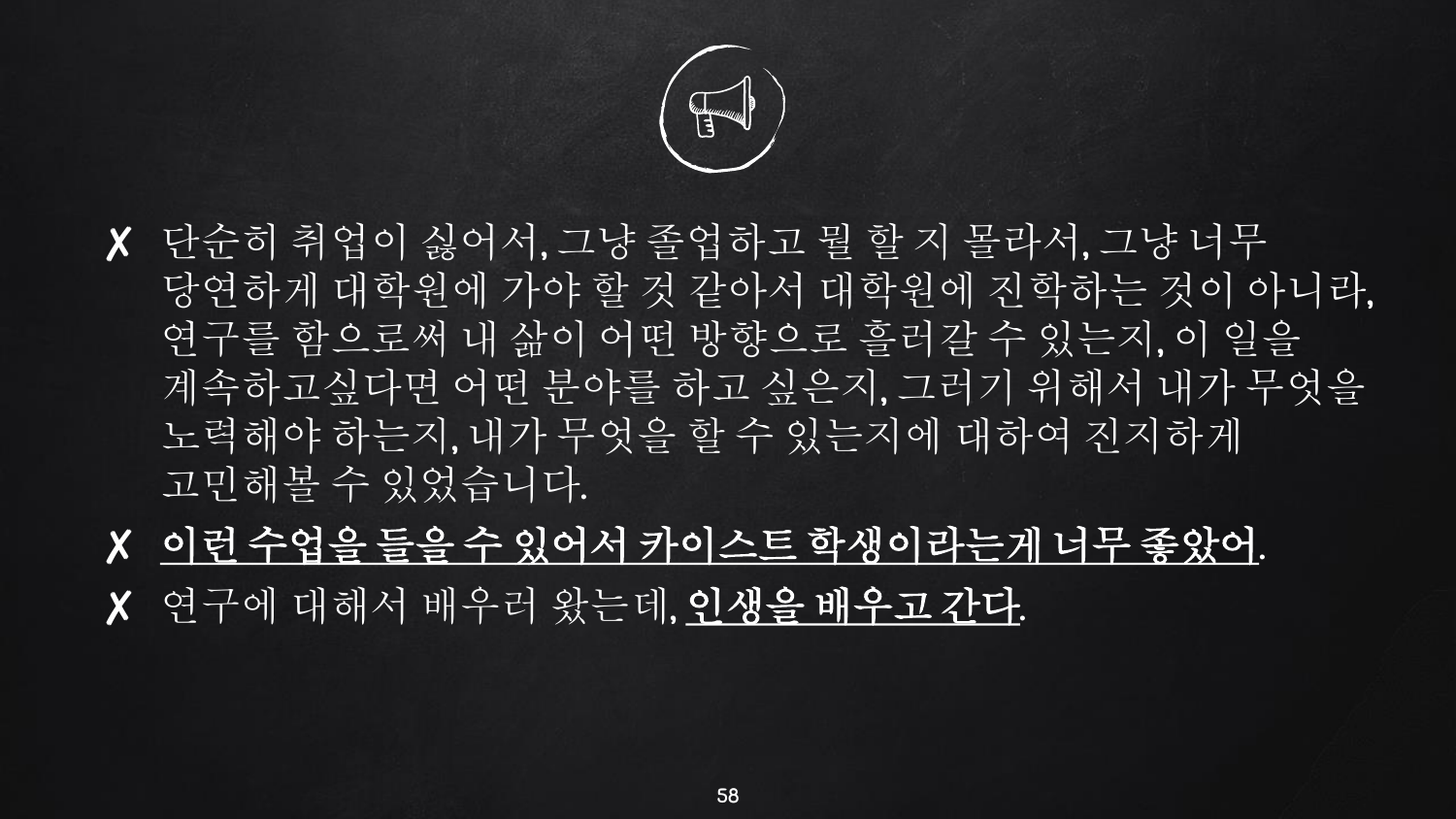

- ✘ 단순히 취업이 싫어서, 그냥 졸업하고 뭘 할 지 몰라서, 그냥 너무 당연하게 대학원에 가야 할 것 같아서 대학원에 진학하는 것이 아니라, 연구를 함으로써 내 삶이 어떤 방향으로 흘러갈 수 있는지, 이 일을 계속하고싶다면 어떤 분야를 하고 싶은지, 그러기 위해서 내가 무엇을 노력해야 하는지, 내가 무엇을 할 수 있는지에 대하여 진지하게 고민해볼 수 있었습니다.
- ✘ 이런 수업을 들을 수 있어서 카이스트 학생이라는게 너무 좋았어. ✘ 연구에 대해서 배우러 왔는데, 인생을 배우고 간다.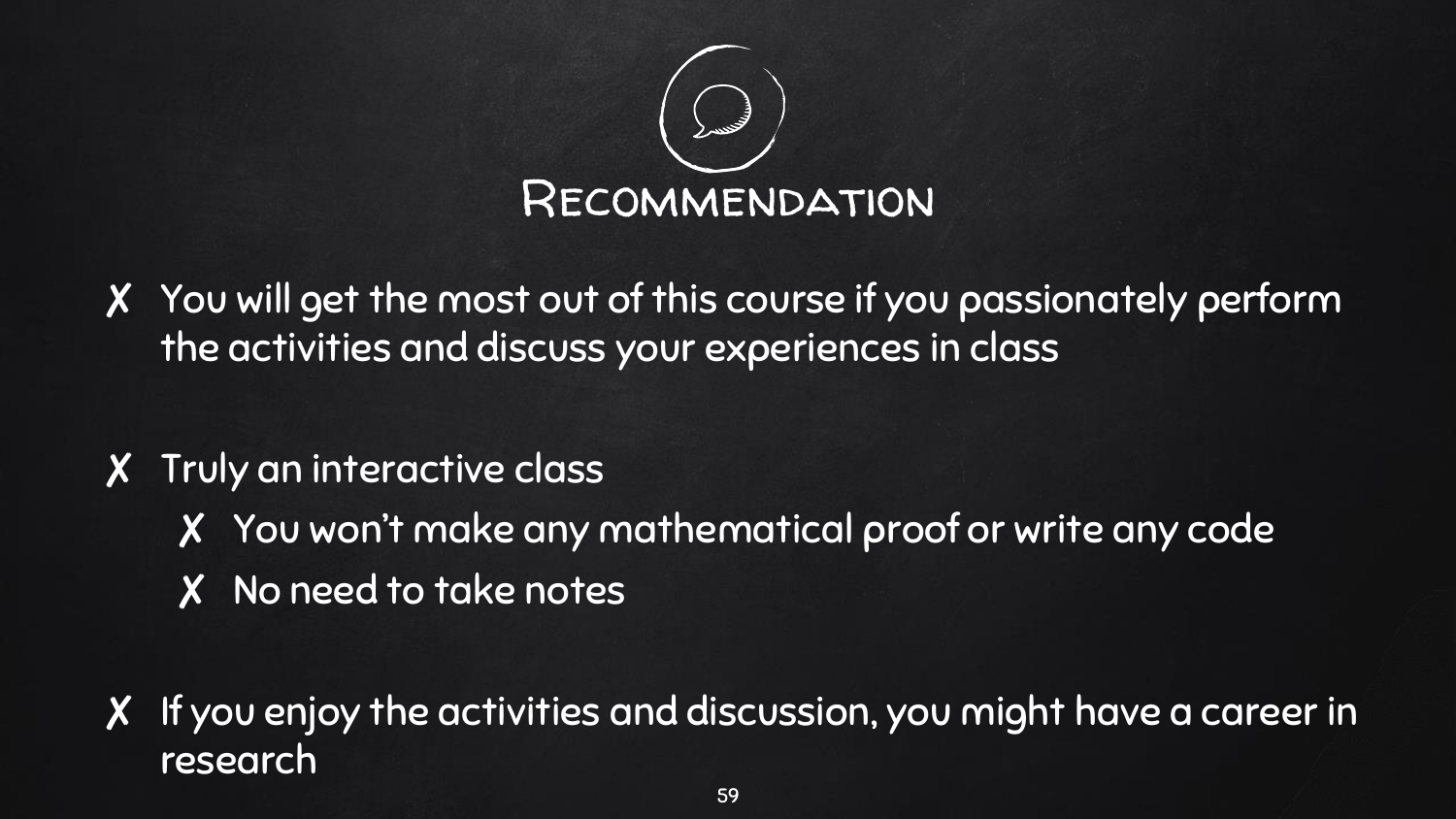

✘ You will get the most out of this course if you passionately perform the activities and discuss your experiences in class

#### ✘ Truly an interactive class

- ✘ You won't make any mathematical proof or write any code
- ✘ No need to take notes

✘ If you enjoy the activities and discussion, you might have a career in research